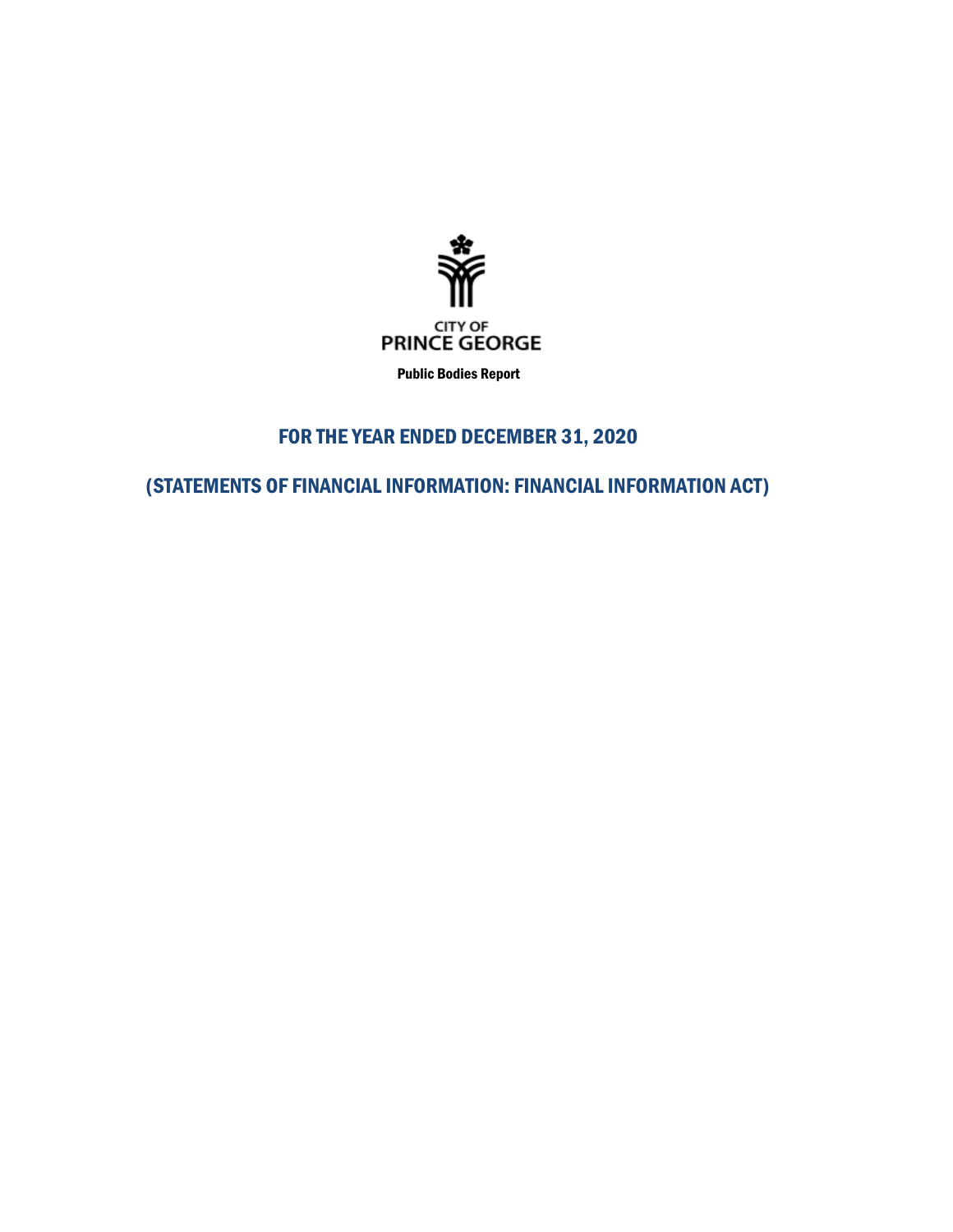

Public Bodies Report

# FOR THE YEAR ENDED DECEMBER 31, 2020

(STATEMENTS OF FINANCIAL INFORMATION: FINANCIAL INFORMATION ACT)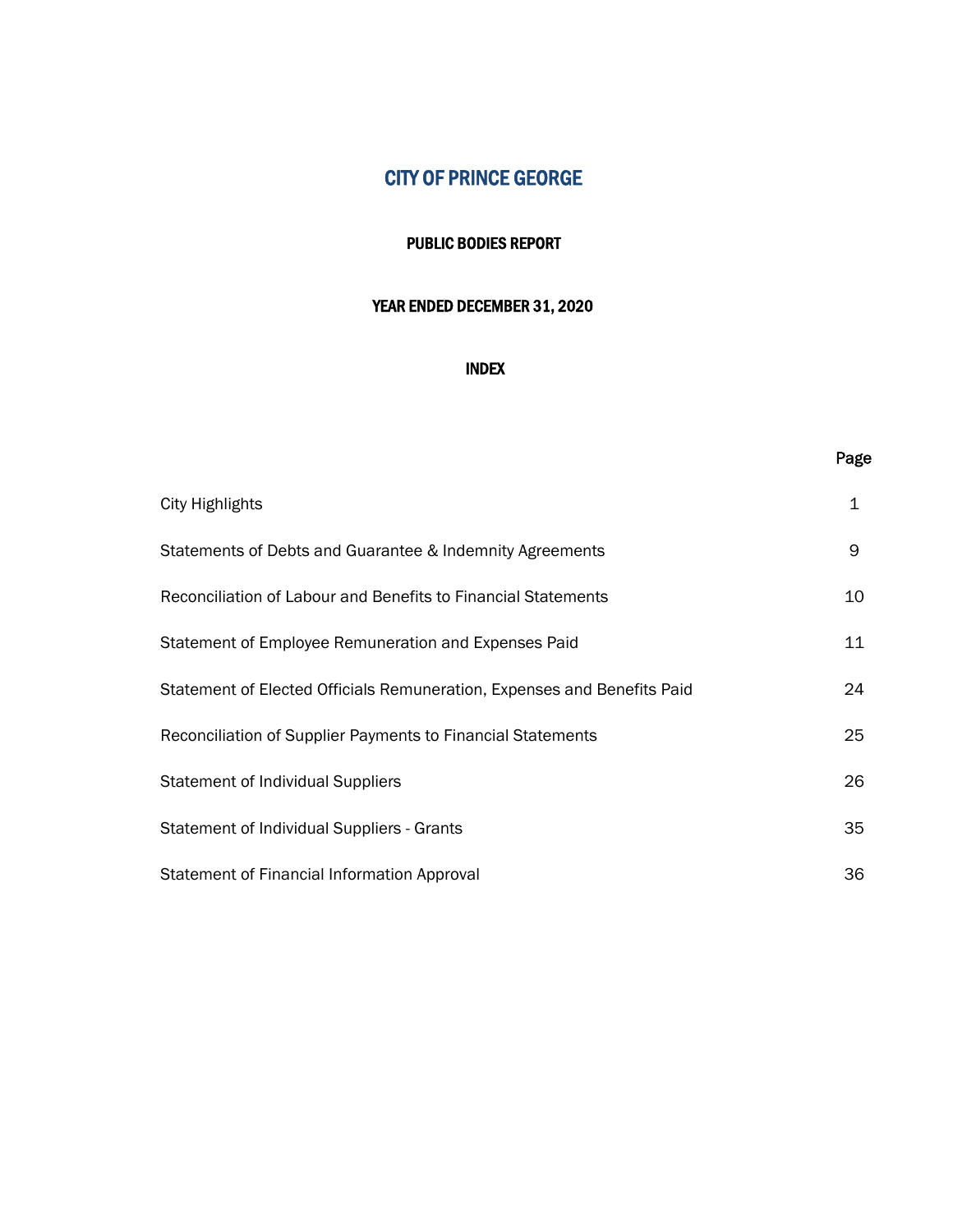#### PUBLIC BODIES REPORT

## YEAR ENDED DECEMBER 31, 2020

## INDEX

### Page

| <b>City Highlights</b>                                                  | 1  |
|-------------------------------------------------------------------------|----|
| Statements of Debts and Guarantee & Indemnity Agreements                | 9  |
| Reconciliation of Labour and Benefits to Financial Statements           | 10 |
| Statement of Employee Remuneration and Expenses Paid                    | 11 |
| Statement of Elected Officials Remuneration, Expenses and Benefits Paid | 24 |
| Reconciliation of Supplier Payments to Financial Statements             | 25 |
| <b>Statement of Individual Suppliers</b>                                | 26 |
| Statement of Individual Suppliers - Grants                              | 35 |
| Statement of Financial Information Approval                             | 36 |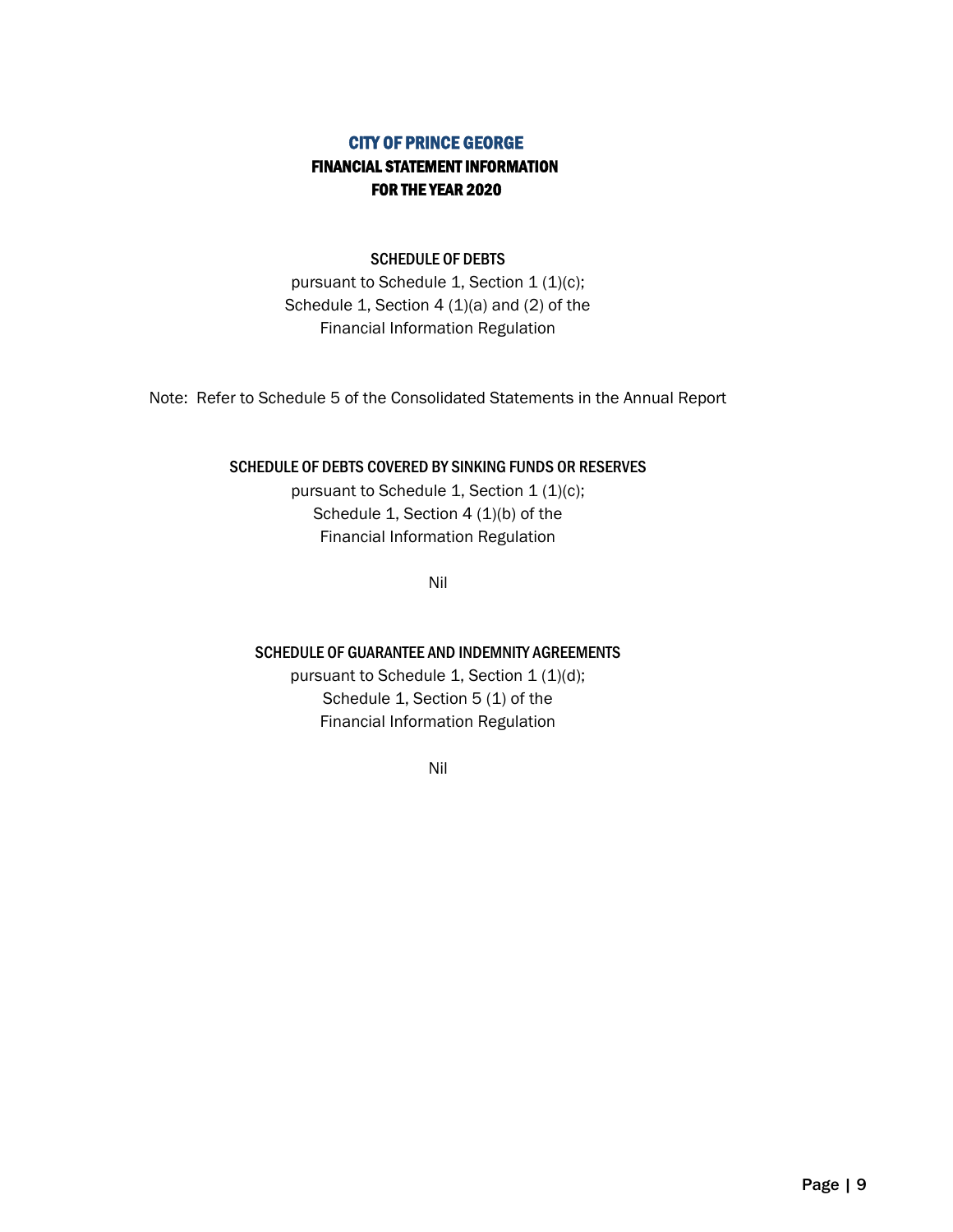## CITY OF PRINCE GEORGE FINANCIAL STATEMENT INFORMATION FOR THE YEAR 2020

#### SCHEDULE OF DEBTS

pursuant to Schedule 1, Section 1 (1)(c); Schedule 1, Section 4 (1)(a) and (2) of the Financial Information Regulation

Note: Refer to Schedule 5 of the Consolidated Statements in the Annual Report

#### SCHEDULE OF DEBTS COVERED BY SINKING FUNDS OR RESERVES

pursuant to Schedule 1, Section  $1 (1)(c)$ ; Schedule 1, Section 4 (1)(b) of the Financial Information Regulation

Nil

#### SCHEDULE OF GUARANTEE AND INDEMNITY AGREEMENTS

pursuant to Schedule 1, Section 1 (1)(d); Schedule 1, Section 5 (1) of the Financial Information Regulation

Nil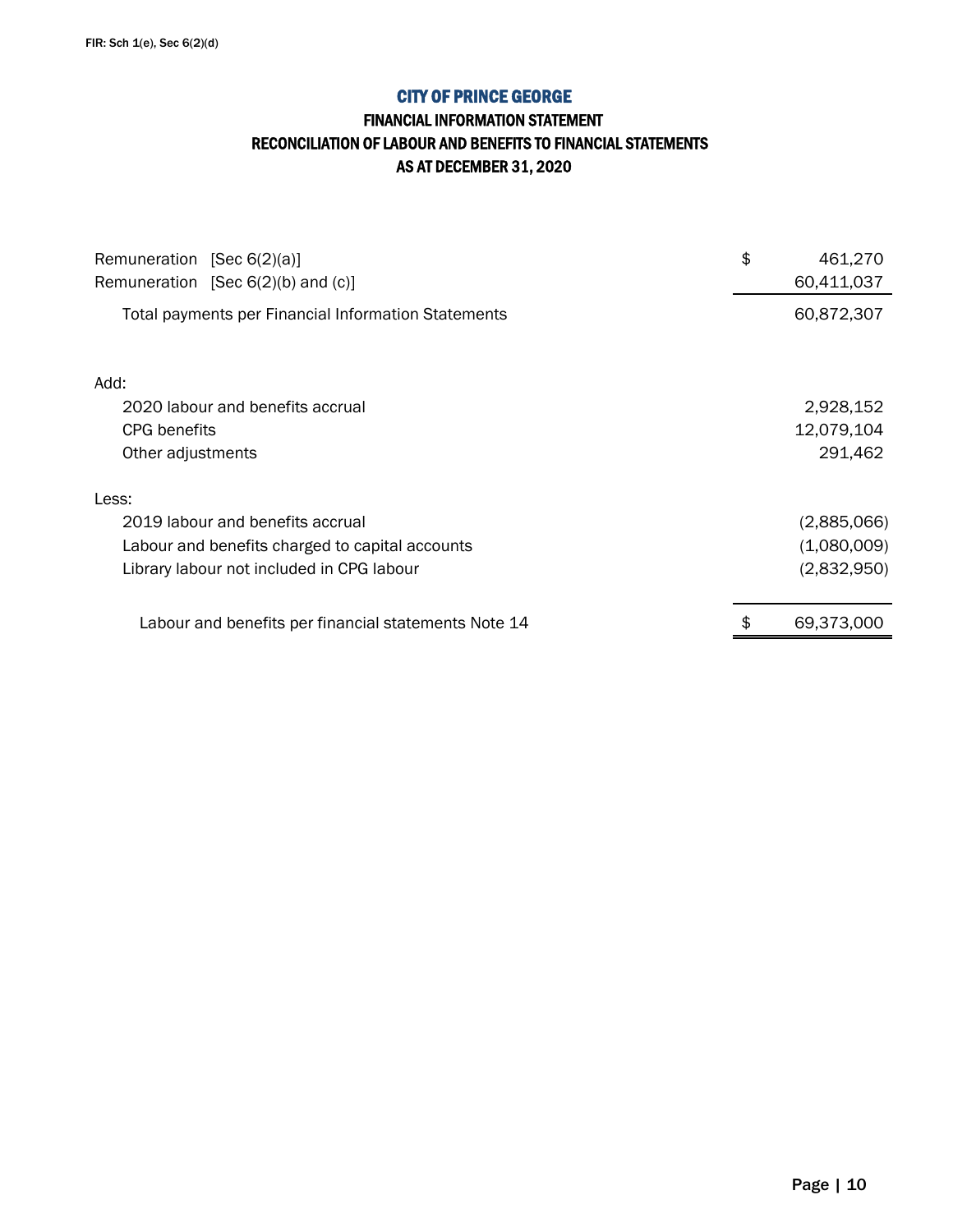## FINANCIAL INFORMATION STATEMENT RECONCILIATION OF LABOUR AND BENEFITS TO FINANCIAL STATEMENTS AS AT DECEMBER 31, 2020

| Remuneration [Sec $6(2)(a)$ ]<br>Remuneration [Sec $6(2)(b)$ and $(c)$ ] | \$<br>461,270<br>60,411,037 |
|--------------------------------------------------------------------------|-----------------------------|
| Total payments per Financial Information Statements                      | 60,872,307                  |
| Add:                                                                     |                             |
| 2020 labour and benefits accrual                                         | 2,928,152                   |
| CPG benefits                                                             | 12,079,104                  |
| Other adjustments                                                        | 291,462                     |
| Less:                                                                    |                             |
| 2019 labour and benefits accrual                                         | (2,885,066)                 |
| Labour and benefits charged to capital accounts                          | (1,080,009)                 |
| Library labour not included in CPG labour                                | (2,832,950)                 |
| Labour and benefits per financial statements Note 14                     | 69,373,000                  |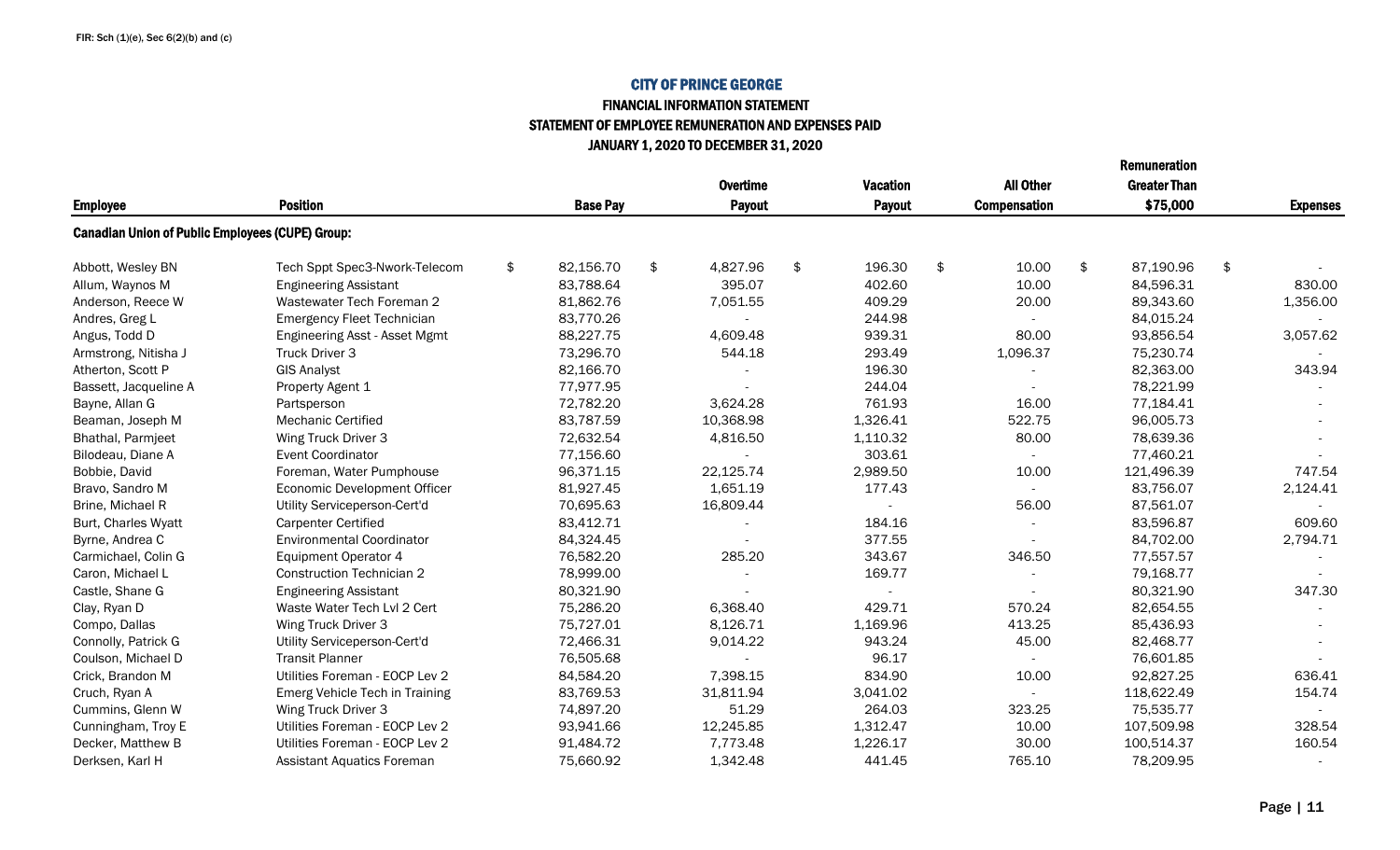## FINANCIAL INFORMATION STATEMENT STATEMENT OF EMPLOYEE REMUNERATION AND EXPENSES PAID JANUARY 1, 2020 TO DECEMBER 31, 2020

|                                                         |                                   |                 |                 |                 |    |                     | <b>Remuneration</b> |                 |
|---------------------------------------------------------|-----------------------------------|-----------------|-----------------|-----------------|----|---------------------|---------------------|-----------------|
|                                                         |                                   |                 | <b>Overtime</b> | <b>Vacation</b> |    | <b>All Other</b>    | <b>Greater Than</b> |                 |
| <b>Employee</b>                                         | <b>Position</b>                   | <b>Base Pay</b> | <b>Payout</b>   | <b>Payout</b>   |    | <b>Compensation</b> | \$75,000            | <b>Expenses</b> |
| <b>Canadian Union of Public Employees (CUPE) Group:</b> |                                   |                 |                 |                 |    |                     |                     |                 |
| Abbott, Wesley BN                                       | Tech Sppt Spec3-Nwork-Telecom     | \$<br>82,156.70 | \$<br>4,827.96  | \$<br>196.30    | \$ | 10.00               | \$<br>87,190.96     | \$              |
| Allum, Waynos M                                         | <b>Engineering Assistant</b>      | 83,788.64       | 395.07          | 402.60          |    | 10.00               | 84,596.31           | 830.00          |
| Anderson, Reece W                                       | Wastewater Tech Foreman 2         | 81,862.76       | 7,051.55        | 409.29          |    | 20.00               | 89,343.60           | 1,356.00        |
| Andres, Greg L                                          | <b>Emergency Fleet Technician</b> | 83,770.26       |                 | 244.98          |    |                     | 84,015.24           |                 |
| Angus, Todd D                                           | Engineering Asst - Asset Mgmt     | 88,227.75       | 4,609.48        | 939.31          |    | 80.00               | 93,856.54           | 3,057.62        |
| Armstrong, Nitisha J                                    | Truck Driver 3                    | 73,296.70       | 544.18          | 293.49          |    | 1,096.37            | 75,230.74           |                 |
| Atherton, Scott P                                       | <b>GIS Analyst</b>                | 82,166.70       |                 | 196.30          |    |                     | 82,363.00           | 343.94          |
| Bassett, Jacqueline A                                   | Property Agent 1                  | 77,977.95       |                 | 244.04          |    |                     | 78,221.99           |                 |
| Bayne, Allan G                                          | Partsperson                       | 72,782.20       | 3,624.28        | 761.93          |    | 16.00               | 77,184.41           |                 |
| Beaman, Joseph M                                        | Mechanic Certified                | 83,787.59       | 10,368.98       | 1,326.41        |    | 522.75              | 96,005.73           |                 |
| Bhathal, Parmjeet                                       | Wing Truck Driver 3               | 72,632.54       | 4,816.50        | 1,110.32        |    | 80.00               | 78,639.36           |                 |
| Bilodeau, Diane A                                       | <b>Event Coordinator</b>          | 77,156.60       |                 | 303.61          |    |                     | 77,460.21           |                 |
| Bobbie, David                                           | Foreman, Water Pumphouse          | 96,371.15       | 22,125.74       | 2,989.50        |    | 10.00               | 121,496.39          | 747.54          |
| Bravo, Sandro M                                         | Economic Development Officer      | 81,927.45       | 1,651.19        | 177.43          |    | $\sim$              | 83,756.07           | 2,124.41        |
| Brine, Michael R                                        | Utility Serviceperson-Cert'd      | 70,695.63       | 16,809.44       |                 |    | 56.00               | 87,561.07           |                 |
| Burt, Charles Wyatt                                     | <b>Carpenter Certified</b>        | 83,412.71       |                 | 184.16          |    |                     | 83,596.87           | 609.60          |
| Byrne, Andrea C                                         | <b>Environmental Coordinator</b>  | 84,324.45       |                 | 377.55          |    |                     | 84,702.00           | 2,794.71        |
| Carmichael, Colin G                                     | <b>Equipment Operator 4</b>       | 76,582.20       | 285.20          | 343.67          |    | 346.50              | 77,557.57           |                 |
| Caron, Michael L                                        | <b>Construction Technician 2</b>  | 78,999.00       |                 | 169.77          |    |                     | 79,168.77           |                 |
| Castle, Shane G                                         | <b>Engineering Assistant</b>      | 80,321.90       |                 |                 |    |                     | 80,321.90           | 347.30          |
| Clay, Ryan D                                            | Waste Water Tech Lyl 2 Cert       | 75,286.20       | 6,368.40        | 429.71          |    | 570.24              | 82,654.55           |                 |
| Compo, Dallas                                           | Wing Truck Driver 3               | 75,727.01       | 8,126.71        | 1,169.96        |    | 413.25              | 85,436.93           |                 |
| Connolly, Patrick G                                     | Utility Serviceperson-Cert'd      | 72,466.31       | 9,014.22        | 943.24          |    | 45.00               | 82,468.77           |                 |
| Coulson, Michael D                                      | <b>Transit Planner</b>            | 76,505.68       |                 | 96.17           |    |                     | 76,601.85           |                 |
| Crick, Brandon M                                        | Utilities Foreman - EOCP Lev 2    | 84,584.20       | 7,398.15        | 834.90          |    | 10.00               | 92,827.25           | 636.41          |
| Cruch, Ryan A                                           | Emerg Vehicle Tech in Training    | 83,769.53       | 31,811.94       | 3,041.02        |    |                     | 118,622.49          | 154.74          |
| Cummins, Glenn W                                        | Wing Truck Driver 3               | 74,897.20       | 51.29           | 264.03          |    | 323.25              | 75,535.77           |                 |
| Cunningham, Troy E                                      | Utilities Foreman - EOCP Lev 2    | 93,941.66       | 12,245.85       | 1,312.47        |    | 10.00               | 107,509.98          | 328.54          |
| Decker, Matthew B                                       | Utilities Foreman - EOCP Lev 2    | 91,484.72       | 7,773.48        | 1,226.17        |    | 30.00               | 100,514.37          | 160.54          |
| Derksen, Karl H                                         | <b>Assistant Aquatics Foreman</b> | 75,660.92       | 1,342.48        | 441.45          |    | 765.10              | 78,209.95           |                 |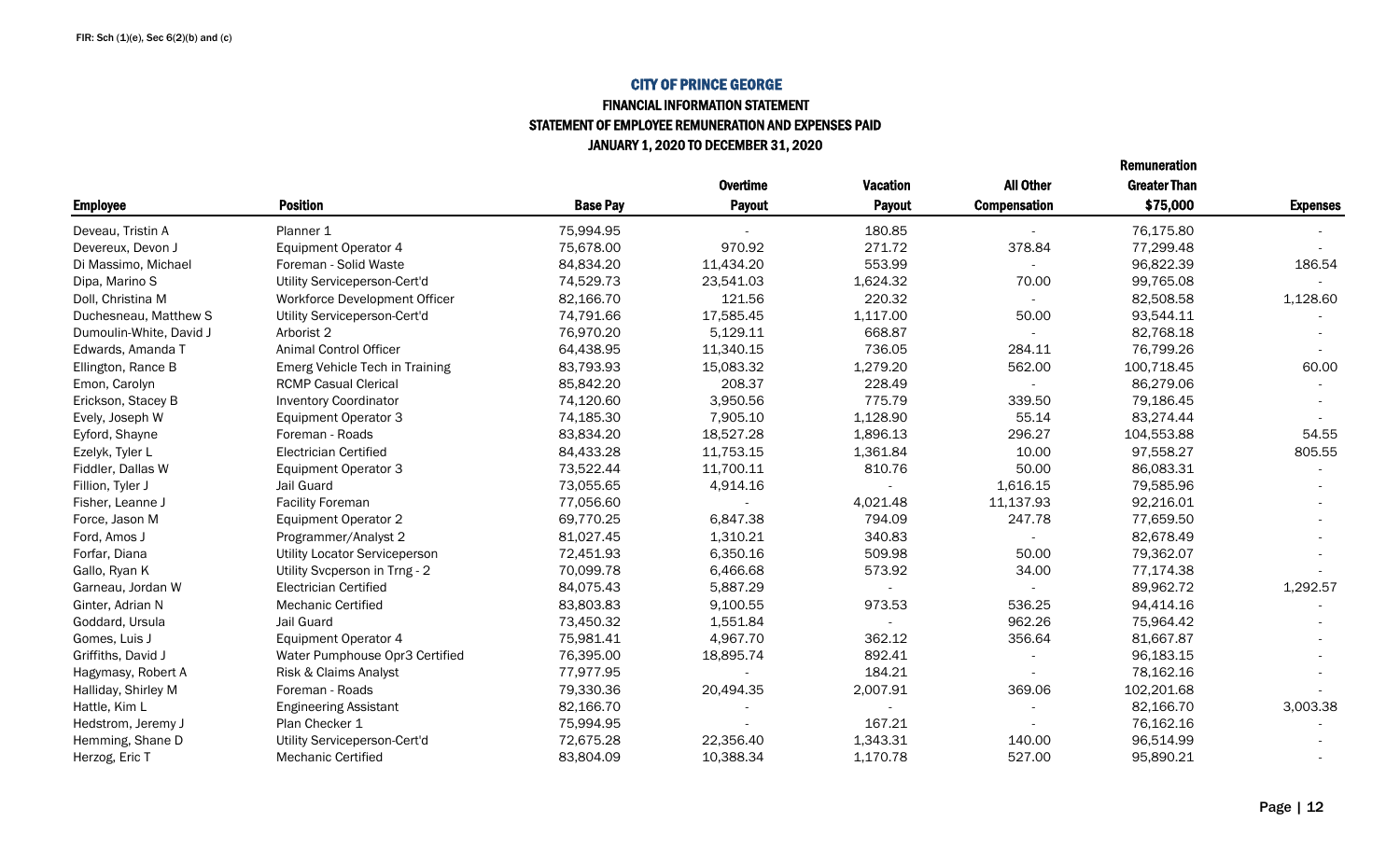#### FINANCIAL INFORMATION STATEMENT STATEMENT OF EMPLOYEE REMUNERATION AND EXPENSES PAID JANUARY 1, 2020 TO DECEMBER 31, 2020

|                         |                                |                 | <b>Overtime</b> | <b>Vacation</b> | <b>All Other</b>    | <b>Greater Than</b> |                 |
|-------------------------|--------------------------------|-----------------|-----------------|-----------------|---------------------|---------------------|-----------------|
| <b>Employee</b>         | <b>Position</b>                | <b>Base Pay</b> | <b>Payout</b>   | <b>Payout</b>   | <b>Compensation</b> | \$75,000            | <b>Expenses</b> |
| Deveau, Tristin A       | Planner 1                      | 75,994.95       |                 | 180.85          |                     | 76,175.80           |                 |
| Devereux, Devon J       | <b>Equipment Operator 4</b>    | 75,678.00       | 970.92          | 271.72          | 378.84              | 77,299.48           |                 |
| Di Massimo, Michael     | Foreman - Solid Waste          | 84,834.20       | 11,434.20       | 553.99          |                     | 96,822.39           | 186.54          |
| Dipa, Marino S          | Utility Serviceperson-Cert'd   | 74,529.73       | 23,541.03       | 1,624.32        | 70.00               | 99,765.08           |                 |
| Doll, Christina M       | Workforce Development Officer  | 82,166.70       | 121.56          | 220.32          |                     | 82,508.58           | 1,128.60        |
| Duchesneau, Matthew S   | Utility Serviceperson-Cert'd   | 74,791.66       | 17,585.45       | 1,117.00        | 50.00               | 93,544.11           |                 |
| Dumoulin-White, David J | Arborist 2                     | 76,970.20       | 5,129.11        | 668.87          |                     | 82,768.18           |                 |
| Edwards, Amanda T       | Animal Control Officer         | 64,438.95       | 11,340.15       | 736.05          | 284.11              | 76,799.26           |                 |
| Ellington, Rance B      | Emerg Vehicle Tech in Training | 83,793.93       | 15,083.32       | 1,279.20        | 562.00              | 100,718.45          | 60.00           |
| Emon, Carolyn           | <b>RCMP Casual Clerical</b>    | 85,842.20       | 208.37          | 228.49          |                     | 86,279.06           |                 |
| Erickson, Stacey B      | <b>Inventory Coordinator</b>   | 74,120.60       | 3,950.56        | 775.79          | 339.50              | 79,186.45           |                 |
| Evely, Joseph W         | <b>Equipment Operator 3</b>    | 74,185.30       | 7,905.10        | 1,128.90        | 55.14               | 83,274.44           |                 |
| Eyford, Shayne          | Foreman - Roads                | 83,834.20       | 18,527.28       | 1,896.13        | 296.27              | 104,553.88          | 54.55           |
| Ezelyk, Tyler L         | <b>Electrician Certified</b>   | 84,433.28       | 11,753.15       | 1,361.84        | 10.00               | 97,558.27           | 805.55          |
| Fiddler, Dallas W       | <b>Equipment Operator 3</b>    | 73,522.44       | 11,700.11       | 810.76          | 50.00               | 86,083.31           |                 |
| Fillion, Tyler J        | Jail Guard                     | 73,055.65       | 4,914.16        |                 | 1,616.15            | 79,585.96           |                 |
| Fisher, Leanne J        | <b>Facility Foreman</b>        | 77,056.60       |                 | 4,021.48        | 11,137.93           | 92,216.01           |                 |
| Force, Jason M          | <b>Equipment Operator 2</b>    | 69,770.25       | 6,847.38        | 794.09          | 247.78              | 77,659.50           |                 |
| Ford, Amos J            | Programmer/Analyst 2           | 81,027.45       | 1,310.21        | 340.83          |                     | 82,678.49           |                 |
| Forfar, Diana           | Utility Locator Serviceperson  | 72,451.93       | 6,350.16        | 509.98          | 50.00               | 79,362.07           |                 |
| Gallo, Ryan K           | Utility Svcperson in Trng - 2  | 70,099.78       | 6,466.68        | 573.92          | 34.00               | 77,174.38           |                 |
| Garneau, Jordan W       | <b>Electrician Certified</b>   | 84,075.43       | 5,887.29        |                 |                     | 89,962.72           | 1,292.57        |
| Ginter, Adrian N        | <b>Mechanic Certified</b>      | 83,803.83       | 9,100.55        | 973.53          | 536.25              | 94,414.16           |                 |
| Goddard, Ursula         | Jail Guard                     | 73,450.32       | 1,551.84        |                 | 962.26              | 75,964.42           |                 |
| Gomes, Luis J           | <b>Equipment Operator 4</b>    | 75,981.41       | 4,967.70        | 362.12          | 356.64              | 81,667.87           |                 |
| Griffiths, David J      | Water Pumphouse Opr3 Certified | 76,395.00       | 18,895.74       | 892.41          |                     | 96,183.15           |                 |
| Hagymasy, Robert A      | Risk & Claims Analyst          | 77,977.95       |                 | 184.21          |                     | 78,162.16           |                 |
| Halliday, Shirley M     | Foreman - Roads                | 79,330.36       | 20,494.35       | 2,007.91        | 369.06              | 102,201.68          |                 |
| Hattle, Kim L           | <b>Engineering Assistant</b>   | 82,166.70       |                 |                 |                     | 82,166.70           | 3,003.38        |
| Hedstrom, Jeremy J      | Plan Checker 1                 | 75,994.95       |                 | 167.21          |                     | 76,162.16           |                 |
| Hemming, Shane D        | Utility Serviceperson-Cert'd   | 72,675.28       | 22,356.40       | 1,343.31        | 140.00              | 96,514.99           |                 |
| Herzog, Eric T          | <b>Mechanic Certified</b>      | 83,804.09       | 10,388.34       | 1,170.78        | 527.00              | 95,890.21           |                 |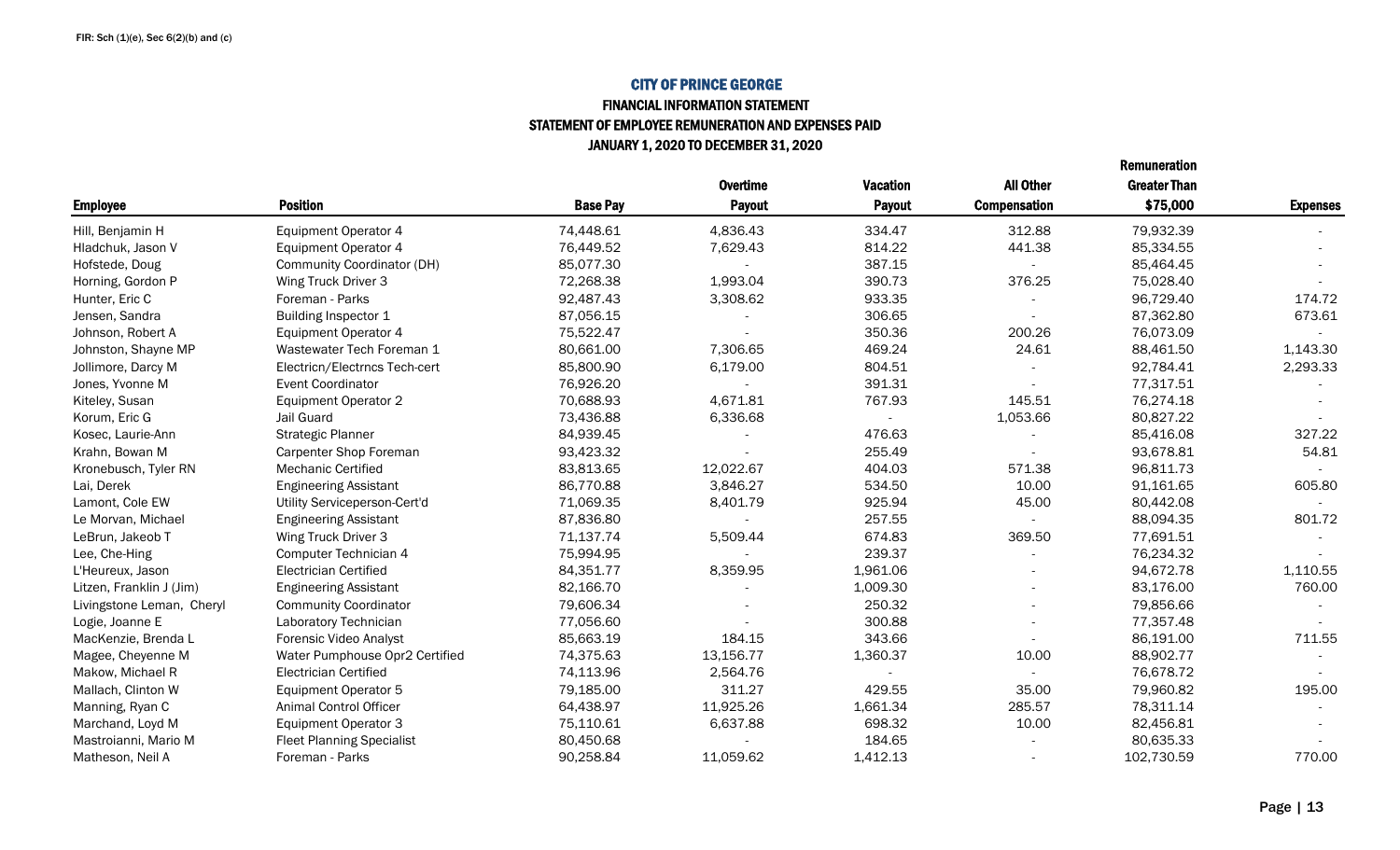#### FINANCIAL INFORMATION STATEMENT STATEMENT OF EMPLOYEE REMUNERATION AND EXPENSES PAID JANUARY 1, 2020 TO DECEMBER 31, 2020

|                           |                                  |                 | <b>Overtime</b> | <b>Vacation</b> | <b>All Other</b>    | <b>Greater Than</b> |                 |
|---------------------------|----------------------------------|-----------------|-----------------|-----------------|---------------------|---------------------|-----------------|
| <b>Employee</b>           | <b>Position</b>                  | <b>Base Pay</b> | <b>Payout</b>   | <b>Payout</b>   | <b>Compensation</b> | \$75,000            | <b>Expenses</b> |
| Hill, Benjamin H          | <b>Equipment Operator 4</b>      | 74,448.61       | 4,836.43        | 334.47          | 312.88              | 79,932.39           |                 |
| Hladchuk, Jason V         | Equipment Operator 4             | 76,449.52       | 7,629.43        | 814.22          | 441.38              | 85,334.55           |                 |
| Hofstede, Doug            | Community Coordinator (DH)       | 85,077.30       |                 | 387.15          |                     | 85,464.45           |                 |
| Horning, Gordon P         | Wing Truck Driver 3              | 72,268.38       | 1,993.04        | 390.73          | 376.25              | 75,028.40           |                 |
| Hunter, Eric C            | Foreman - Parks                  | 92,487.43       | 3,308.62        | 933.35          |                     | 96,729.40           | 174.72          |
| Jensen, Sandra            | Building Inspector 1             | 87,056.15       |                 | 306.65          |                     | 87,362.80           | 673.61          |
| Johnson, Robert A         | <b>Equipment Operator 4</b>      | 75,522.47       |                 | 350.36          | 200.26              | 76,073.09           |                 |
| Johnston, Shayne MP       | Wastewater Tech Foreman 1        | 80,661.00       | 7,306.65        | 469.24          | 24.61               | 88,461.50           | 1,143.30        |
| Jollimore, Darcy M        | Electricn/Electrncs Tech-cert    | 85,800.90       | 6,179.00        | 804.51          |                     | 92,784.41           | 2,293.33        |
| Jones, Yvonne M           | <b>Event Coordinator</b>         | 76,926.20       |                 | 391.31          |                     | 77,317.51           |                 |
| Kiteley, Susan            | <b>Equipment Operator 2</b>      | 70,688.93       | 4,671.81        | 767.93          | 145.51              | 76,274.18           |                 |
| Korum, Eric G             | Jail Guard                       | 73,436.88       | 6,336.68        |                 | 1,053.66            | 80,827.22           |                 |
| Kosec, Laurie-Ann         | <b>Strategic Planner</b>         | 84,939.45       |                 | 476.63          |                     | 85,416.08           | 327.22          |
| Krahn, Bowan M            | <b>Carpenter Shop Foreman</b>    | 93,423.32       |                 | 255.49          |                     | 93,678.81           | 54.81           |
| Kronebusch, Tyler RN      | <b>Mechanic Certified</b>        | 83,813.65       | 12,022.67       | 404.03          | 571.38              | 96,811.73           |                 |
| Lai, Derek                | <b>Engineering Assistant</b>     | 86,770.88       | 3,846.27        | 534.50          | 10.00               | 91,161.65           | 605.80          |
| Lamont, Cole EW           | Utility Serviceperson-Cert'd     | 71,069.35       | 8,401.79        | 925.94          | 45.00               | 80,442.08           |                 |
| Le Morvan, Michael        | <b>Engineering Assistant</b>     | 87,836.80       |                 | 257.55          |                     | 88,094.35           | 801.72          |
| LeBrun, Jakeob T          | Wing Truck Driver 3              | 71,137.74       | 5,509.44        | 674.83          | 369.50              | 77,691.51           |                 |
| Lee, Che-Hing             | Computer Technician 4            | 75,994.95       |                 | 239.37          |                     | 76,234.32           |                 |
| L'Heureux, Jason          | <b>Electrician Certified</b>     | 84,351.77       | 8,359.95        | 1,961.06        |                     | 94,672.78           | 1,110.55        |
| Litzen, Franklin J (Jim)  | <b>Engineering Assistant</b>     | 82,166.70       |                 | 1,009.30        |                     | 83,176.00           | 760.00          |
| Livingstone Leman, Cheryl | <b>Community Coordinator</b>     | 79,606.34       |                 | 250.32          |                     | 79,856.66           |                 |
| Logie, Joanne E           | Laboratory Technician            | 77,056.60       |                 | 300.88          |                     | 77,357.48           |                 |
| MacKenzie, Brenda L       | Forensic Video Analyst           | 85,663.19       | 184.15          | 343.66          |                     | 86,191.00           | 711.55          |
| Magee, Cheyenne M         | Water Pumphouse Opr2 Certified   | 74,375.63       | 13,156.77       | 1,360.37        | 10.00               | 88,902.77           |                 |
| Makow, Michael R          | Electrician Certified            | 74,113.96       | 2,564.76        |                 |                     | 76,678.72           |                 |
| Mallach, Clinton W        | Equipment Operator 5             | 79,185.00       | 311.27          | 429.55          | 35.00               | 79,960.82           | 195.00          |
| Manning, Ryan C           | <b>Animal Control Officer</b>    | 64,438.97       | 11,925.26       | 1,661.34        | 285.57              | 78,311.14           |                 |
| Marchand, Loyd M          | <b>Equipment Operator 3</b>      | 75,110.61       | 6,637.88        | 698.32          | 10.00               | 82,456.81           |                 |
| Mastroianni, Mario M      | <b>Fleet Planning Specialist</b> | 80,450.68       |                 | 184.65          |                     | 80,635.33           |                 |
| Matheson, Neil A          | Foreman - Parks                  | 90,258.84       | 11,059.62       | 1,412.13        |                     | 102,730.59          | 770.00          |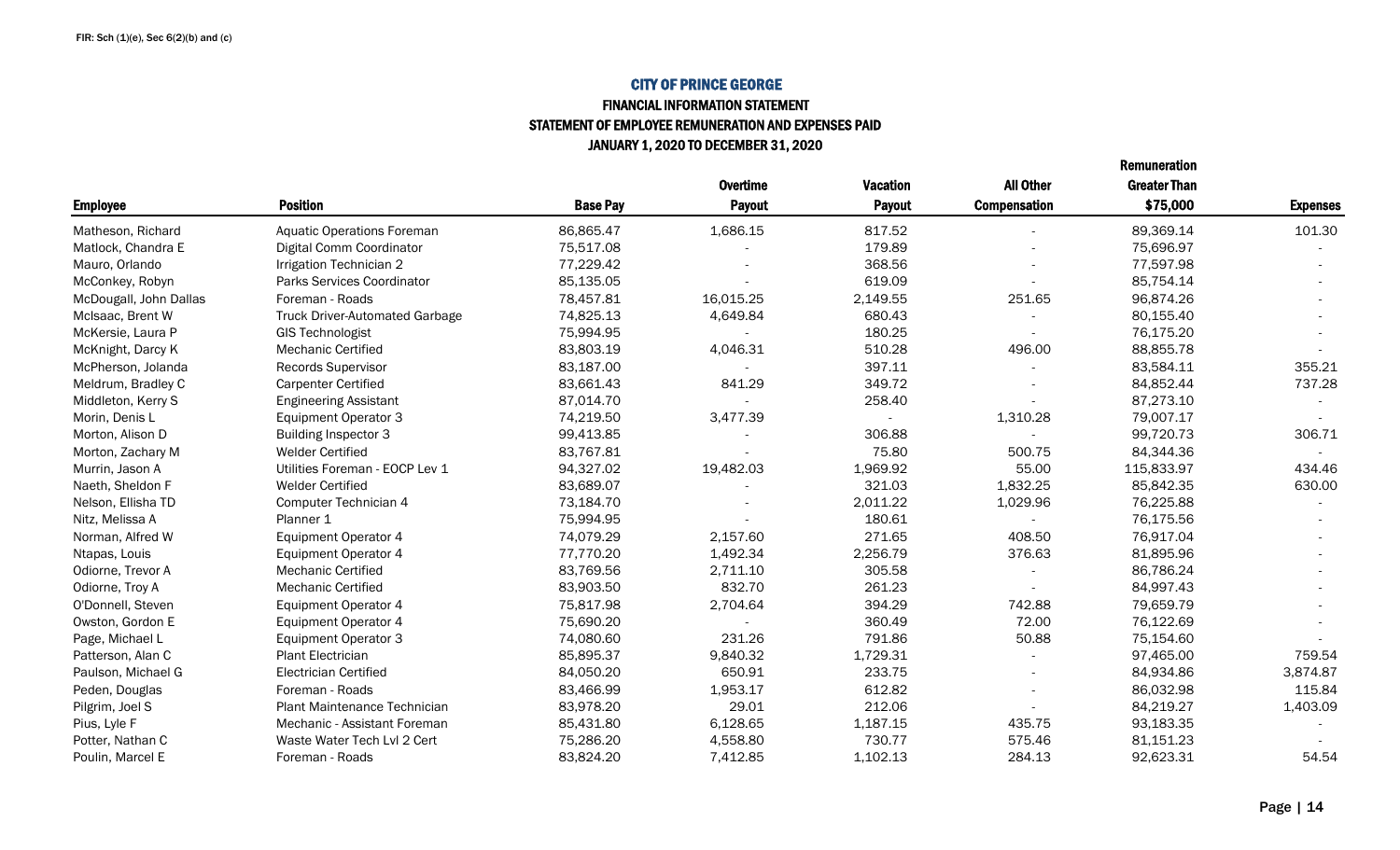#### CITY OF PRINCE GEORGE FINANCIAL INFORMATION STATEMENT

STATEMENT OF EMPLOYEE REMUNERATION AND EXPENSES PAID

JANUARY 1, 2020 TO DECEMBER 31, 2020

|                        |                                       |                 | <b>Overtime</b> | <b>Vacation</b> | <b>All Other</b>         | <b>Greater Than</b> |                 |
|------------------------|---------------------------------------|-----------------|-----------------|-----------------|--------------------------|---------------------|-----------------|
| <b>Employee</b>        | <b>Position</b>                       | <b>Base Pay</b> | Payout          | Payout          | <b>Compensation</b>      | \$75,000            | <b>Expenses</b> |
| Matheson, Richard      | <b>Aquatic Operations Foreman</b>     | 86,865.47       | 1,686.15        | 817.52          |                          | 89,369.14           | 101.30          |
| Matlock, Chandra E     | Digital Comm Coordinator              | 75,517.08       |                 | 179.89          |                          | 75,696.97           |                 |
| Mauro, Orlando         | Irrigation Technician 2               | 77,229.42       |                 | 368.56          |                          | 77,597.98           |                 |
| McConkey, Robyn        | Parks Services Coordinator            | 85,135.05       |                 | 619.09          |                          | 85,754.14           |                 |
| McDougall, John Dallas | Foreman - Roads                       | 78,457.81       | 16,015.25       | 2,149.55        | 251.65                   | 96,874.26           |                 |
| McIsaac, Brent W       | <b>Truck Driver-Automated Garbage</b> | 74,825.13       | 4,649.84        | 680.43          |                          | 80,155.40           |                 |
| McKersie, Laura P      | <b>GIS Technologist</b>               | 75,994.95       |                 | 180.25          |                          | 76,175.20           |                 |
| McKnight, Darcy K      | <b>Mechanic Certified</b>             | 83,803.19       | 4,046.31        | 510.28          | 496.00                   | 88,855.78           |                 |
| McPherson, Jolanda     | <b>Records Supervisor</b>             | 83,187.00       |                 | 397.11          |                          | 83,584.11           | 355.21          |
| Meldrum, Bradley C     | <b>Carpenter Certified</b>            | 83,661.43       | 841.29          | 349.72          |                          | 84,852.44           | 737.28          |
| Middleton, Kerry S     | <b>Engineering Assistant</b>          | 87,014.70       |                 | 258.40          |                          | 87,273.10           |                 |
| Morin, Denis L         | <b>Equipment Operator 3</b>           | 74,219.50       | 3,477.39        |                 | 1,310.28                 | 79,007.17           |                 |
| Morton, Alison D       | <b>Building Inspector 3</b>           | 99,413.85       |                 | 306.88          |                          | 99,720.73           | 306.71          |
| Morton, Zachary M      | <b>Welder Certified</b>               | 83,767.81       |                 | 75.80           | 500.75                   | 84,344.36           |                 |
| Murrin, Jason A        | Utilities Foreman - EOCP Lev 1        | 94,327.02       | 19,482.03       | 1,969.92        | 55.00                    | 115,833.97          | 434.46          |
| Naeth, Sheldon F       | <b>Welder Certified</b>               | 83,689.07       |                 | 321.03          | 1,832.25                 | 85,842.35           | 630.00          |
| Nelson, Ellisha TD     | Computer Technician 4                 | 73,184.70       |                 | 2,011.22        | 1,029.96                 | 76,225.88           |                 |
| Nitz, Melissa A        | Planner 1                             | 75,994.95       |                 | 180.61          |                          | 76,175.56           |                 |
| Norman, Alfred W       | <b>Equipment Operator 4</b>           | 74,079.29       | 2,157.60        | 271.65          | 408.50                   | 76,917.04           |                 |
| Ntapas, Louis          | <b>Equipment Operator 4</b>           | 77,770.20       | 1,492.34        | 2,256.79        | 376.63                   | 81,895.96           |                 |
| Odiorne, Trevor A      | Mechanic Certified                    | 83,769.56       | 2,711.10        | 305.58          |                          | 86,786.24           |                 |
| Odiorne, Troy A        | Mechanic Certified                    | 83,903.50       | 832.70          | 261.23          |                          | 84,997.43           |                 |
| O'Donnell, Steven      | <b>Equipment Operator 4</b>           | 75,817.98       | 2,704.64        | 394.29          | 742.88                   | 79,659.79           |                 |
| Owston, Gordon E       | Equipment Operator 4                  | 75,690.20       |                 | 360.49          | 72.00                    | 76,122.69           |                 |
| Page, Michael L        | <b>Equipment Operator 3</b>           | 74,080.60       | 231.26          | 791.86          | 50.88                    | 75,154.60           |                 |
| Patterson, Alan C      | Plant Electrician                     | 85,895.37       | 9,840.32        | 1,729.31        |                          | 97,465.00           | 759.54          |
| Paulson, Michael G     | <b>Electrician Certified</b>          | 84,050.20       | 650.91          | 233.75          | $\overline{a}$           | 84,934.86           | 3,874.87        |
| Peden, Douglas         | Foreman - Roads                       | 83,466.99       | 1,953.17        | 612.82          | $\overline{\phantom{a}}$ | 86,032.98           | 115.84          |
| Pilgrim, Joel S        | <b>Plant Maintenance Technician</b>   | 83,978.20       | 29.01           | 212.06          |                          | 84,219.27           | 1,403.09        |
| Pius, Lyle F           | Mechanic - Assistant Foreman          | 85,431.80       | 6,128.65        | 1,187.15        | 435.75                   | 93,183.35           |                 |
| Potter, Nathan C       | Waste Water Tech Lvl 2 Cert           | 75,286.20       | 4,558.80        | 730.77          | 575.46                   | 81,151.23           |                 |
| Poulin, Marcel E       | Foreman - Roads                       | 83,824.20       | 7,412.85        | 1,102.13        | 284.13                   | 92,623.31           | 54.54           |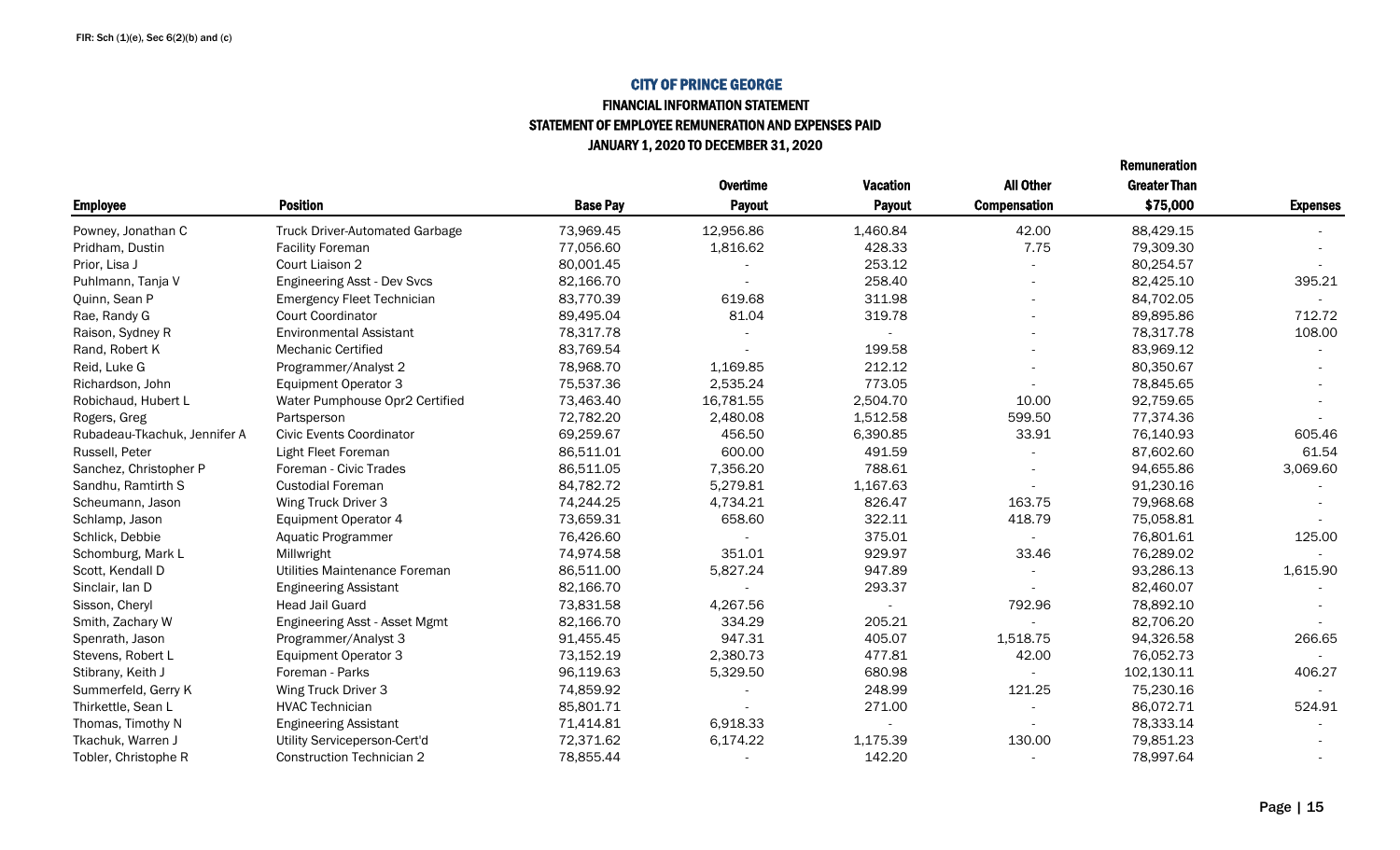#### FINANCIAL INFORMATION STATEMENT STATEMENT OF EMPLOYEE REMUNERATION AND EXPENSES PAID JANUARY 1, 2020 TO DECEMBER 31, 2020

|                              |                                       |                 | <b>Overtime</b> | <b>Vacation</b>          | <b>All Other</b>         | <b>Greater Than</b> |                 |
|------------------------------|---------------------------------------|-----------------|-----------------|--------------------------|--------------------------|---------------------|-----------------|
| <b>Employee</b>              | <b>Position</b>                       | <b>Base Pay</b> | <b>Payout</b>   | <b>Payout</b>            | <b>Compensation</b>      | \$75,000            | <b>Expenses</b> |
| Powney, Jonathan C           | <b>Truck Driver-Automated Garbage</b> | 73,969.45       | 12,956.86       | 1,460.84                 | 42.00                    | 88,429.15           |                 |
| Pridham, Dustin              | <b>Facility Foreman</b>               | 77,056.60       | 1,816.62        | 428.33                   | 7.75                     | 79,309.30           |                 |
| Prior, Lisa J                | Court Liaison 2                       | 80,001.45       |                 | 253.12                   |                          | 80,254.57           |                 |
| Puhlmann, Tanja V            | <b>Engineering Asst - Dev Svcs</b>    | 82,166.70       |                 | 258.40                   | $\overline{\phantom{a}}$ | 82,425.10           | 395.21          |
| Quinn, Sean P                | <b>Emergency Fleet Technician</b>     | 83,770.39       | 619.68          | 311.98                   | $\overline{\phantom{a}}$ | 84,702.05           |                 |
| Rae, Randy G                 | <b>Court Coordinator</b>              | 89,495.04       | 81.04           | 319.78                   | $\overline{\phantom{a}}$ | 89,895.86           | 712.72          |
| Raison, Sydney R             | <b>Environmental Assistant</b>        | 78,317.78       |                 |                          | $\overline{\phantom{a}}$ | 78,317.78           | 108.00          |
| Rand, Robert K               | <b>Mechanic Certified</b>             | 83,769.54       |                 | 199.58                   | $\overline{\phantom{a}}$ | 83,969.12           |                 |
| Reid, Luke G                 | Programmer/Analyst 2                  | 78,968.70       | 1,169.85        | 212.12                   |                          | 80,350.67           |                 |
| Richardson, John             | <b>Equipment Operator 3</b>           | 75,537.36       | 2,535.24        | 773.05                   |                          | 78,845.65           |                 |
| Robichaud, Hubert L          | Water Pumphouse Opr2 Certified        | 73,463.40       | 16,781.55       | 2,504.70                 | 10.00                    | 92,759.65           |                 |
| Rogers, Greg                 | Partsperson                           | 72,782.20       | 2,480.08        | 1,512.58                 | 599.50                   | 77,374.36           |                 |
| Rubadeau-Tkachuk, Jennifer A | <b>Civic Events Coordinator</b>       | 69,259.67       | 456.50          | 6,390.85                 | 33.91                    | 76,140.93           | 605.46          |
| Russell, Peter               | Light Fleet Foreman                   | 86,511.01       | 600.00          | 491.59                   |                          | 87,602.60           | 61.54           |
| Sanchez, Christopher P       | Foreman - Civic Trades                | 86,511.05       | 7,356.20        | 788.61                   |                          | 94,655.86           | 3,069.60        |
| Sandhu, Ramtirth S           | <b>Custodial Foreman</b>              | 84,782.72       | 5,279.81        | 1,167.63                 |                          | 91,230.16           |                 |
| Scheumann, Jason             | Wing Truck Driver 3                   | 74,244.25       | 4,734.21        | 826.47                   | 163.75                   | 79,968.68           |                 |
| Schlamp, Jason               | Equipment Operator 4                  | 73,659.31       | 658.60          | 322.11                   | 418.79                   | 75,058.81           |                 |
| Schlick, Debbie              | Aquatic Programmer                    | 76,426.60       |                 | 375.01                   |                          | 76,801.61           | 125.00          |
| Schomburg, Mark L            | Millwright                            | 74,974.58       | 351.01          | 929.97                   | 33.46                    | 76,289.02           |                 |
| Scott, Kendall D             | Utilities Maintenance Foreman         | 86,511.00       | 5,827.24        | 947.89                   |                          | 93,286.13           | 1,615.90        |
| Sinclair, Ian D              | <b>Engineering Assistant</b>          | 82,166.70       |                 | 293.37                   |                          | 82,460.07           |                 |
| Sisson, Cheryl               | <b>Head Jail Guard</b>                | 73,831.58       | 4,267.56        | $\overline{\phantom{a}}$ | 792.96                   | 78,892.10           |                 |
| Smith, Zachary W             | Engineering Asst - Asset Mgmt         | 82,166.70       | 334.29          | 205.21                   |                          | 82,706.20           |                 |
| Spenrath, Jason              | Programmer/Analyst 3                  | 91,455.45       | 947.31          | 405.07                   | 1,518.75                 | 94,326.58           | 266.65          |
| Stevens, Robert L            | <b>Equipment Operator 3</b>           | 73,152.19       | 2,380.73        | 477.81                   | 42.00                    | 76,052.73           |                 |
| Stibrany, Keith J            | Foreman - Parks                       | 96,119.63       | 5,329.50        | 680.98                   |                          | 102,130.11          | 406.27          |
| Summerfeld, Gerry K          | Wing Truck Driver 3                   | 74,859.92       |                 | 248.99                   | 121.25                   | 75,230.16           |                 |
| Thirkettle, Sean L           | <b>HVAC Technician</b>                | 85,801.71       |                 | 271.00                   |                          | 86,072.71           | 524.91          |
| Thomas, Timothy N            | <b>Engineering Assistant</b>          | 71,414.81       | 6.918.33        |                          |                          | 78,333.14           |                 |
| Tkachuk, Warren J            | Utility Serviceperson-Cert'd          | 72,371.62       | 6,174.22        | 1,175.39                 | 130.00                   | 79,851.23           |                 |
| Tobler, Christophe R         | <b>Construction Technician 2</b>      | 78,855.44       |                 | 142.20                   | $\overline{\phantom{a}}$ | 78,997.64           |                 |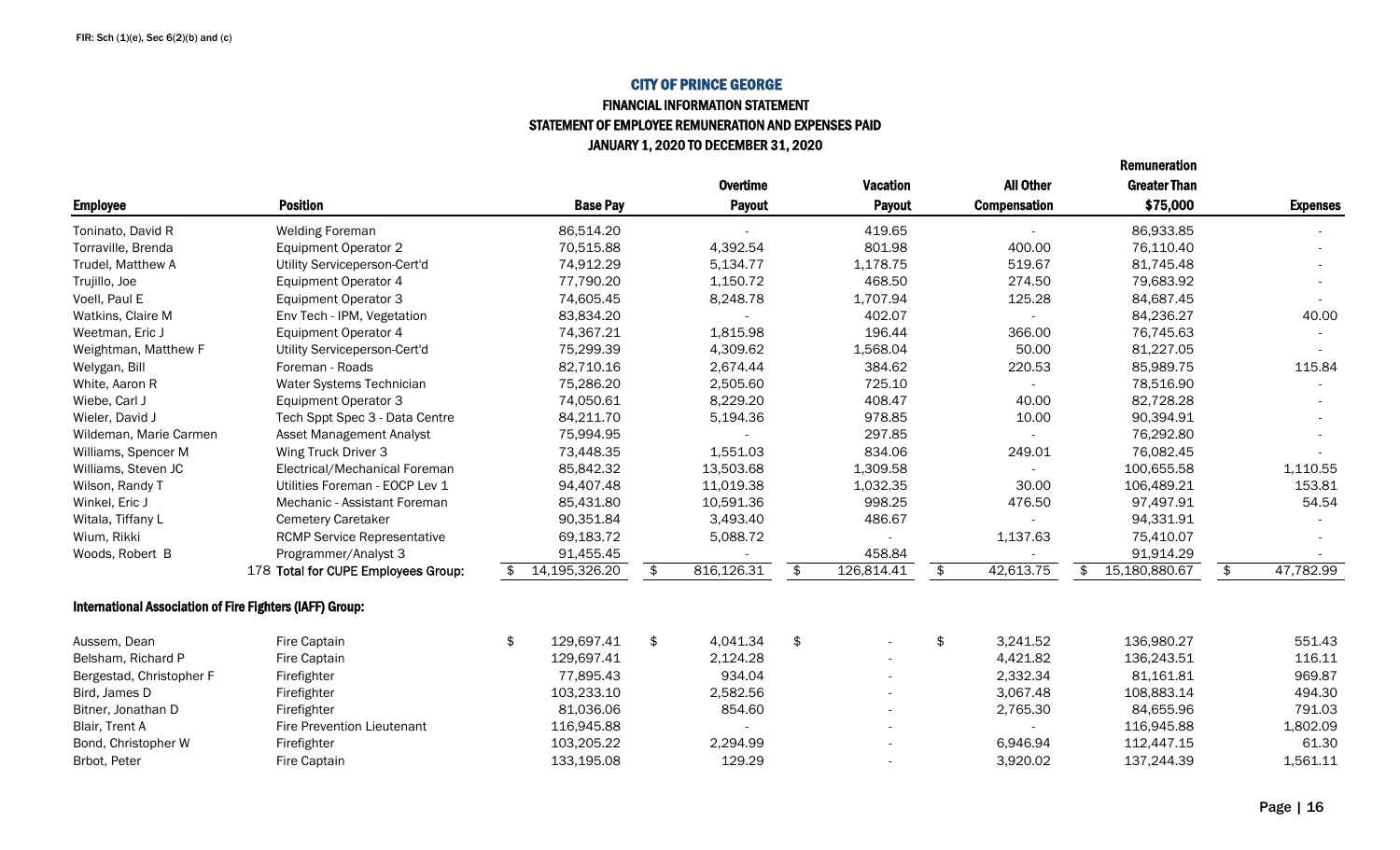#### FINANCIAL INFORMATION STATEMENT STATEMENT OF EMPLOYEE REMUNERATION AND EXPENSES PAID JANUARY 1, 2020 TO DECEMBER 31, 2020

|                                                          |                                     |                     |                  |                          |                          | Remuneration        |               |                 |
|----------------------------------------------------------|-------------------------------------|---------------------|------------------|--------------------------|--------------------------|---------------------|---------------|-----------------|
|                                                          |                                     |                     | <b>Overtime</b>  | <b>Vacation</b>          | <b>All Other</b>         | <b>Greater Than</b> |               |                 |
| <b>Employee</b>                                          | <b>Position</b>                     | <b>Base Pay</b>     | <b>Payout</b>    | Payout                   | <b>Compensation</b>      | \$75,000            |               | <b>Expenses</b> |
| Toninato, David R                                        | <b>Welding Foreman</b>              | 86,514.20           |                  | 419.65                   |                          | 86,933.85           |               |                 |
| Torraville, Brenda                                       | <b>Equipment Operator 2</b>         | 70,515.88           | 4,392.54         | 801.98                   | 400.00                   | 76,110.40           |               |                 |
| Trudel, Matthew A                                        | Utility Serviceperson-Cert'd        | 74,912.29           | 5,134.77         | 1,178.75                 | 519.67                   | 81,745.48           |               |                 |
| Trujillo, Joe                                            | <b>Equipment Operator 4</b>         | 77,790.20           | 1,150.72         | 468.50                   | 274.50                   | 79,683.92           |               |                 |
| Voell, Paul E                                            | <b>Equipment Operator 3</b>         | 74,605.45           | 8,248.78         | 1,707.94                 | 125.28                   | 84,687.45           |               |                 |
| Watkins, Claire M                                        | Env Tech - IPM, Vegetation          | 83,834.20           |                  | 402.07                   |                          | 84,236.27           |               | 40.00           |
| Weetman, Eric J                                          | <b>Equipment Operator 4</b>         | 74,367.21           | 1,815.98         | 196.44                   | 366.00                   | 76,745.63           |               |                 |
| Weightman, Matthew F                                     | Utility Serviceperson-Cert'd        | 75,299.39           | 4,309.62         | 1,568.04                 | 50.00                    | 81,227.05           |               |                 |
| Welygan, Bill                                            | Foreman - Roads                     | 82,710.16           | 2,674.44         | 384.62                   | 220.53                   | 85,989.75           |               | 115.84          |
| White, Aaron R                                           | Water Systems Technician            | 75,286.20           | 2,505.60         | 725.10                   | $\overline{\phantom{a}}$ | 78,516.90           |               |                 |
| Wiebe, Carl J                                            | <b>Equipment Operator 3</b>         | 74,050.61           | 8,229.20         | 408.47                   | 40.00                    | 82,728.28           |               |                 |
| Wieler, David J                                          | Tech Sppt Spec 3 - Data Centre      | 84,211.70           | 5,194.36         | 978.85                   | 10.00                    | 90,394.91           |               |                 |
| Wildeman, Marie Carmen                                   | <b>Asset Management Analyst</b>     | 75,994.95           |                  | 297.85                   |                          | 76,292.80           |               |                 |
| Williams, Spencer M                                      | Wing Truck Driver 3                 | 73,448.35           | 1,551.03         | 834.06                   | 249.01                   | 76,082.45           |               |                 |
| Williams, Steven JC                                      | Electrical/Mechanical Foreman       | 85,842.32           | 13,503.68        | 1,309.58                 |                          | 100,655.58          |               | 1,110.55        |
| Wilson, Randy T                                          | Utilities Foreman - EOCP Lev 1      | 94,407.48           | 11,019.38        | 1,032.35                 | 30.00                    | 106,489.21          |               | 153.81          |
| Winkel, Eric J                                           | Mechanic - Assistant Foreman        | 85,431.80           | 10,591.36        | 998.25                   | 476.50                   | 97,497.91           |               | 54.54           |
| Witala, Tiffany L                                        | <b>Cemetery Caretaker</b>           | 90,351.84           | 3,493.40         | 486.67                   |                          | 94,331.91           |               |                 |
| Wium, Rikki                                              | <b>RCMP Service Representative</b>  | 69,183.72           | 5,088.72         |                          | 1,137.63                 | 75,410.07           |               |                 |
| Woods, Robert B                                          | Programmer/Analyst 3                | 91,455.45           |                  | 458.84                   |                          | 91,914.29           |               |                 |
|                                                          | 178 Total for CUPE Employees Group: | \$<br>14,195,326.20 | \$<br>816,126.31 | \$<br>126,814.41         | \$<br>42,613.75          | \$<br>15,180,880.67 | $\frac{1}{2}$ | 47,782.99       |
| International Association of Fire Fighters (IAFF) Group: |                                     |                     |                  |                          |                          |                     |               |                 |
| Aussem, Dean                                             | Fire Captain                        | \$<br>129,697.41    | \$<br>4,041.34   | \$                       | \$<br>3,241.52           | 136,980.27          |               | 551.43          |
| Belsham, Richard P                                       | Fire Captain                        | 129,697.41          | 2,124.28         |                          | 4,421.82                 | 136,243.51          |               | 116.11          |
| Bergestad, Christopher F                                 | Firefighter                         | 77,895.43           | 934.04           |                          | 2,332.34                 | 81,161.81           |               | 969.87          |
| Bird, James D                                            | Firefighter                         | 103,233.10          | 2,582.56         | $\overline{\phantom{0}}$ | 3,067.48                 | 108,883.14          |               | 494.30          |
| Bitner, Jonathan D                                       | Firefighter                         | 81,036.06           | 854.60           | $\overline{a}$           | 2,765.30                 | 84,655.96           |               | 791.03          |
| Blair, Trent A                                           | <b>Fire Prevention Lieutenant</b>   | 116,945.88          |                  |                          |                          | 116,945.88          |               | 1,802.09        |
| Bond, Christopher W                                      | Firefighter                         | 103,205.22          | 2,294.99         |                          | 6,946.94                 | 112,447.15          |               | 61.30           |
| Brbot, Peter                                             | Fire Captain                        | 133,195.08          | 129.29           |                          | 3,920.02                 | 137,244.39          |               | 1,561.11        |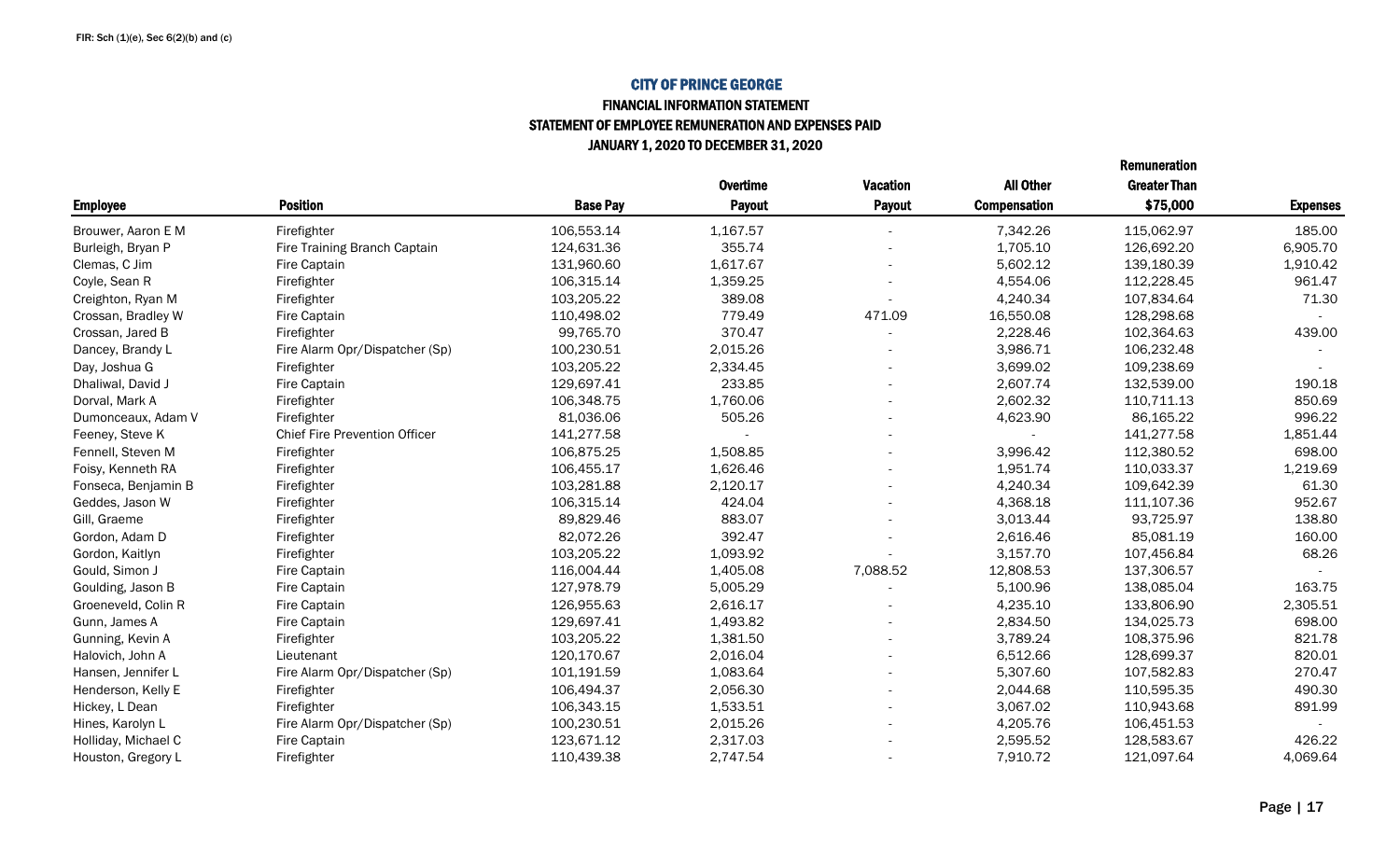#### FINANCIAL INFORMATION STATEMENT STATEMENT OF EMPLOYEE REMUNERATION AND EXPENSES PAID JANUARY 1, 2020 TO DECEMBER 31, 2020

|                     |                                      |                 | <b>Overtime</b> | <b>Vacation</b> | <b>All Other</b>    | <b>Greater Than</b> |                 |
|---------------------|--------------------------------------|-----------------|-----------------|-----------------|---------------------|---------------------|-----------------|
| <b>Employee</b>     | <b>Position</b>                      | <b>Base Pay</b> | Payout          | Payout          | <b>Compensation</b> | \$75,000            | <b>Expenses</b> |
| Brouwer, Aaron E M  | Firefighter                          | 106,553.14      | 1,167.57        |                 | 7,342.26            | 115,062.97          | 185.00          |
| Burleigh, Bryan P   | Fire Training Branch Captain         | 124,631.36      | 355.74          |                 | 1,705.10            | 126,692.20          | 6,905.70        |
| Clemas, C Jim       | Fire Captain                         | 131,960.60      | 1,617.67        |                 | 5,602.12            | 139,180.39          | 1,910.42        |
| Coyle, Sean R       | Firefighter                          | 106,315.14      | 1,359.25        |                 | 4,554.06            | 112,228.45          | 961.47          |
| Creighton, Ryan M   | Firefighter                          | 103,205.22      | 389.08          |                 | 4,240.34            | 107,834.64          | 71.30           |
| Crossan, Bradley W  | Fire Captain                         | 110,498.02      | 779.49          | 471.09          | 16,550.08           | 128,298.68          |                 |
| Crossan, Jared B    | Firefighter                          | 99,765.70       | 370.47          |                 | 2,228.46            | 102,364.63          | 439.00          |
| Dancey, Brandy L    | Fire Alarm Opr/Dispatcher (Sp)       | 100,230.51      | 2,015.26        |                 | 3,986.71            | 106,232.48          |                 |
| Day, Joshua G       | Firefighter                          | 103,205.22      | 2,334.45        |                 | 3,699.02            | 109,238.69          |                 |
| Dhaliwal, David J   | Fire Captain                         | 129,697.41      | 233.85          |                 | 2,607.74            | 132,539.00          | 190.18          |
| Dorval, Mark A      | Firefighter                          | 106,348.75      | 1,760.06        |                 | 2,602.32            | 110,711.13          | 850.69          |
| Dumonceaux, Adam V  | Firefighter                          | 81,036.06       | 505.26          |                 | 4,623.90            | 86,165.22           | 996.22          |
| Feeney, Steve K     | <b>Chief Fire Prevention Officer</b> | 141,277.58      |                 |                 |                     | 141,277.58          | 1,851.44        |
| Fennell, Steven M   | Firefighter                          | 106,875.25      | 1,508.85        |                 | 3,996.42            | 112,380.52          | 698.00          |
| Foisy, Kenneth RA   | Firefighter                          | 106,455.17      | 1,626.46        |                 | 1,951.74            | 110,033.37          | 1,219.69        |
| Fonseca, Benjamin B | Firefighter                          | 103,281.88      | 2,120.17        |                 | 4,240.34            | 109,642.39          | 61.30           |
| Geddes, Jason W     | Firefighter                          | 106,315.14      | 424.04          |                 | 4,368.18            | 111,107.36          | 952.67          |
| Gill, Graeme        | Firefighter                          | 89,829.46       | 883.07          |                 | 3,013.44            | 93,725.97           | 138.80          |
| Gordon, Adam D      | Firefighter                          | 82,072.26       | 392.47          |                 | 2,616.46            | 85,081.19           | 160.00          |
| Gordon, Kaitlyn     | Firefighter                          | 103,205.22      | 1,093.92        |                 | 3,157.70            | 107,456.84          | 68.26           |
| Gould, Simon J      | Fire Captain                         | 116,004.44      | 1,405.08        | 7,088.52        | 12,808.53           | 137,306.57          |                 |
| Goulding, Jason B   | Fire Captain                         | 127,978.79      | 5,005.29        |                 | 5,100.96            | 138,085.04          | 163.75          |
| Groeneveld, Colin R | Fire Captain                         | 126,955.63      | 2,616.17        |                 | 4,235.10            | 133,806.90          | 2,305.51        |
| Gunn, James A       | Fire Captain                         | 129,697.41      | 1,493.82        |                 | 2,834.50            | 134,025.73          | 698.00          |
| Gunning, Kevin A    | Firefighter                          | 103,205.22      | 1,381.50        |                 | 3,789.24            | 108,375.96          | 821.78          |
| Halovich, John A    | Lieutenant                           | 120,170.67      | 2,016.04        |                 | 6,512.66            | 128,699.37          | 820.01          |
| Hansen, Jennifer L  | Fire Alarm Opr/Dispatcher (Sp)       | 101,191.59      | 1,083.64        |                 | 5,307.60            | 107,582.83          | 270.47          |
| Henderson, Kelly E  | Firefighter                          | 106,494.37      | 2,056.30        |                 | 2,044.68            | 110,595.35          | 490.30          |
| Hickey, L Dean      | Firefighter                          | 106,343.15      | 1,533.51        |                 | 3,067.02            | 110,943.68          | 891.99          |
| Hines, Karolyn L    | Fire Alarm Opr/Dispatcher (Sp)       | 100,230.51      | 2,015.26        |                 | 4,205.76            | 106,451.53          |                 |
| Holliday, Michael C | Fire Captain                         | 123,671.12      | 2,317.03        |                 | 2,595.52            | 128,583.67          | 426.22          |
| Houston, Gregory L  | Firefighter                          | 110,439.38      | 2,747.54        |                 | 7,910.72            | 121,097.64          | 4,069.64        |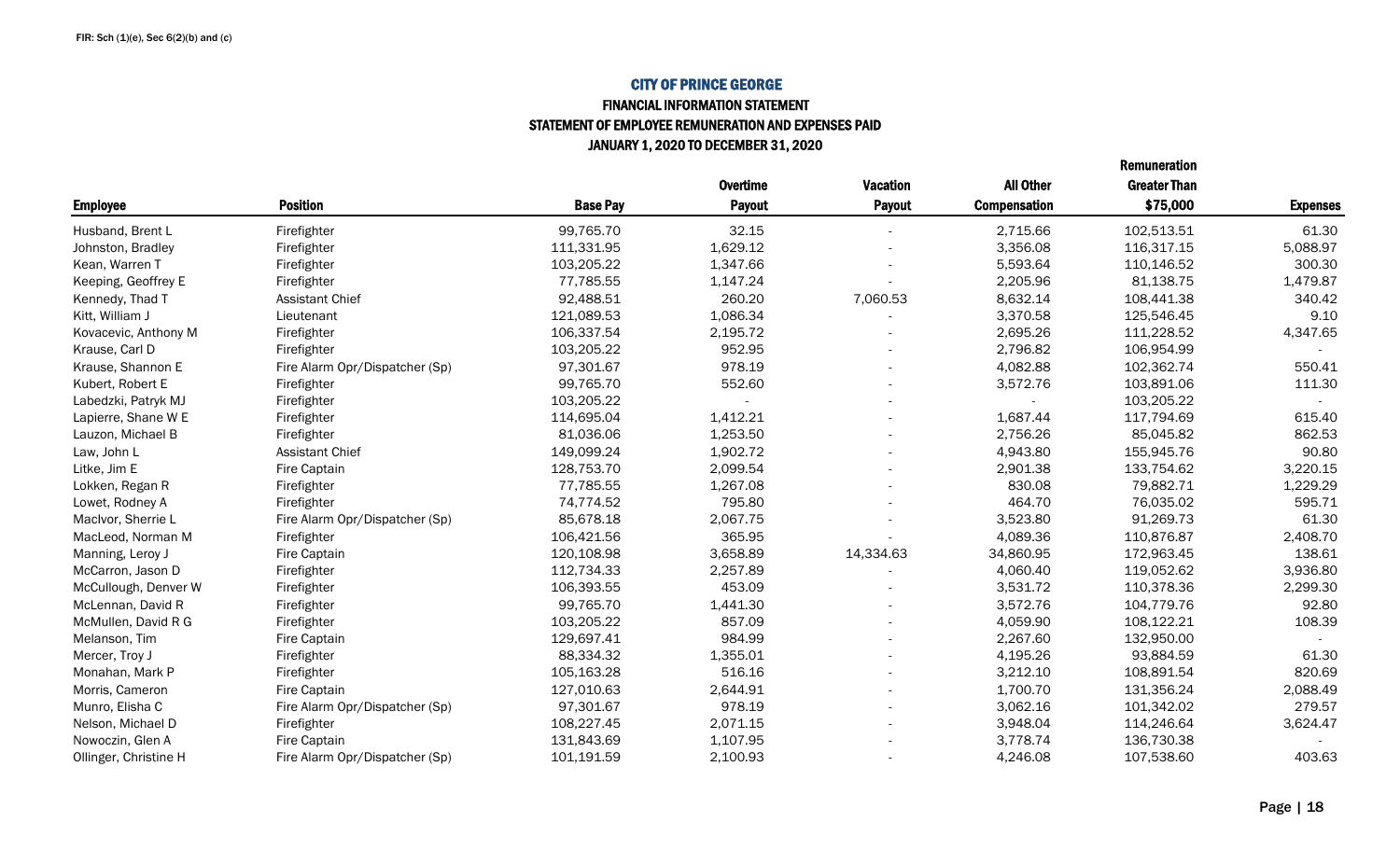### FINANCIAL INFORMATION STATEMENT STATEMENT OF EMPLOYEE REMUNERATION AND EXPENSES PAID JANUARY 1, 2020 TO DECEMBER 31, 2020

|                       |                                |                 | <b>Overtime</b> | <b>Vacation</b> | <b>All Other</b>    | <b>Greater Than</b> |                 |
|-----------------------|--------------------------------|-----------------|-----------------|-----------------|---------------------|---------------------|-----------------|
| <b>Employee</b>       | <b>Position</b>                | <b>Base Pay</b> | <b>Payout</b>   | Payout          | <b>Compensation</b> | \$75,000            | <b>Expenses</b> |
| Husband, Brent L      | Firefighter                    | 99,765.70       | 32.15           |                 | 2,715.66            | 102,513.51          | 61.30           |
| Johnston, Bradley     | Firefighter                    | 111,331.95      | 1,629.12        |                 | 3,356.08            | 116,317.15          | 5,088.97        |
| Kean, Warren T        | Firefighter                    | 103,205.22      | 1,347.66        |                 | 5,593.64            | 110,146.52          | 300.30          |
| Keeping, Geoffrey E   | Firefighter                    | 77,785.55       | 1,147.24        |                 | 2,205.96            | 81,138.75           | 1,479.87        |
| Kennedy, Thad T       | <b>Assistant Chief</b>         | 92,488.51       | 260.20          | 7,060.53        | 8,632.14            | 108,441.38          | 340.42          |
| Kitt, William J       | Lieutenant                     | 121,089.53      | 1,086.34        |                 | 3,370.58            | 125,546.45          | 9.10            |
| Kovacevic, Anthony M  | Firefighter                    | 106,337.54      | 2,195.72        |                 | 2,695.26            | 111,228.52          | 4,347.65        |
| Krause, Carl D        | Firefighter                    | 103,205.22      | 952.95          |                 | 2,796.82            | 106,954.99          |                 |
| Krause, Shannon E     | Fire Alarm Opr/Dispatcher (Sp) | 97,301.67       | 978.19          |                 | 4,082.88            | 102,362.74          | 550.41          |
| Kubert, Robert E      | Firefighter                    | 99,765.70       | 552.60          |                 | 3,572.76            | 103,891.06          | 111.30          |
| Labedzki, Patryk MJ   | Firefighter                    | 103,205.22      |                 |                 |                     | 103,205.22          | $\sim$          |
| Lapierre, Shane W E   | Firefighter                    | 114,695.04      | 1,412.21        |                 | 1,687.44            | 117,794.69          | 615.40          |
| Lauzon, Michael B     | Firefighter                    | 81,036.06       | 1,253.50        |                 | 2,756.26            | 85,045.82           | 862.53          |
| Law, John L           | Assistant Chief                | 149,099.24      | 1,902.72        |                 | 4,943.80            | 155,945.76          | 90.80           |
| Litke, Jim E          | Fire Captain                   | 128,753.70      | 2,099.54        |                 | 2,901.38            | 133,754.62          | 3,220.15        |
| Lokken, Regan R       | Firefighter                    | 77,785.55       | 1,267.08        |                 | 830.08              | 79,882.71           | 1,229.29        |
| Lowet, Rodney A       | Firefighter                    | 74,774.52       | 795.80          |                 | 464.70              | 76,035.02           | 595.71          |
| MacIvor, Sherrie L    | Fire Alarm Opr/Dispatcher (Sp) | 85,678.18       | 2,067.75        |                 | 3,523.80            | 91,269.73           | 61.30           |
| MacLeod, Norman M     | Firefighter                    | 106,421.56      | 365.95          |                 | 4,089.36            | 110,876.87          | 2,408.70        |
| Manning, Leroy J      | Fire Captain                   | 120,108.98      | 3,658.89        | 14,334.63       | 34,860.95           | 172,963.45          | 138.61          |
| McCarron, Jason D     | Firefighter                    | 112,734.33      | 2,257.89        |                 | 4,060.40            | 119,052.62          | 3,936.80        |
| McCullough, Denver W  | Firefighter                    | 106,393.55      | 453.09          |                 | 3,531.72            | 110,378.36          | 2,299.30        |
| McLennan, David R     | Firefighter                    | 99,765.70       | 1,441.30        |                 | 3,572.76            | 104,779.76          | 92.80           |
| McMullen, David R G   | Firefighter                    | 103,205.22      | 857.09          |                 | 4,059.90            | 108,122.21          | 108.39          |
| Melanson, Tim         | Fire Captain                   | 129,697.41      | 984.99          |                 | 2,267.60            | 132,950.00          |                 |
| Mercer, Troy J        | Firefighter                    | 88,334.32       | 1,355.01        |                 | 4,195.26            | 93,884.59           | 61.30           |
| Monahan, Mark P       | Firefighter                    | 105,163.28      | 516.16          |                 | 3,212.10            | 108,891.54          | 820.69          |
| Morris, Cameron       | Fire Captain                   | 127,010.63      | 2,644.91        |                 | 1,700.70            | 131,356.24          | 2,088.49        |
| Munro, Elisha C       | Fire Alarm Opr/Dispatcher (Sp) | 97,301.67       | 978.19          |                 | 3,062.16            | 101,342.02          | 279.57          |
| Nelson, Michael D     | Firefighter                    | 108,227.45      | 2,071.15        |                 | 3,948.04            | 114,246.64          | 3,624.47        |
| Nowoczin, Glen A      | Fire Captain                   | 131,843.69      | 1,107.95        |                 | 3,778.74            | 136,730.38          |                 |
| Ollinger, Christine H | Fire Alarm Opr/Dispatcher (Sp) | 101,191.59      | 2,100.93        |                 | 4,246.08            | 107,538.60          | 403.63          |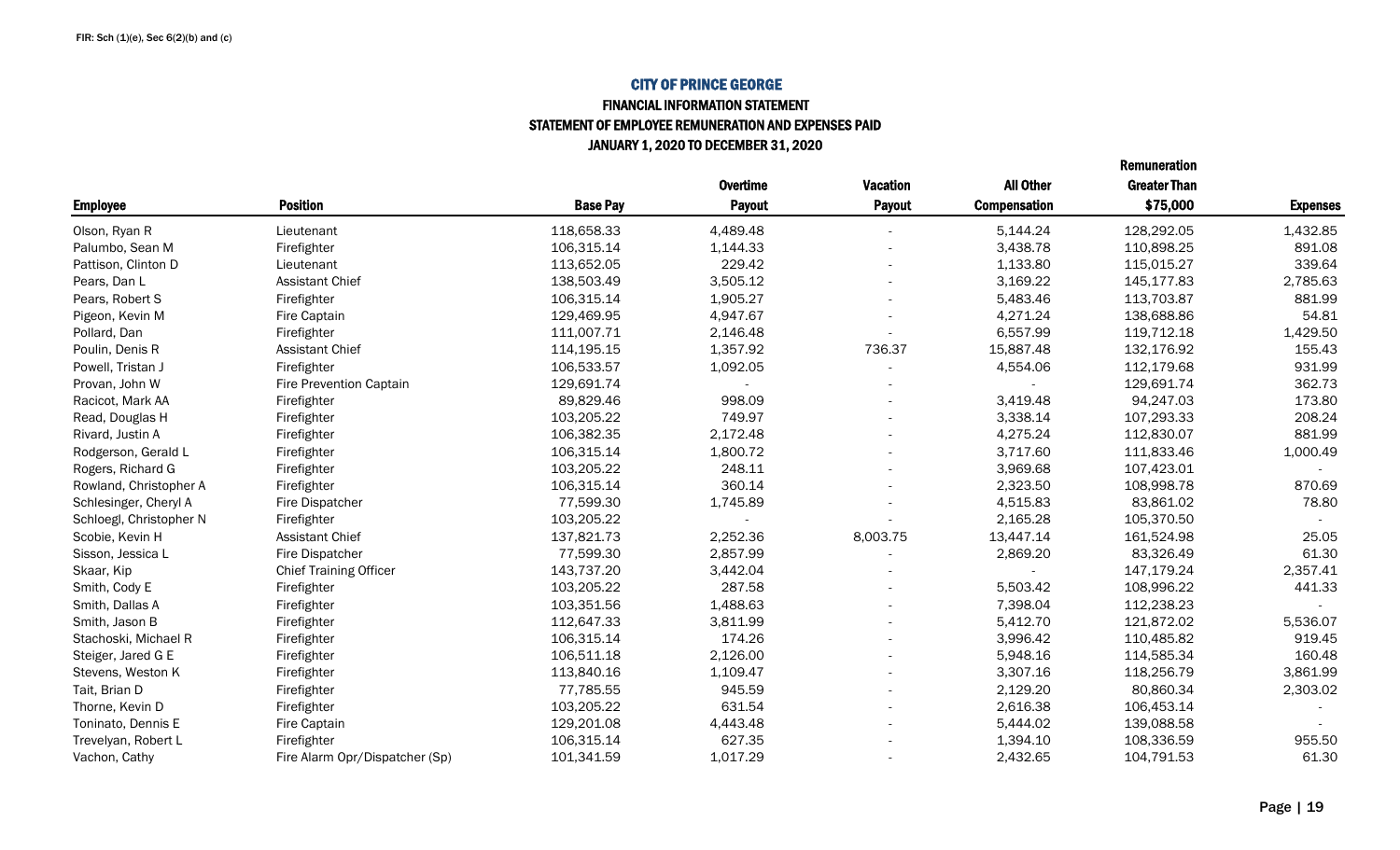### FINANCIAL INFORMATION STATEMENT STATEMENT OF EMPLOYEE REMUNERATION AND EXPENSES PAID JANUARY 1, 2020 TO DECEMBER 31, 2020

|                         |                                |                 | <b>Overtime</b> | <b>Vacation</b> | <b>All Other</b>    | <b>Greater Than</b> |                 |
|-------------------------|--------------------------------|-----------------|-----------------|-----------------|---------------------|---------------------|-----------------|
| <b>Employee</b>         | <b>Position</b>                | <b>Base Pay</b> | <b>Payout</b>   | Payout          | <b>Compensation</b> | \$75,000            | <b>Expenses</b> |
| Olson, Ryan R           | Lieutenant                     | 118,658.33      | 4,489.48        |                 | 5,144.24            | 128,292.05          | 1,432.85        |
| Palumbo, Sean M         | Firefighter                    | 106,315.14      | 1,144.33        |                 | 3,438.78            | 110,898.25          | 891.08          |
| Pattison, Clinton D     | Lieutenant                     | 113,652.05      | 229.42          |                 | 1,133.80            | 115,015.27          | 339.64          |
| Pears, Dan L            | <b>Assistant Chief</b>         | 138,503.49      | 3,505.12        |                 | 3,169.22            | 145,177.83          | 2,785.63        |
| Pears, Robert S         | Firefighter                    | 106,315.14      | 1,905.27        |                 | 5,483.46            | 113,703.87          | 881.99          |
| Pigeon, Kevin M         | Fire Captain                   | 129,469.95      | 4,947.67        |                 | 4,271.24            | 138,688.86          | 54.81           |
| Pollard, Dan            | Firefighter                    | 111,007.71      | 2,146.48        |                 | 6,557.99            | 119,712.18          | 1,429.50        |
| Poulin, Denis R         | <b>Assistant Chief</b>         | 114,195.15      | 1,357.92        | 736.37          | 15,887.48           | 132,176.92          | 155.43          |
| Powell, Tristan J       | Firefighter                    | 106,533.57      | 1,092.05        |                 | 4,554.06            | 112,179.68          | 931.99          |
| Provan, John W          | Fire Prevention Captain        | 129,691.74      |                 |                 |                     | 129,691.74          | 362.73          |
| Racicot, Mark AA        | Firefighter                    | 89,829.46       | 998.09          |                 | 3,419.48            | 94,247.03           | 173.80          |
| Read, Douglas H         | Firefighter                    | 103,205.22      | 749.97          |                 | 3,338.14            | 107,293.33          | 208.24          |
| Rivard, Justin A        | Firefighter                    | 106,382.35      | 2,172.48        |                 | 4,275.24            | 112,830.07          | 881.99          |
| Rodgerson, Gerald L     | Firefighter                    | 106,315.14      | 1,800.72        |                 | 3,717.60            | 111,833.46          | 1,000.49        |
| Rogers, Richard G       | Firefighter                    | 103,205.22      | 248.11          |                 | 3,969.68            | 107,423.01          |                 |
| Rowland, Christopher A  | Firefighter                    | 106,315.14      | 360.14          |                 | 2,323.50            | 108,998.78          | 870.69          |
| Schlesinger, Cheryl A   | Fire Dispatcher                | 77,599.30       | 1,745.89        |                 | 4,515.83            | 83,861.02           | 78.80           |
| Schloegl, Christopher N | Firefighter                    | 103,205.22      |                 |                 | 2,165.28            | 105,370.50          |                 |
| Scobie, Kevin H         | <b>Assistant Chief</b>         | 137,821.73      | 2,252.36        | 8,003.75        | 13,447.14           | 161,524.98          | 25.05           |
| Sisson, Jessica L       | Fire Dispatcher                | 77,599.30       | 2,857.99        |                 | 2,869.20            | 83,326.49           | 61.30           |
| Skaar, Kip              | <b>Chief Training Officer</b>  | 143,737.20      | 3,442.04        |                 |                     | 147,179.24          | 2,357.41        |
| Smith, Cody E           | Firefighter                    | 103,205.22      | 287.58          |                 | 5,503.42            | 108,996.22          | 441.33          |
| Smith, Dallas A         | Firefighter                    | 103,351.56      | 1,488.63        |                 | 7,398.04            | 112,238.23          |                 |
| Smith, Jason B          | Firefighter                    | 112,647.33      | 3,811.99        |                 | 5,412.70            | 121,872.02          | 5,536.07        |
| Stachoski, Michael R    | Firefighter                    | 106,315.14      | 174.26          |                 | 3,996.42            | 110,485.82          | 919.45          |
| Steiger, Jared G E      | Firefighter                    | 106,511.18      | 2,126.00        |                 | 5,948.16            | 114,585.34          | 160.48          |
| Stevens, Weston K       | Firefighter                    | 113,840.16      | 1,109.47        |                 | 3,307.16            | 118,256.79          | 3,861.99        |
| Tait, Brian D           | Firefighter                    | 77,785.55       | 945.59          |                 | 2,129.20            | 80,860.34           | 2,303.02        |
| Thorne, Kevin D         | Firefighter                    | 103,205.22      | 631.54          |                 | 2,616.38            | 106,453.14          |                 |
| Toninato, Dennis E      | Fire Captain                   | 129,201.08      | 4,443.48        |                 | 5,444.02            | 139,088.58          |                 |
| Trevelyan, Robert L     | Firefighter                    | 106,315.14      | 627.35          |                 | 1,394.10            | 108,336.59          | 955.50          |
| Vachon, Cathy           | Fire Alarm Opr/Dispatcher (Sp) | 101,341.59      | 1,017.29        |                 | 2,432.65            | 104,791.53          | 61.30           |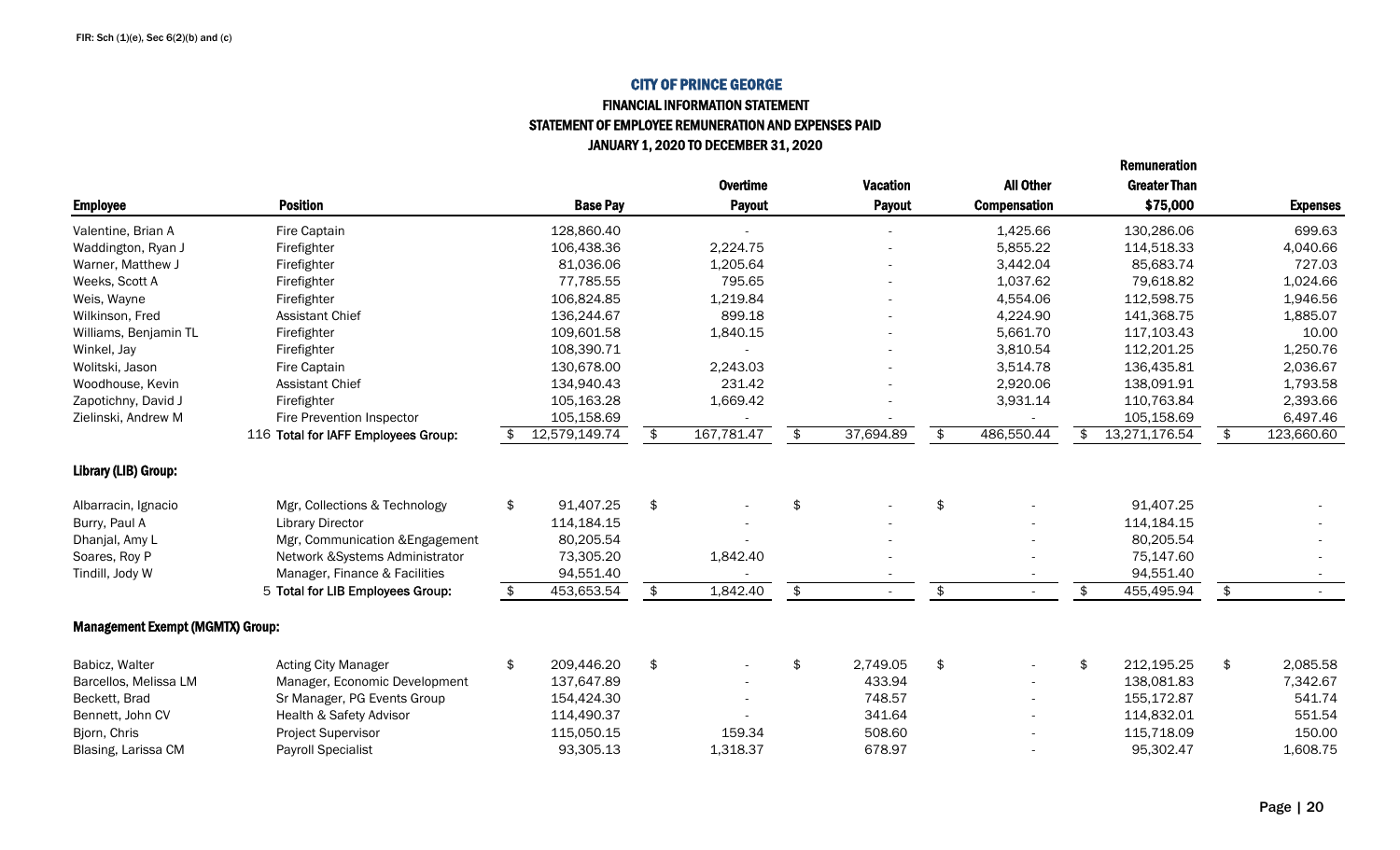### FINANCIAL INFORMATION STATEMENT STATEMENT OF EMPLOYEE REMUNERATION AND EXPENSES PAID JANUARY 1, 2020 TO DECEMBER 31, 2020

|                                         |                                     |                  | <b>Overtime</b>  | <b>Vacation</b> | <b>All Other</b>               | <b>Greater Than</b> |                  |
|-----------------------------------------|-------------------------------------|------------------|------------------|-----------------|--------------------------------|---------------------|------------------|
| <b>Employee</b>                         | <b>Position</b>                     | <b>Base Pay</b>  | <b>Payout</b>    | <b>Payout</b>   | <b>Compensation</b>            | \$75,000            | <b>Expenses</b>  |
| Valentine, Brian A                      | Fire Captain                        | 128,860.40       |                  |                 | 1,425.66                       | 130,286.06          | 699.63           |
| Waddington, Ryan J                      | Firefighter                         | 106,438.36       | 2,224.75         |                 | 5,855.22                       | 114,518.33          | 4,040.66         |
| Warner, Matthew J                       | Firefighter                         | 81,036.06        | 1,205.64         |                 | 3,442.04                       | 85,683.74           | 727.03           |
| Weeks, Scott A                          | Firefighter                         | 77,785.55        | 795.65           |                 | 1,037.62                       | 79,618.82           | 1,024.66         |
| Weis, Wayne                             | Firefighter                         | 106,824.85       | 1,219.84         |                 | 4,554.06                       | 112,598.75          | 1,946.56         |
| Wilkinson, Fred                         | <b>Assistant Chief</b>              | 136,244.67       | 899.18           |                 | 4,224.90                       | 141,368.75          | 1,885.07         |
| Williams, Benjamin TL                   | Firefighter                         | 109,601.58       | 1,840.15         |                 | 5,661.70                       | 117,103.43          | 10.00            |
| Winkel, Jay                             | Firefighter                         | 108,390.71       |                  |                 | 3,810.54                       | 112,201.25          | 1,250.76         |
| Wolitski, Jason                         | Fire Captain                        | 130,678.00       | 2,243.03         |                 | 3,514.78                       | 136,435.81          | 2,036.67         |
| Woodhouse, Kevin                        | <b>Assistant Chief</b>              | 134,940.43       | 231.42           |                 | 2,920.06                       | 138,091.91          | 1,793.58         |
| Zapotichny, David J                     | Firefighter                         | 105,163.28       | 1,669.42         |                 | 3,931.14                       | 110,763.84          | 2,393.66         |
| Zielinski, Andrew M                     | Fire Prevention Inspector           | 105,158.69       |                  |                 |                                | 105,158.69          | 6,497.46         |
|                                         | 116 Total for IAFF Employees Group: | 12,579,149.74    | \$<br>167,781.47 | \$<br>37,694.89 | \$<br>486,550.44               | \$<br>13,271,176.54 | \$<br>123,660.60 |
| Library (LIB) Group:                    |                                     |                  |                  |                 |                                |                     |                  |
| Albarracin, Ignacio                     | Mgr, Collections & Technology       | \$<br>91,407.25  | \$               | \$              | \$                             | 91,407.25           |                  |
| Burry, Paul A                           | <b>Library Director</b>             | 114,184.15       |                  |                 |                                | 114,184.15          |                  |
| Dhanjal, Amy L                          | Mgr, Communication & Engagement     | 80,205.54        |                  |                 |                                | 80,205.54           |                  |
| Soares, Roy P                           | Network & Systems Administrator     | 73,305.20        | 1,842.40         |                 |                                | 75,147.60           |                  |
| Tindill, Jody W                         | Manager, Finance & Facilities       | 94,551.40        |                  |                 |                                | 94,551.40           |                  |
|                                         | 5 Total for LIB Employees Group:    | \$<br>453,653.54 | \$<br>1,842.40   | \$              | \$<br>$\overline{\phantom{a}}$ | \$<br>455,495.94    | \$               |
| <b>Management Exempt (MGMTX) Group:</b> |                                     |                  |                  |                 |                                |                     |                  |
| Babicz, Walter                          | <b>Acting City Manager</b>          | \$<br>209,446.20 | \$               | \$<br>2,749.05  | \$                             | \$<br>212,195.25    | \$<br>2,085.58   |
| Barcellos, Melissa LM                   | Manager, Economic Development       | 137,647.89       |                  | 433.94          |                                | 138,081.83          | 7,342.67         |
| Beckett, Brad                           | Sr Manager, PG Events Group         | 154,424.30       |                  | 748.57          |                                | 155,172.87          | 541.74           |
| Bennett, John CV                        | Health & Safety Advisor             | 114,490.37       |                  | 341.64          |                                | 114,832.01          | 551.54           |
| Bjorn, Chris                            | Project Supervisor                  | 115,050.15       | 159.34           | 508.60          |                                | 115,718.09          | 150.00           |
| Blasing, Larissa CM                     | <b>Payroll Specialist</b>           | 93,305.13        | 1,318.37         | 678.97          |                                | 95,302.47           | 1,608.75         |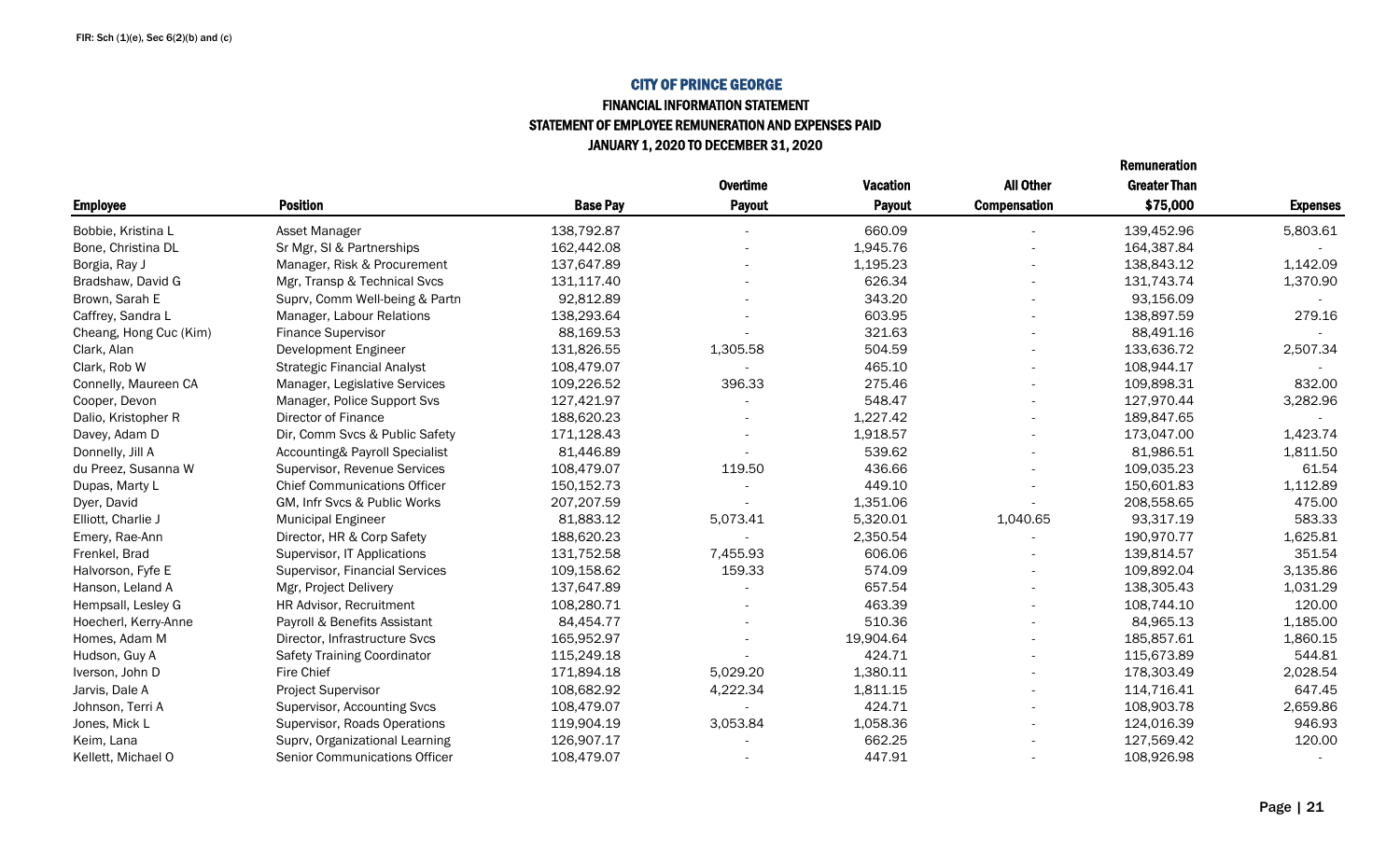#### FINANCIAL INFORMATION STATEMENT STATEMENT OF EMPLOYEE REMUNERATION AND EXPENSES PAID JANUARY 1, 2020 TO DECEMBER 31, 2020

|                        |                                      |                 | <b>Overtime</b> | <b>Vacation</b> | <b>All Other</b>         | <b>Greater Than</b> |                 |
|------------------------|--------------------------------------|-----------------|-----------------|-----------------|--------------------------|---------------------|-----------------|
| <b>Employee</b>        | <b>Position</b>                      | <b>Base Pay</b> | <b>Payout</b>   | Payout          | <b>Compensation</b>      | \$75,000            | <b>Expenses</b> |
| Bobbie, Kristina L     | Asset Manager                        | 138,792.87      |                 | 660.09          |                          | 139,452.96          | 5,803.61        |
| Bone, Christina DL     | Sr Mgr, SI & Partnerships            | 162,442.08      |                 | 1,945.76        |                          | 164,387.84          |                 |
| Borgia, Ray J          | Manager, Risk & Procurement          | 137,647.89      |                 | 1,195.23        |                          | 138,843.12          | 1,142.09        |
| Bradshaw, David G      | Mgr, Transp & Technical Svcs         | 131,117.40      |                 | 626.34          | $\overline{a}$           | 131,743.74          | 1,370.90        |
| Brown, Sarah E         | Suprv, Comm Well-being & Partn       | 92,812.89       |                 | 343.20          | $\overline{\phantom{a}}$ | 93,156.09           |                 |
| Caffrey, Sandra L      | Manager, Labour Relations            | 138,293.64      |                 | 603.95          | $\overline{\phantom{a}}$ | 138,897.59          | 279.16          |
| Cheang, Hong Cuc (Kim) | <b>Finance Supervisor</b>            | 88,169.53       |                 | 321.63          | $\overline{a}$           | 88,491.16           |                 |
| Clark, Alan            | Development Engineer                 | 131,826.55      | 1,305.58        | 504.59          | $\overline{\phantom{a}}$ | 133,636.72          | 2,507.34        |
| Clark, Rob W           | <b>Strategic Financial Analyst</b>   | 108,479.07      |                 | 465.10          |                          | 108,944.17          |                 |
| Connelly, Maureen CA   | Manager, Legislative Services        | 109,226.52      | 396.33          | 275.46          |                          | 109,898.31          | 832.00          |
| Cooper, Devon          | Manager, Police Support Svs          | 127,421.97      |                 | 548.47          | $\overline{\phantom{a}}$ | 127,970.44          | 3,282.96        |
| Dalio, Kristopher R    | Director of Finance                  | 188,620.23      |                 | 1,227.42        | $\overline{\phantom{a}}$ | 189,847.65          |                 |
| Davey, Adam D          | Dir, Comm Svcs & Public Safety       | 171,128.43      |                 | 1,918.57        |                          | 173,047.00          | 1,423.74        |
| Donnelly, Jill A       | Accounting& Payroll Specialist       | 81,446.89       |                 | 539.62          |                          | 81,986.51           | 1,811.50        |
| du Preez, Susanna W    | Supervisor, Revenue Services         | 108,479.07      | 119.50          | 436.66          | $\overline{\phantom{a}}$ | 109,035.23          | 61.54           |
| Dupas, Marty L         | <b>Chief Communications Officer</b>  | 150,152.73      |                 | 449.10          |                          | 150,601.83          | 1,112.89        |
| Dyer, David            | GM, Infr Svcs & Public Works         | 207,207.59      |                 | 1,351.06        |                          | 208,558.65          | 475.00          |
| Elliott, Charlie J     | <b>Municipal Engineer</b>            | 81,883.12       | 5,073.41        | 5,320.01        | 1,040.65                 | 93,317.19           | 583.33          |
| Emery, Rae-Ann         | Director, HR & Corp Safety           | 188,620.23      |                 | 2,350.54        |                          | 190,970.77          | 1,625.81        |
| Frenkel, Brad          | Supervisor, IT Applications          | 131,752.58      | 7,455.93        | 606.06          |                          | 139,814.57          | 351.54          |
| Halvorson, Fyfe E      | Supervisor, Financial Services       | 109,158.62      | 159.33          | 574.09          |                          | 109,892.04          | 3,135.86        |
| Hanson, Leland A       | Mgr, Project Delivery                | 137,647.89      |                 | 657.54          |                          | 138.305.43          | 1,031.29        |
| Hempsall, Lesley G     | HR Advisor, Recruitment              | 108,280.71      |                 | 463.39          | $\overline{a}$           | 108,744.10          | 120.00          |
| Hoecherl, Kerry-Anne   | Payroll & Benefits Assistant         | 84,454.77       |                 | 510.36          | $\overline{\phantom{a}}$ | 84,965.13           | 1,185.00        |
| Homes, Adam M          | Director, Infrastructure Svcs        | 165,952.97      |                 | 19,904.64       |                          | 185,857.61          | 1,860.15        |
| Hudson, Guy A          | <b>Safety Training Coordinator</b>   | 115,249.18      |                 | 424.71          |                          | 115,673.89          | 544.81          |
| Iverson, John D        | <b>Fire Chief</b>                    | 171,894.18      | 5,029.20        | 1,380.11        |                          | 178,303.49          | 2,028.54        |
| Jarvis, Dale A         | Project Supervisor                   | 108,682.92      | 4,222.34        | 1,811.15        | $\overline{\phantom{a}}$ | 114,716.41          | 647.45          |
| Johnson, Terri A       | Supervisor, Accounting Svcs          | 108,479.07      |                 | 424.71          |                          | 108,903.78          | 2,659.86        |
| Jones, Mick L          | Supervisor, Roads Operations         | 119,904.19      | 3,053.84        | 1,058.36        |                          | 124,016.39          | 946.93          |
| Keim, Lana             | Suprv, Organizational Learning       | 126,907.17      |                 | 662.25          |                          | 127,569.42          | 120.00          |
| Kellett, Michael O     | <b>Senior Communications Officer</b> | 108,479.07      |                 | 447.91          |                          | 108,926.98          |                 |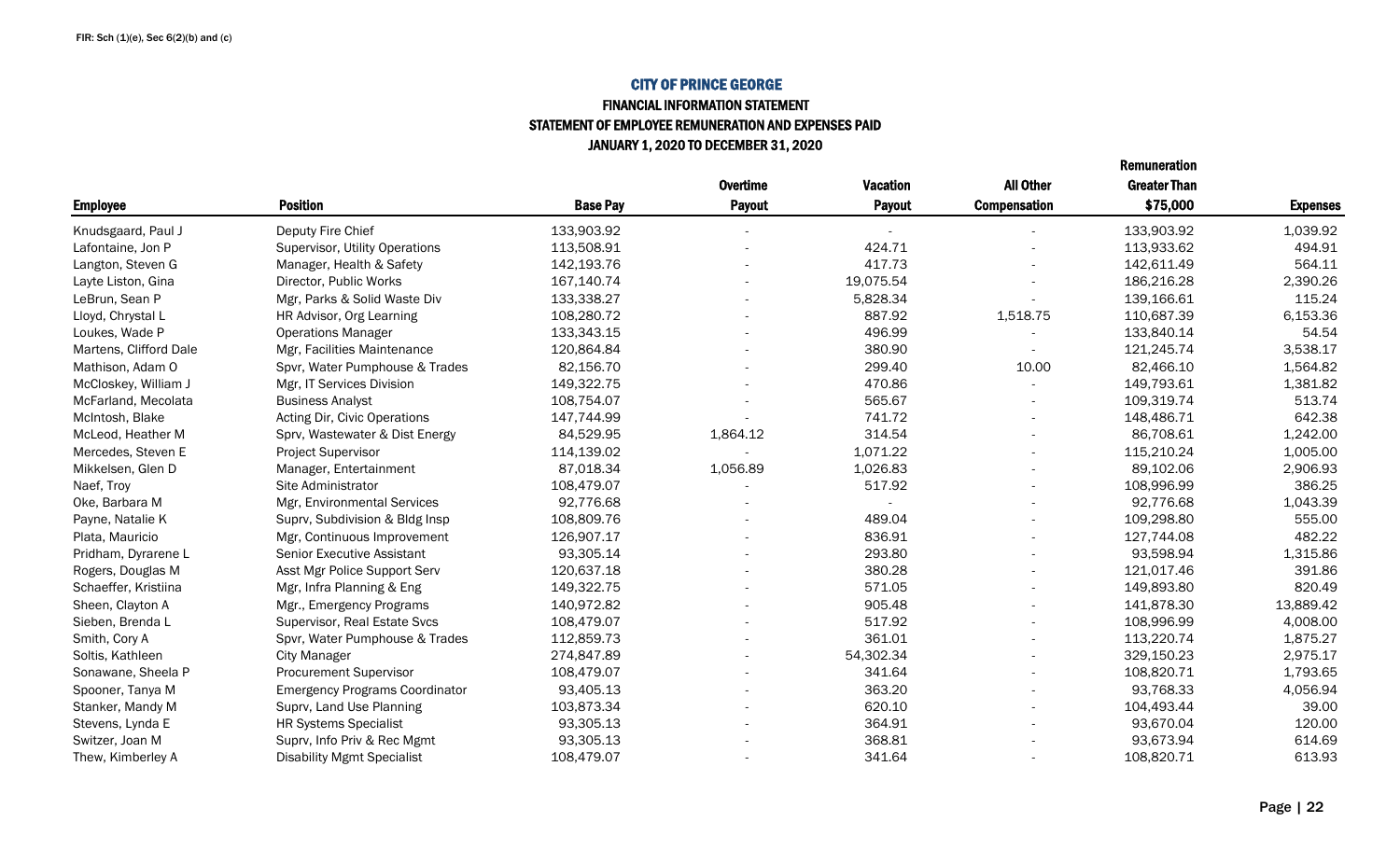#### CITY OF PRINCE GEORGE FINANCIAL INFORMATION STATEMENT

STATEMENT OF EMPLOYEE REMUNERATION AND EXPENSES PAID

JANUARY 1, 2020 TO DECEMBER 31, 2020

|                        |                                       |                 | <b>Overtime</b> | <b>Vacation</b> | <b>All Other</b>         | <b>Greater Than</b> |                 |
|------------------------|---------------------------------------|-----------------|-----------------|-----------------|--------------------------|---------------------|-----------------|
| <b>Employee</b>        | <b>Position</b>                       | <b>Base Pay</b> | <b>Payout</b>   | <b>Payout</b>   | <b>Compensation</b>      | \$75,000            | <b>Expenses</b> |
| Knudsgaard, Paul J     | Deputy Fire Chief                     | 133,903.92      |                 |                 |                          | 133,903.92          | 1,039.92        |
| Lafontaine, Jon P      | Supervisor, Utility Operations        | 113,508.91      |                 | 424.71          |                          | 113,933.62          | 494.91          |
| Langton, Steven G      | Manager, Health & Safety              | 142,193.76      |                 | 417.73          |                          | 142,611.49          | 564.11          |
| Layte Liston, Gina     | Director, Public Works                | 167,140.74      |                 | 19,075.54       |                          | 186,216.28          | 2,390.26        |
| LeBrun, Sean P         | Mgr, Parks & Solid Waste Div          | 133,338.27      |                 | 5,828.34        |                          | 139,166.61          | 115.24          |
| Lloyd, Chrystal L      | HR Advisor, Org Learning              | 108,280.72      |                 | 887.92          | 1,518.75                 | 110,687.39          | 6,153.36        |
| Loukes, Wade P         | <b>Operations Manager</b>             | 133,343.15      |                 | 496.99          |                          | 133,840.14          | 54.54           |
| Martens, Clifford Dale | Mgr, Facilities Maintenance           | 120,864.84      |                 | 380.90          |                          | 121,245.74          | 3,538.17        |
| Mathison, Adam O       | Spvr, Water Pumphouse & Trades        | 82,156.70       |                 | 299.40          | 10.00                    | 82,466.10           | 1,564.82        |
| McCloskey, William J   | Mgr, IT Services Division             | 149,322.75      |                 | 470.86          |                          | 149,793.61          | 1,381.82        |
| McFarland, Mecolata    | <b>Business Analyst</b>               | 108,754.07      |                 | 565.67          | $\overline{\phantom{a}}$ | 109,319.74          | 513.74          |
| McIntosh, Blake        | Acting Dir, Civic Operations          | 147,744.99      |                 | 741.72          |                          | 148,486.71          | 642.38          |
| McLeod, Heather M      | Sprv, Wastewater & Dist Energy        | 84,529.95       | 1,864.12        | 314.54          |                          | 86,708.61           | 1,242.00        |
| Mercedes, Steven E     | Project Supervisor                    | 114,139.02      |                 | 1,071.22        |                          | 115,210.24          | 1,005.00        |
| Mikkelsen, Glen D      | Manager, Entertainment                | 87,018.34       | 1,056.89        | 1,026.83        |                          | 89,102.06           | 2,906.93        |
| Naef, Troy             | Site Administrator                    | 108,479.07      |                 | 517.92          |                          | 108,996.99          | 386.25          |
| Oke, Barbara M         | Mgr, Environmental Services           | 92,776.68       |                 |                 |                          | 92,776.68           | 1,043.39        |
| Payne, Natalie K       | Suprv, Subdivision & Bldg Insp        | 108,809.76      |                 | 489.04          |                          | 109,298.80          | 555.00          |
| Plata, Mauricio        | Mgr, Continuous Improvement           | 126,907.17      |                 | 836.91          |                          | 127,744.08          | 482.22          |
| Pridham, Dyrarene L    | <b>Senior Executive Assistant</b>     | 93,305.14       |                 | 293.80          |                          | 93,598.94           | 1,315.86        |
| Rogers, Douglas M      | Asst Mgr Police Support Serv          | 120,637.18      |                 | 380.28          | $\overline{\phantom{a}}$ | 121,017.46          | 391.86          |
| Schaeffer, Kristiina   | Mgr, Infra Planning & Eng             | 149,322.75      |                 | 571.05          |                          | 149,893.80          | 820.49          |
| Sheen, Clayton A       | Mgr., Emergency Programs              | 140,972.82      |                 | 905.48          |                          | 141,878.30          | 13,889.42       |
| Sieben, Brenda L       | Supervisor, Real Estate Svcs          | 108,479.07      |                 | 517.92          |                          | 108,996.99          | 4,008.00        |
| Smith, Cory A          | Spvr, Water Pumphouse & Trades        | 112,859.73      |                 | 361.01          |                          | 113,220.74          | 1,875.27        |
| Soltis, Kathleen       | <b>City Manager</b>                   | 274,847.89      |                 | 54,302.34       |                          | 329,150.23          | 2,975.17        |
| Sonawane, Sheela P     | <b>Procurement Supervisor</b>         | 108,479.07      |                 | 341.64          |                          | 108,820.71          | 1,793.65        |
| Spooner, Tanya M       | <b>Emergency Programs Coordinator</b> | 93,405.13       |                 | 363.20          |                          | 93,768.33           | 4,056.94        |
| Stanker, Mandy M       | Suprv, Land Use Planning              | 103,873.34      |                 | 620.10          |                          | 104,493.44          | 39.00           |
| Stevens, Lynda E       | <b>HR Systems Specialist</b>          | 93,305.13       |                 | 364.91          |                          | 93,670.04           | 120.00          |
| Switzer, Joan M        | Suprv, Info Priv & Rec Mgmt           | 93,305.13       |                 | 368.81          |                          | 93,673.94           | 614.69          |
| Thew, Kimberley A      | <b>Disability Mgmt Specialist</b>     | 108,479.07      |                 | 341.64          |                          | 108,820.71          | 613.93          |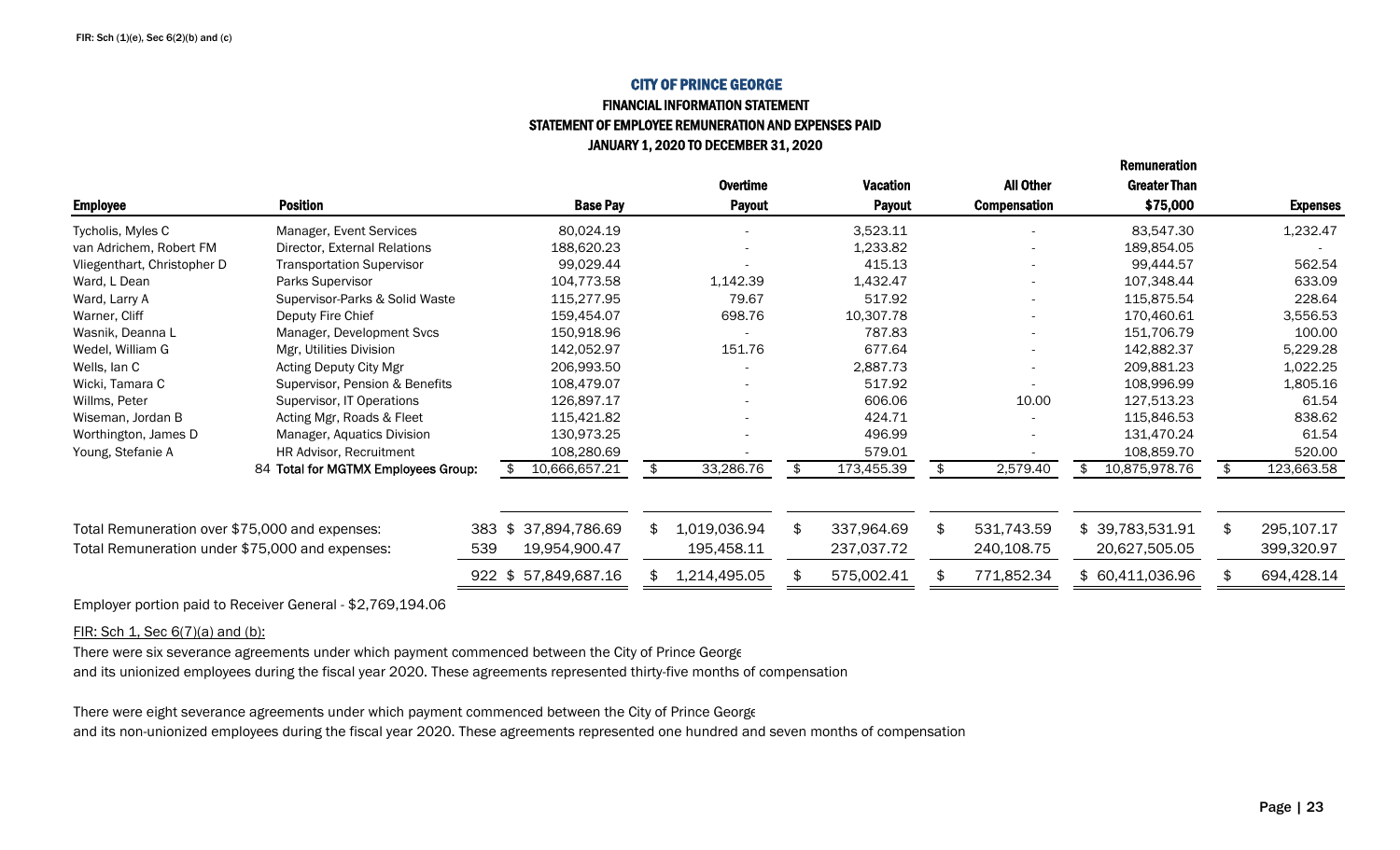### CITY OF PRINCE GEORGEFINANCIAL INFORMATION STATEMENT

## STATEMENT OF EMPLOYEE REMUNERATION AND EXPENSES PAID JANUARY 1, 2020 TO DECEMBER 31, 2020

|                                                 |                                     |     |                     |                    |                  |                          | nciliuliciauvii     |                  |
|-------------------------------------------------|-------------------------------------|-----|---------------------|--------------------|------------------|--------------------------|---------------------|------------------|
|                                                 |                                     |     |                     | <b>Overtime</b>    | <b>Vacation</b>  | <b>All Other</b>         | <b>Greater Than</b> |                  |
| <b>Employee</b>                                 | <b>Position</b>                     |     | <b>Base Pay</b>     | <b>Payout</b>      | <b>Payout</b>    | <b>Compensation</b>      | \$75,000            | <b>Expenses</b>  |
| Tycholis, Myles C                               | Manager, Event Services             |     | 80,024.19           |                    | 3,523.11         |                          | 83,547.30           | 1,232.47         |
| van Adrichem, Robert FM                         | Director, External Relations        |     | 188,620.23          |                    | 1,233.82         |                          | 189,854.05          |                  |
| Vliegenthart, Christopher D                     | <b>Transportation Supervisor</b>    |     | 99,029.44           |                    | 415.13           | $\overline{\phantom{a}}$ | 99,444.57           | 562.54           |
| Ward, L Dean                                    | Parks Supervisor                    |     | 104,773.58          | 1,142.39           | 1,432.47         | $\overline{\phantom{a}}$ | 107,348.44          | 633.09           |
| Ward, Larry A                                   | Supervisor-Parks & Solid Waste      |     | 115,277.95          | 79.67              | 517.92           |                          | 115,875.54          | 228.64           |
| Warner, Cliff                                   | Deputy Fire Chief                   |     | 159,454.07          | 698.76             | 10,307.78        | $\overline{\phantom{a}}$ | 170,460.61          | 3,556.53         |
| Wasnik, Deanna L                                | Manager, Development Svcs           |     | 150,918.96          |                    | 787.83           | $\overline{\phantom{a}}$ | 151,706.79          | 100.00           |
| Wedel, William G                                | Mgr, Utilities Division             |     | 142,052.97          | 151.76             | 677.64           | $\overline{\phantom{a}}$ | 142,882.37          | 5,229.28         |
| Wells, lan C                                    | Acting Deputy City Mgr              |     | 206,993.50          |                    | 2,887.73         | $\overline{\phantom{a}}$ | 209,881.23          | 1,022.25         |
| Wicki, Tamara C                                 | Supervisor, Pension & Benefits      |     | 108,479.07          |                    | 517.92           |                          | 108,996.99          | 1,805.16         |
| Willms, Peter                                   | Supervisor, IT Operations           |     | 126,897.17          |                    | 606.06           | 10.00                    | 127,513.23          | 61.54            |
| Wiseman, Jordan B                               | Acting Mgr, Roads & Fleet           |     | 115,421.82          |                    | 424.71           |                          | 115,846.53          | 838.62           |
| Worthington, James D                            | Manager, Aquatics Division          |     | 130,973.25          |                    | 496.99           |                          | 131,470.24          | 61.54            |
| Young, Stefanie A                               | HR Advisor, Recruitment             |     | 108,280.69          |                    | 579.01           |                          | 108,859.70          | 520.00           |
|                                                 | 84 Total for MGTMX Employees Group: |     | 10,666,657.21       | 33,286.76          | 173,455.39       | 2,579.40                 | 10,875,978.76<br>\$ | 123,663.58       |
|                                                 |                                     |     |                     |                    |                  |                          |                     |                  |
| Total Remuneration over \$75,000 and expenses:  |                                     | 383 | 37,894,786.69<br>\$ | \$<br>1,019,036.94 | \$<br>337,964.69 | \$<br>531,743.59         | \$39,783,531.91     | \$<br>295,107.17 |
| Total Remuneration under \$75,000 and expenses: |                                     | 539 | 19,954,900.47       | 195,458.11         | 237,037.72       | 240,108.75               | 20,627,505.05       | 399,320.97       |
|                                                 |                                     |     | 922 \$57,849,687.16 | 1,214,495.05       | 575,002.41       | 771,852.34               | \$60,411,036.96     | 694,428.14       |

Employer portion paid to Receiver General - \$2,769,194.06

FIR: Sch 1, Sec 6(7)(a) and (b):

There were six severance agreements under which payment commenced between the City of Prince George

and its unionized employees during the fiscal year 2020. These agreements represented thirty-five months of compensation

There were eight severance agreements under which payment commenced between the City of Prince George

and its non-unionized employees during the fiscal year 2020. These agreements represented one hundred and seven months of compensation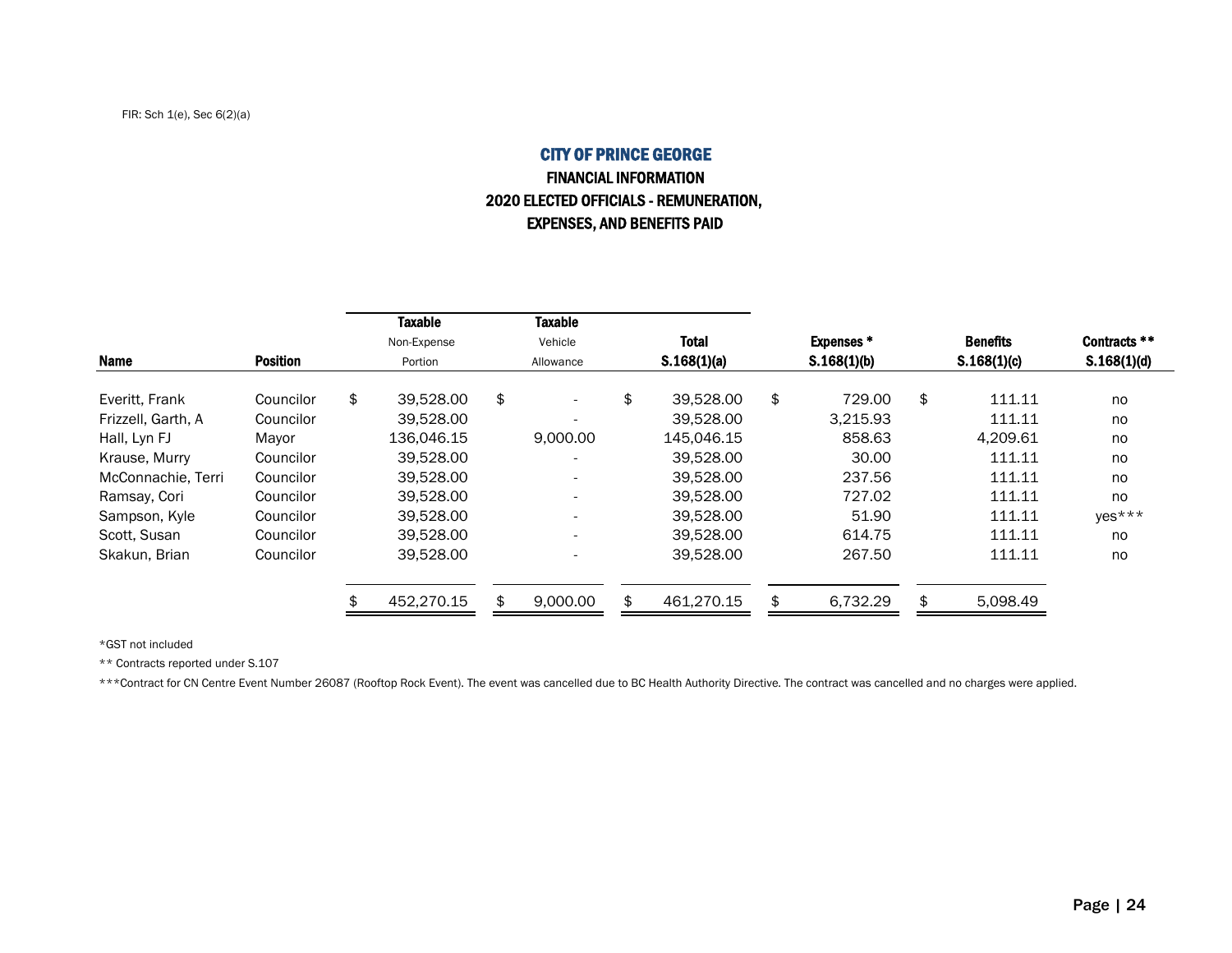## CITY OF PRINCE GEORGEFINANCIAL INFORMATION 2020 ELECTED OFFICIALS - REMUNERATION, EXPENSES, AND BENEFITS PAID

|                    |                 | Taxable<br>Non-Expense |           | <b>Taxable</b><br>Vehicle |             | <b>Total</b> |    | <b>Expenses*</b> | <b>Benefits</b> | Contracts ** |  |             |             |  |
|--------------------|-----------------|------------------------|-----------|---------------------------|-------------|--------------|----|------------------|-----------------|--------------|--|-------------|-------------|--|
| <b>Name</b>        | <b>Position</b> | Portion                | Allowance |                           | S.168(1)(a) |              |    |                  | S.168(1)(b)     |              |  | S.168(1)(c) | S.168(1)(d) |  |
| Everitt, Frank     | Councilor       | \$<br>39.528.00        | \$        | $\overline{\phantom{0}}$  | \$          | 39.528.00    | \$ | 729.00           | \$<br>111.11    | no           |  |             |             |  |
| Frizzell, Garth, A | Councilor       | 39.528.00              |           |                           |             | 39,528.00    |    | 3.215.93         | 111.11          | no           |  |             |             |  |
| Hall, Lyn FJ       | Mayor           | 136.046.15             |           | 9,000.00                  |             | 145.046.15   |    | 858.63           | 4.209.61        | no           |  |             |             |  |
| Krause, Murry      | Councilor       | 39.528.00              |           |                           |             | 39,528.00    |    | 30.00            | 111.11          | no           |  |             |             |  |
| McConnachie, Terri | Councilor       | 39.528.00              |           | $\overline{\phantom{a}}$  |             | 39.528.00    |    | 237.56           | 111.11          | no           |  |             |             |  |
| Ramsay, Cori       | Councilor       | 39.528.00              |           | $\overline{\phantom{0}}$  |             | 39.528.00    |    | 727.02           | 111.11          | no           |  |             |             |  |
| Sampson, Kyle      | Councilor       | 39.528.00              |           | $\overline{\phantom{0}}$  |             | 39.528.00    |    | 51.90            | 111.11          | $yes***$     |  |             |             |  |
| Scott, Susan       | Councilor       | 39.528.00              |           | $\overline{\phantom{a}}$  |             | 39.528.00    |    | 614.75           | 111.11          | no           |  |             |             |  |
| Skakun, Brian      | Councilor       | 39.528.00              |           |                           |             | 39,528.00    |    | 267.50           | 111.11          | no           |  |             |             |  |
|                    |                 | 452.270.15             |           | 9,000.00                  | \$          | 461.270.15   |    | 6,732.29         | \$<br>5,098.49  |              |  |             |             |  |

\*GST not included

\*\* Contracts reported under S.107

\*\*\*Contract for CN Centre Event Number 26087 (Rooftop Rock Event). The event was cancelled due to BC Health Authority Directive. The contract was cancelled and no charges were applied.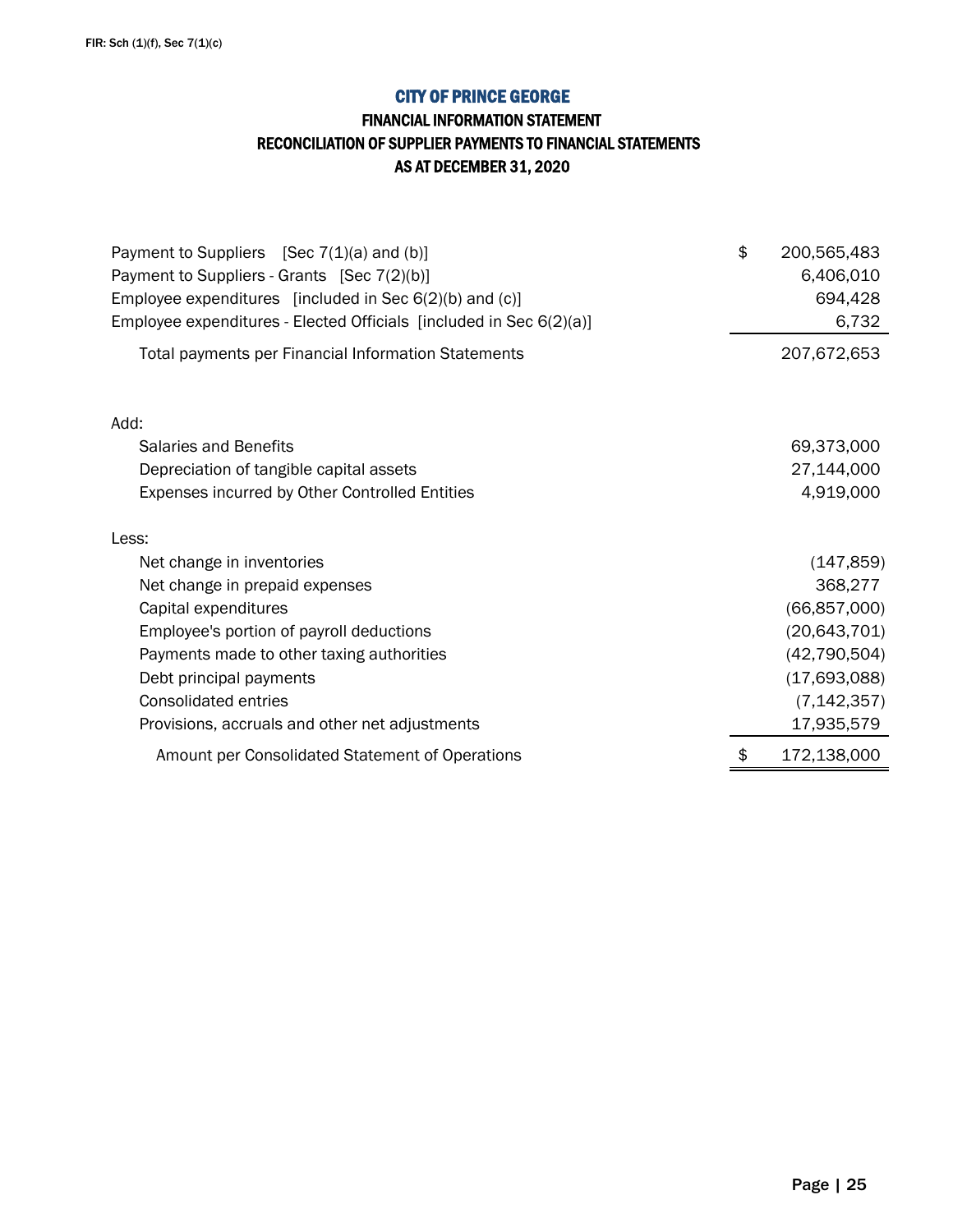## FINANCIAL INFORMATION STATEMENT RECONCILIATION OF SUPPLIER PAYMENTS TO FINANCIAL STATEMENTS AS AT DECEMBER 31, 2020

| Payment to Suppliers [Sec $7(1)(a)$ and $(b)$ ]<br>Payment to Suppliers - Grants [Sec 7(2)(b)]<br>Employee expenditures [included in Sec 6(2)(b) and (c)]<br>Employee expenditures - Elected Officials [included in Sec 6(2)(a)] | \$<br>200,565,483<br>6,406,010<br>694,428<br>6,732 |
|----------------------------------------------------------------------------------------------------------------------------------------------------------------------------------------------------------------------------------|----------------------------------------------------|
| Total payments per Financial Information Statements                                                                                                                                                                              | 207,672,653                                        |
| Add:                                                                                                                                                                                                                             |                                                    |
| Salaries and Benefits                                                                                                                                                                                                            | 69,373,000                                         |
| Depreciation of tangible capital assets                                                                                                                                                                                          | 27,144,000                                         |
| Expenses incurred by Other Controlled Entities                                                                                                                                                                                   | 4,919,000                                          |
| Less:                                                                                                                                                                                                                            |                                                    |
| Net change in inventories                                                                                                                                                                                                        | (147, 859)                                         |
| Net change in prepaid expenses                                                                                                                                                                                                   | 368,277                                            |
| Capital expenditures                                                                                                                                                                                                             | (66, 857, 000)                                     |
| Employee's portion of payroll deductions                                                                                                                                                                                         | (20, 643, 701)                                     |
| Payments made to other taxing authorities                                                                                                                                                                                        | (42, 790, 504)                                     |
| Debt principal payments                                                                                                                                                                                                          | (17,693,088)                                       |
| <b>Consolidated entries</b>                                                                                                                                                                                                      | (7, 142, 357)                                      |
| Provisions, accruals and other net adjustments                                                                                                                                                                                   | 17,935,579                                         |
| Amount per Consolidated Statement of Operations                                                                                                                                                                                  | \$<br>172,138,000                                  |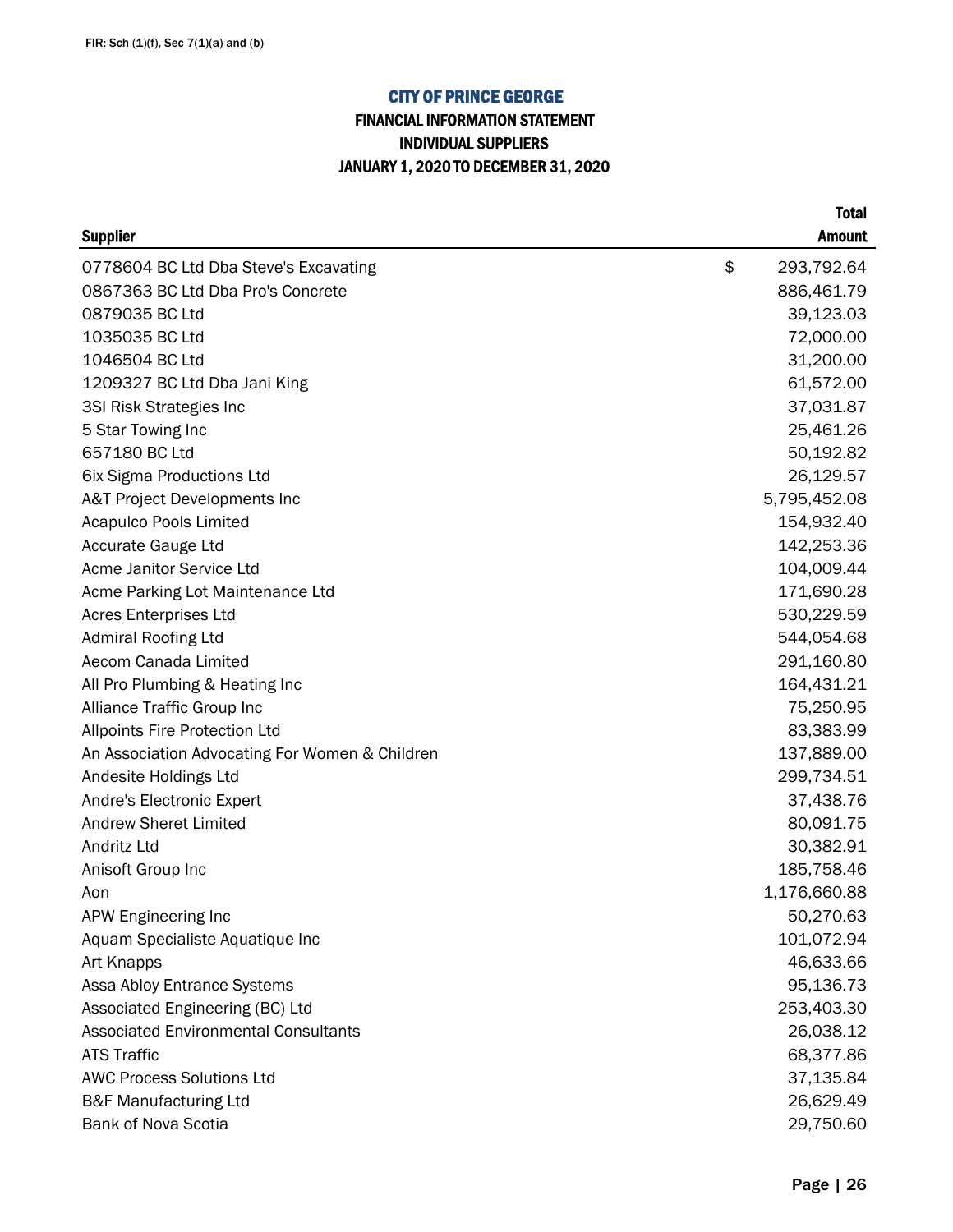## FINANCIAL INFORMATION STATEMENT INDIVIDUAL SUPPLIERS JANUARY 1, 2020 TO DECEMBER 31, 2020

| <b>Supplier</b>                                | <b>Amount</b>    |
|------------------------------------------------|------------------|
| 0778604 BC Ltd Dba Steve's Excavating          | \$<br>293,792.64 |
| 0867363 BC Ltd Dba Pro's Concrete              | 886,461.79       |
| 0879035 BC Ltd                                 | 39,123.03        |
| 1035035 BC Ltd                                 | 72,000.00        |
| 1046504 BC Ltd                                 | 31,200.00        |
| 1209327 BC Ltd Dba Jani King                   | 61,572.00        |
| 3SI Risk Strategies Inc                        | 37,031.87        |
| 5 Star Towing Inc                              | 25,461.26        |
| 657180 BC Ltd                                  | 50,192.82        |
| 6ix Sigma Productions Ltd                      | 26,129.57        |
| A&T Project Developments Inc                   | 5,795,452.08     |
| Acapulco Pools Limited                         | 154,932.40       |
| Accurate Gauge Ltd                             | 142,253.36       |
| Acme Janitor Service Ltd                       | 104,009.44       |
| Acme Parking Lot Maintenance Ltd               | 171,690.28       |
| <b>Acres Enterprises Ltd</b>                   | 530,229.59       |
| <b>Admiral Roofing Ltd</b>                     | 544,054.68       |
| Aecom Canada Limited                           | 291,160.80       |
| All Pro Plumbing & Heating Inc                 | 164,431.21       |
| Alliance Traffic Group Inc                     | 75,250.95        |
| <b>Allpoints Fire Protection Ltd</b>           | 83,383.99        |
| An Association Advocating For Women & Children | 137,889.00       |
| Andesite Holdings Ltd                          | 299,734.51       |
| Andre's Electronic Expert                      | 37,438.76        |
| <b>Andrew Sheret Limited</b>                   | 80,091.75        |
| Andritz Ltd                                    | 30,382.91        |
| Anisoft Group Inc                              | 185,758.46       |
| Aon                                            | 1,176,660.88     |
| APW Engineering Inc                            | 50,270.63        |
| Aquam Specialiste Aquatique Inc                | 101,072.94       |
| Art Knapps                                     | 46,633.66        |
| Assa Abloy Entrance Systems                    | 95,136.73        |
| Associated Engineering (BC) Ltd                | 253,403.30       |
| <b>Associated Environmental Consultants</b>    | 26,038.12        |
| <b>ATS Traffic</b>                             | 68,377.86        |
| <b>AWC Process Solutions Ltd</b>               | 37,135.84        |
| <b>B&amp;F Manufacturing Ltd</b>               | 26,629.49        |
| Bank of Nova Scotia                            | 29,750.60        |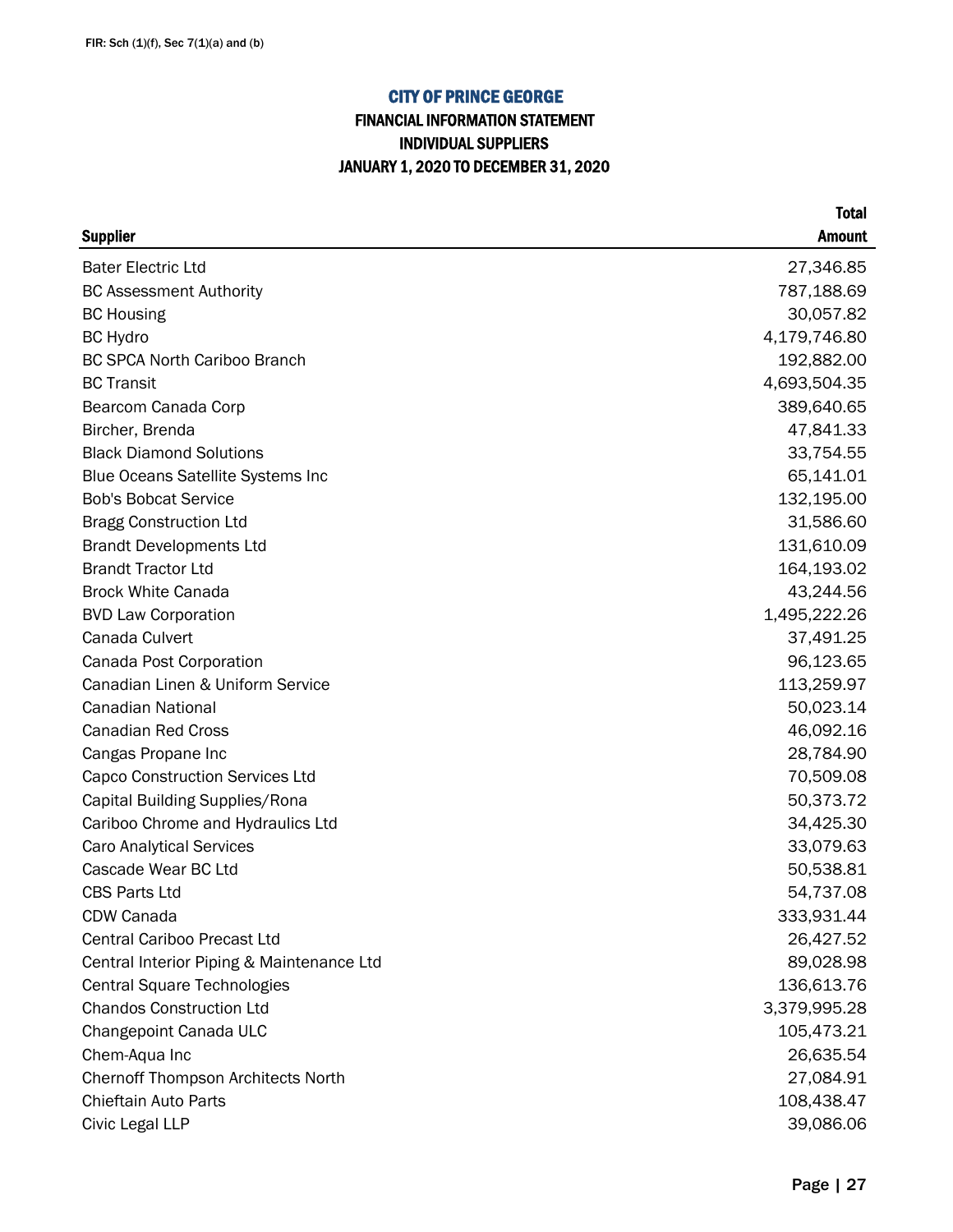## FINANCIAL INFORMATION STATEMENT INDIVIDUAL SUPPLIERS JANUARY 1, 2020 TO DECEMBER 31, 2020

| <b>Supplier</b>                           | <b>Amount</b> |
|-------------------------------------------|---------------|
| <b>Bater Electric Ltd</b>                 | 27,346.85     |
| <b>BC Assessment Authority</b>            | 787,188.69    |
| <b>BC Housing</b>                         | 30,057.82     |
| <b>BC Hydro</b>                           | 4,179,746.80  |
| <b>BC SPCA North Cariboo Branch</b>       | 192,882.00    |
| <b>BC Transit</b>                         | 4,693,504.35  |
| Bearcom Canada Corp                       | 389,640.65    |
| Bircher, Brenda                           | 47,841.33     |
| <b>Black Diamond Solutions</b>            | 33,754.55     |
| <b>Blue Oceans Satellite Systems Inc</b>  | 65,141.01     |
| <b>Bob's Bobcat Service</b>               | 132,195.00    |
| <b>Bragg Construction Ltd</b>             | 31,586.60     |
| <b>Brandt Developments Ltd</b>            | 131,610.09    |
| <b>Brandt Tractor Ltd</b>                 | 164,193.02    |
| <b>Brock White Canada</b>                 | 43,244.56     |
| <b>BVD Law Corporation</b>                | 1,495,222.26  |
| Canada Culvert                            | 37,491.25     |
| Canada Post Corporation                   | 96,123.65     |
| Canadian Linen & Uniform Service          | 113,259.97    |
| <b>Canadian National</b>                  | 50,023.14     |
| <b>Canadian Red Cross</b>                 | 46,092.16     |
| Cangas Propane Inc                        | 28,784.90     |
| <b>Capco Construction Services Ltd</b>    | 70,509.08     |
| Capital Building Supplies/Rona            | 50,373.72     |
| Cariboo Chrome and Hydraulics Ltd         | 34,425.30     |
| <b>Caro Analytical Services</b>           | 33,079.63     |
| Cascade Wear BC Ltd                       | 50,538.81     |
| <b>CBS Parts Ltd</b>                      | 54,737.08     |
| CDW Canada                                | 333,931.44    |
| <b>Central Cariboo Precast Ltd</b>        | 26,427.52     |
| Central Interior Piping & Maintenance Ltd | 89,028.98     |
| <b>Central Square Technologies</b>        | 136,613.76    |
| <b>Chandos Construction Ltd</b>           | 3,379,995.28  |
| Changepoint Canada ULC                    | 105,473.21    |
| Chem-Aqua Inc                             | 26,635.54     |
| <b>Chernoff Thompson Architects North</b> | 27,084.91     |
| Chieftain Auto Parts                      | 108,438.47    |
| Civic Legal LLP                           | 39,086.06     |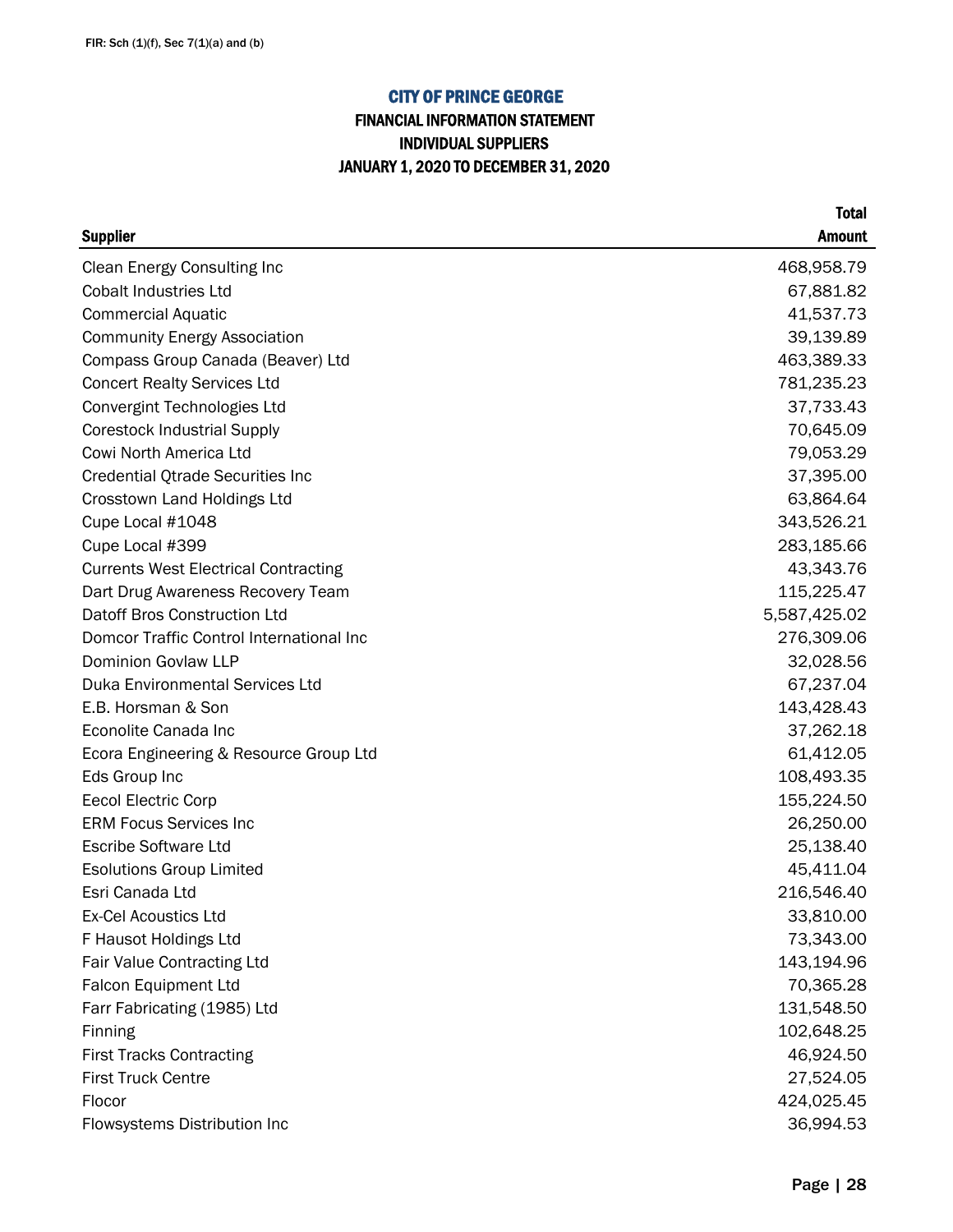## FINANCIAL INFORMATION STATEMENT INDIVIDUAL SUPPLIERS JANUARY 1, 2020 TO DECEMBER 31, 2020

| <b>Supplier</b>                             | <b>Amount</b> |
|---------------------------------------------|---------------|
| <b>Clean Energy Consulting Inc</b>          | 468,958.79    |
| <b>Cobalt Industries Ltd</b>                | 67,881.82     |
| <b>Commercial Aquatic</b>                   | 41,537.73     |
| <b>Community Energy Association</b>         | 39,139.89     |
| Compass Group Canada (Beaver) Ltd           | 463,389.33    |
| <b>Concert Realty Services Ltd</b>          | 781,235.23    |
| Convergint Technologies Ltd                 | 37,733.43     |
| <b>Corestock Industrial Supply</b>          | 70,645.09     |
| Cowi North America Ltd                      | 79,053.29     |
| <b>Credential Qtrade Securities Inc</b>     | 37,395.00     |
| Crosstown Land Holdings Ltd                 | 63,864.64     |
| Cupe Local #1048                            | 343,526.21    |
| Cupe Local #399                             | 283,185.66    |
| <b>Currents West Electrical Contracting</b> | 43,343.76     |
| Dart Drug Awareness Recovery Team           | 115,225.47    |
| Datoff Bros Construction Ltd                | 5,587,425.02  |
| Domcor Traffic Control International Inc    | 276,309.06    |
| <b>Dominion Govlaw LLP</b>                  | 32,028.56     |
| <b>Duka Environmental Services Ltd</b>      | 67,237.04     |
| E.B. Horsman & Son                          | 143,428.43    |
| Econolite Canada Inc                        | 37,262.18     |
| Ecora Engineering & Resource Group Ltd      | 61,412.05     |
| Eds Group Inc                               | 108,493.35    |
| <b>Eecol Electric Corp</b>                  | 155,224.50    |
| <b>ERM Focus Services Inc</b>               | 26,250.00     |
| <b>Escribe Software Ltd</b>                 | 25,138.40     |
| <b>Esolutions Group Limited</b>             | 45,411.04     |
| Esri Canada Ltd                             | 216,546.40    |
| Ex-Cel Acoustics Ltd                        | 33,810.00     |
| F Hausot Holdings Ltd                       | 73,343.00     |
| <b>Fair Value Contracting Ltd</b>           | 143,194.96    |
| Falcon Equipment Ltd                        | 70,365.28     |
| Farr Fabricating (1985) Ltd                 | 131,548.50    |
| <b>Finning</b>                              | 102,648.25    |
| <b>First Tracks Contracting</b>             | 46,924.50     |
| <b>First Truck Centre</b>                   | 27,524.05     |
| Flocor                                      | 424,025.45    |
| Flowsystems Distribution Inc                | 36,994.53     |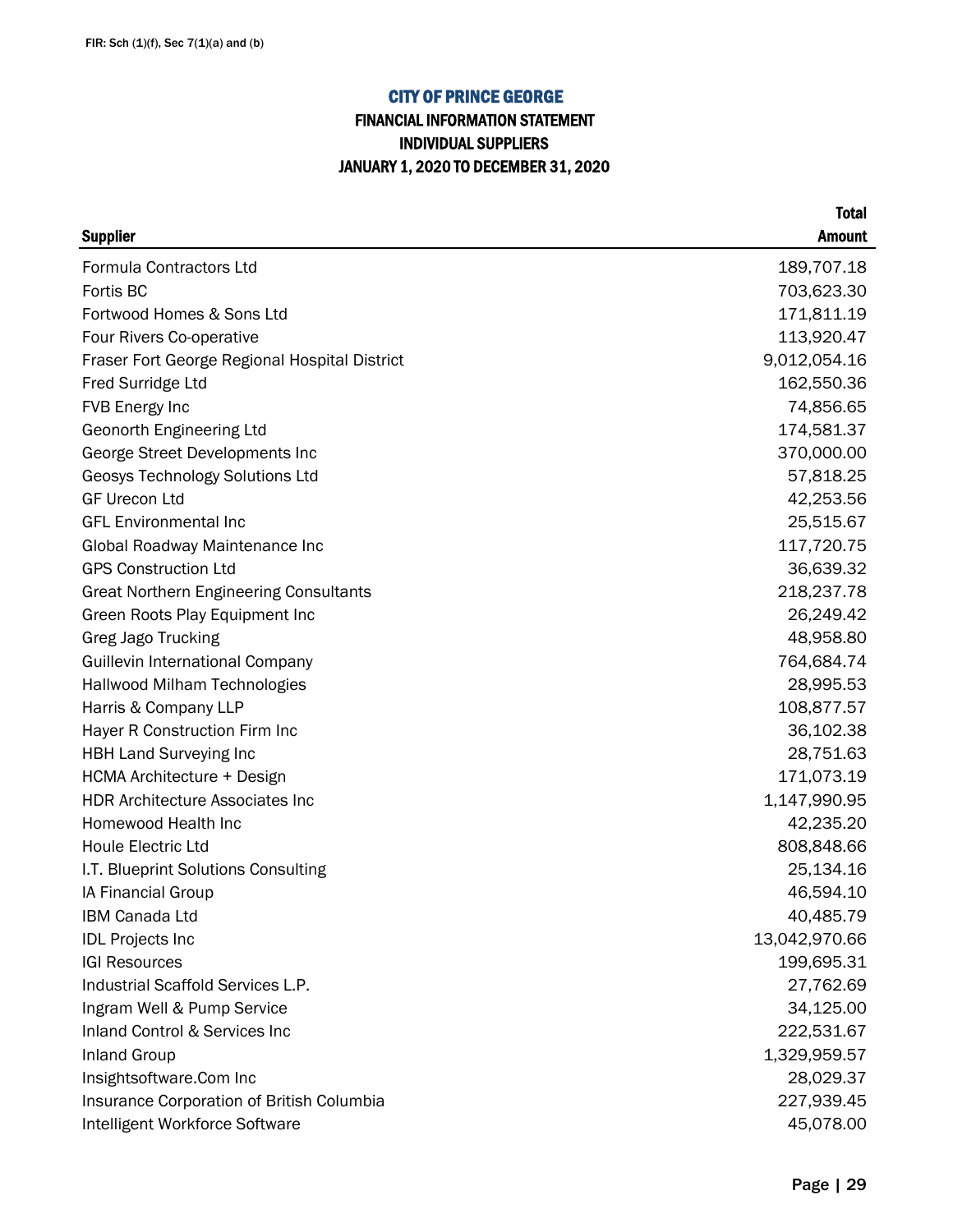## FINANCIAL INFORMATION STATEMENT INDIVIDUAL SUPPLIERS JANUARY 1, 2020 TO DECEMBER 31, 2020

| <b>Supplier</b>                               | <b>Amount</b> |
|-----------------------------------------------|---------------|
| Formula Contractors Ltd                       | 189,707.18    |
| Fortis BC                                     | 703,623.30    |
| Fortwood Homes & Sons Ltd                     | 171,811.19    |
| Four Rivers Co-operative                      | 113,920.47    |
| Fraser Fort George Regional Hospital District | 9,012,054.16  |
| Fred Surridge Ltd                             | 162,550.36    |
| FVB Energy Inc                                | 74,856.65     |
| Geonorth Engineering Ltd                      | 174,581.37    |
| George Street Developments Inc                | 370,000.00    |
| Geosys Technology Solutions Ltd               | 57,818.25     |
| <b>GF Urecon Ltd</b>                          | 42,253.56     |
| <b>GFL Environmental Inc</b>                  | 25,515.67     |
| Global Roadway Maintenance Inc                | 117,720.75    |
| <b>GPS Construction Ltd</b>                   | 36,639.32     |
| <b>Great Northern Engineering Consultants</b> | 218,237.78    |
| Green Roots Play Equipment Inc                | 26,249.42     |
| <b>Greg Jago Trucking</b>                     | 48,958.80     |
| <b>Guillevin International Company</b>        | 764,684.74    |
| Hallwood Milham Technologies                  | 28,995.53     |
| Harris & Company LLP                          | 108,877.57    |
| Hayer R Construction Firm Inc                 | 36,102.38     |
| <b>HBH Land Surveying Inc</b>                 | 28,751.63     |
| HCMA Architecture + Design                    | 171,073.19    |
| <b>HDR Architecture Associates Inc</b>        | 1,147,990.95  |
| Homewood Health Inc                           | 42,235.20     |
| Houle Electric Ltd                            | 808,848.66    |
| I.T. Blueprint Solutions Consulting           | 25,134.16     |
| IA Financial Group                            | 46,594.10     |
| <b>IBM Canada Ltd</b>                         | 40,485.79     |
| <b>IDL Projects Inc</b>                       | 13,042,970.66 |
| <b>IGI Resources</b>                          | 199,695.31    |
| Industrial Scaffold Services L.P.             | 27,762.69     |
| Ingram Well & Pump Service                    | 34,125.00     |
| Inland Control & Services Inc                 | 222,531.67    |
| <b>Inland Group</b>                           | 1,329,959.57  |
| Insightsoftware.Com Inc                       | 28,029.37     |
| Insurance Corporation of British Columbia     | 227,939.45    |
| Intelligent Workforce Software                | 45,078.00     |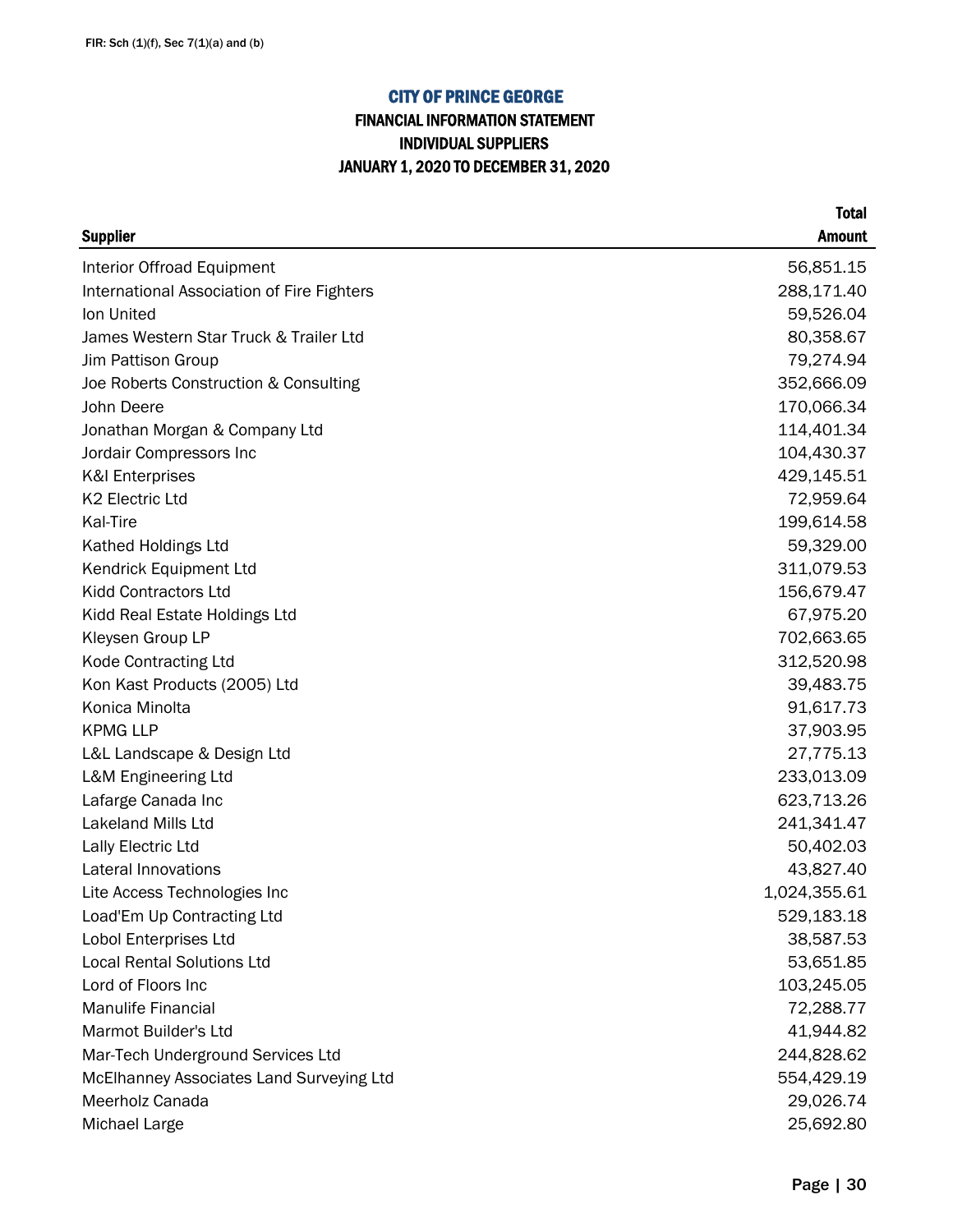## FINANCIAL INFORMATION STATEMENT INDIVIDUAL SUPPLIERS JANUARY 1, 2020 TO DECEMBER 31, 2020

|                                            | <b>Total</b>  |
|--------------------------------------------|---------------|
| <b>Supplier</b>                            | <b>Amount</b> |
| Interior Offroad Equipment                 | 56,851.15     |
| International Association of Fire Fighters | 288,171.40    |
| Ion United                                 | 59,526.04     |
| James Western Star Truck & Trailer Ltd     | 80,358.67     |
| Jim Pattison Group                         | 79,274.94     |
| Joe Roberts Construction & Consulting      | 352,666.09    |
| John Deere                                 | 170,066.34    |
| Jonathan Morgan & Company Ltd              | 114,401.34    |
| Jordair Compressors Inc                    | 104,430.37    |
| <b>K&amp;I Enterprises</b>                 | 429,145.51    |
| K2 Electric Ltd                            | 72,959.64     |
| Kal-Tire                                   | 199,614.58    |
| Kathed Holdings Ltd                        | 59,329.00     |
| Kendrick Equipment Ltd                     | 311,079.53    |
| <b>Kidd Contractors Ltd</b>                | 156,679.47    |
| Kidd Real Estate Holdings Ltd              | 67,975.20     |
| Kleysen Group LP                           | 702,663.65    |
| Kode Contracting Ltd                       | 312,520.98    |
| Kon Kast Products (2005) Ltd               | 39,483.75     |
| Konica Minolta                             | 91,617.73     |
| <b>KPMG LLP</b>                            | 37,903.95     |
| L&L Landscape & Design Ltd                 | 27,775.13     |
| <b>L&amp;M Engineering Ltd</b>             | 233,013.09    |
| Lafarge Canada Inc                         | 623,713.26    |
| Lakeland Mills Ltd                         | 241,341.47    |
| Lally Electric Ltd                         | 50,402.03     |
| Lateral Innovations                        | 43,827.40     |
| Lite Access Technologies Inc               | 1,024,355.61  |
| Load'Em Up Contracting Ltd                 | 529,183.18    |
| Lobol Enterprises Ltd                      | 38,587.53     |
| <b>Local Rental Solutions Ltd</b>          | 53,651.85     |
| Lord of Floors Inc                         | 103,245.05    |
| <b>Manulife Financial</b>                  | 72,288.77     |
| <b>Marmot Builder's Ltd</b>                | 41,944.82     |
| Mar-Tech Underground Services Ltd          | 244,828.62    |
| McElhanney Associates Land Surveying Ltd   | 554,429.19    |
| Meerholz Canada                            | 29,026.74     |
| Michael Large                              | 25,692.80     |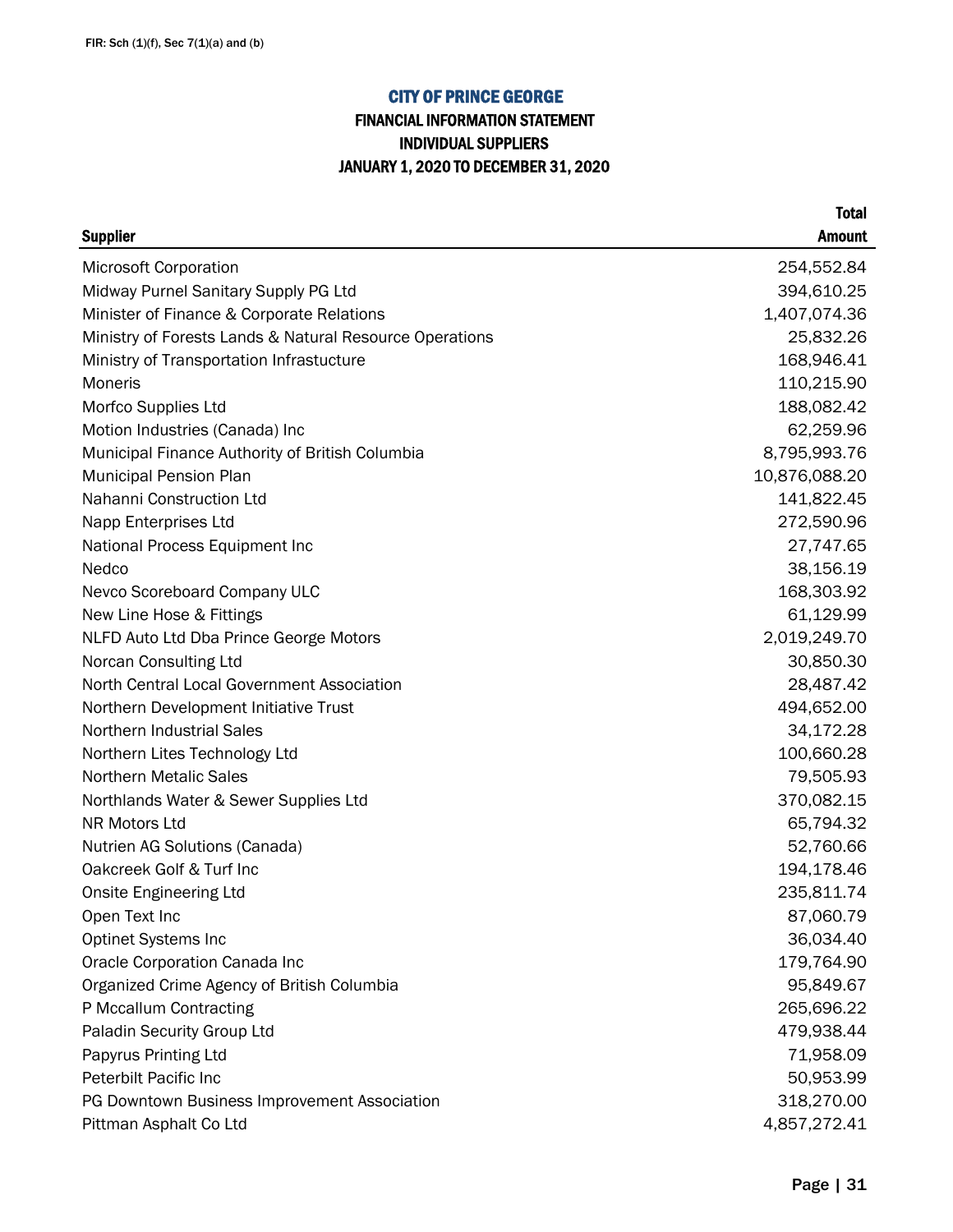## FINANCIAL INFORMATION STATEMENT INDIVIDUAL SUPPLIERS JANUARY 1, 2020 TO DECEMBER 31, 2020

| <b>Supplier</b>                                         | <b>Amount</b> |
|---------------------------------------------------------|---------------|
| <b>Microsoft Corporation</b>                            | 254,552.84    |
| Midway Purnel Sanitary Supply PG Ltd                    | 394,610.25    |
| Minister of Finance & Corporate Relations               | 1,407,074.36  |
| Ministry of Forests Lands & Natural Resource Operations | 25,832.26     |
| Ministry of Transportation Infrastucture                | 168,946.41    |
| Moneris                                                 | 110,215.90    |
| Morfco Supplies Ltd                                     | 188,082.42    |
| Motion Industries (Canada) Inc                          | 62,259.96     |
| Municipal Finance Authority of British Columbia         | 8,795,993.76  |
| <b>Municipal Pension Plan</b>                           | 10,876,088.20 |
| Nahanni Construction Ltd                                | 141,822.45    |
| Napp Enterprises Ltd                                    | 272,590.96    |
| National Process Equipment Inc                          | 27,747.65     |
| Nedco                                                   | 38,156.19     |
| Nevco Scoreboard Company ULC                            | 168,303.92    |
| New Line Hose & Fittings                                | 61,129.99     |
| NLFD Auto Ltd Dba Prince George Motors                  | 2,019,249.70  |
| Norcan Consulting Ltd                                   | 30,850.30     |
| North Central Local Government Association              | 28,487.42     |
| Northern Development Initiative Trust                   | 494,652.00    |
| <b>Northern Industrial Sales</b>                        | 34,172.28     |
| Northern Lites Technology Ltd                           | 100,660.28    |
| <b>Northern Metalic Sales</b>                           | 79,505.93     |
| Northlands Water & Sewer Supplies Ltd                   | 370,082.15    |
| NR Motors Ltd                                           | 65,794.32     |
| Nutrien AG Solutions (Canada)                           | 52,760.66     |
| Oakcreek Golf & Turf Inc                                | 194,178.46    |
| <b>Onsite Engineering Ltd</b>                           | 235,811.74    |
| Open Text Inc                                           | 87,060.79     |
| <b>Optinet Systems Inc</b>                              | 36,034.40     |
| Oracle Corporation Canada Inc                           | 179,764.90    |
| Organized Crime Agency of British Columbia              | 95,849.67     |
| P Mccallum Contracting                                  | 265,696.22    |
| Paladin Security Group Ltd                              | 479,938.44    |
| Papyrus Printing Ltd                                    | 71,958.09     |
| <b>Peterbilt Pacific Inc</b>                            | 50,953.99     |
| PG Downtown Business Improvement Association            | 318,270.00    |
| Pittman Asphalt Co Ltd                                  | 4,857,272.41  |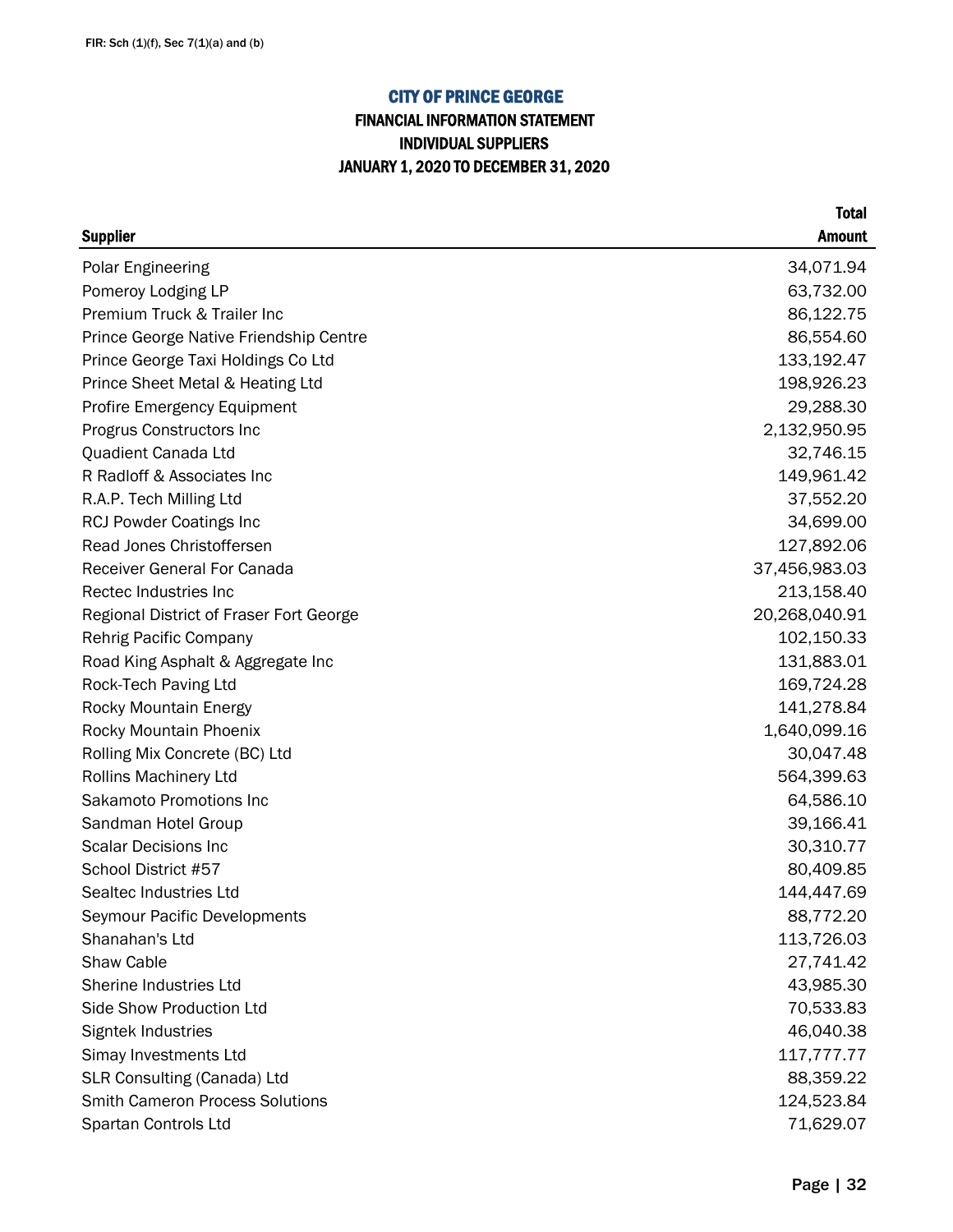## FINANCIAL INFORMATION STATEMENT INDIVIDUAL SUPPLIERS JANUARY 1, 2020 TO DECEMBER 31, 2020

|                                         | <b>Total</b>  |
|-----------------------------------------|---------------|
| <b>Supplier</b>                         | <b>Amount</b> |
| <b>Polar Engineering</b>                | 34,071.94     |
| Pomeroy Lodging LP                      | 63,732.00     |
| Premium Truck & Trailer Inc             | 86,122.75     |
| Prince George Native Friendship Centre  | 86,554.60     |
| Prince George Taxi Holdings Co Ltd      | 133,192.47    |
| Prince Sheet Metal & Heating Ltd        | 198,926.23    |
| <b>Profire Emergency Equipment</b>      | 29,288.30     |
| Progrus Constructors Inc                | 2,132,950.95  |
| Quadient Canada Ltd                     | 32,746.15     |
| R Radloff & Associates Inc              | 149,961.42    |
| R.A.P. Tech Milling Ltd                 | 37,552.20     |
| <b>RCJ Powder Coatings Inc</b>          | 34,699.00     |
| Read Jones Christoffersen               | 127,892.06    |
| <b>Receiver General For Canada</b>      | 37,456,983.03 |
| Rectec Industries Inc                   | 213,158.40    |
| Regional District of Fraser Fort George | 20,268,040.91 |
| Rehrig Pacific Company                  | 102,150.33    |
| Road King Asphalt & Aggregate Inc       | 131,883.01    |
| Rock-Tech Paving Ltd                    | 169,724.28    |
| <b>Rocky Mountain Energy</b>            | 141,278.84    |
| Rocky Mountain Phoenix                  | 1,640,099.16  |
| Rolling Mix Concrete (BC) Ltd           | 30,047.48     |
| <b>Rollins Machinery Ltd</b>            | 564,399.63    |
| Sakamoto Promotions Inc                 | 64,586.10     |
| Sandman Hotel Group                     | 39,166.41     |
| <b>Scalar Decisions Inc</b>             | 30,310.77     |
| School District #57                     | 80,409.85     |
| Sealtec Industries Ltd                  | 144,447.69    |
| Seymour Pacific Developments            | 88,772.20     |
| Shanahan's Ltd                          | 113,726.03    |
| Shaw Cable                              | 27,741.42     |
| Sherine Industries Ltd                  | 43,985.30     |
| Side Show Production Ltd                | 70,533.83     |
| Signtek Industries                      | 46,040.38     |
| Simay Investments Ltd                   | 117,777.77    |
| SLR Consulting (Canada) Ltd             | 88,359.22     |
| <b>Smith Cameron Process Solutions</b>  | 124,523.84    |
| Spartan Controls Ltd                    | 71,629.07     |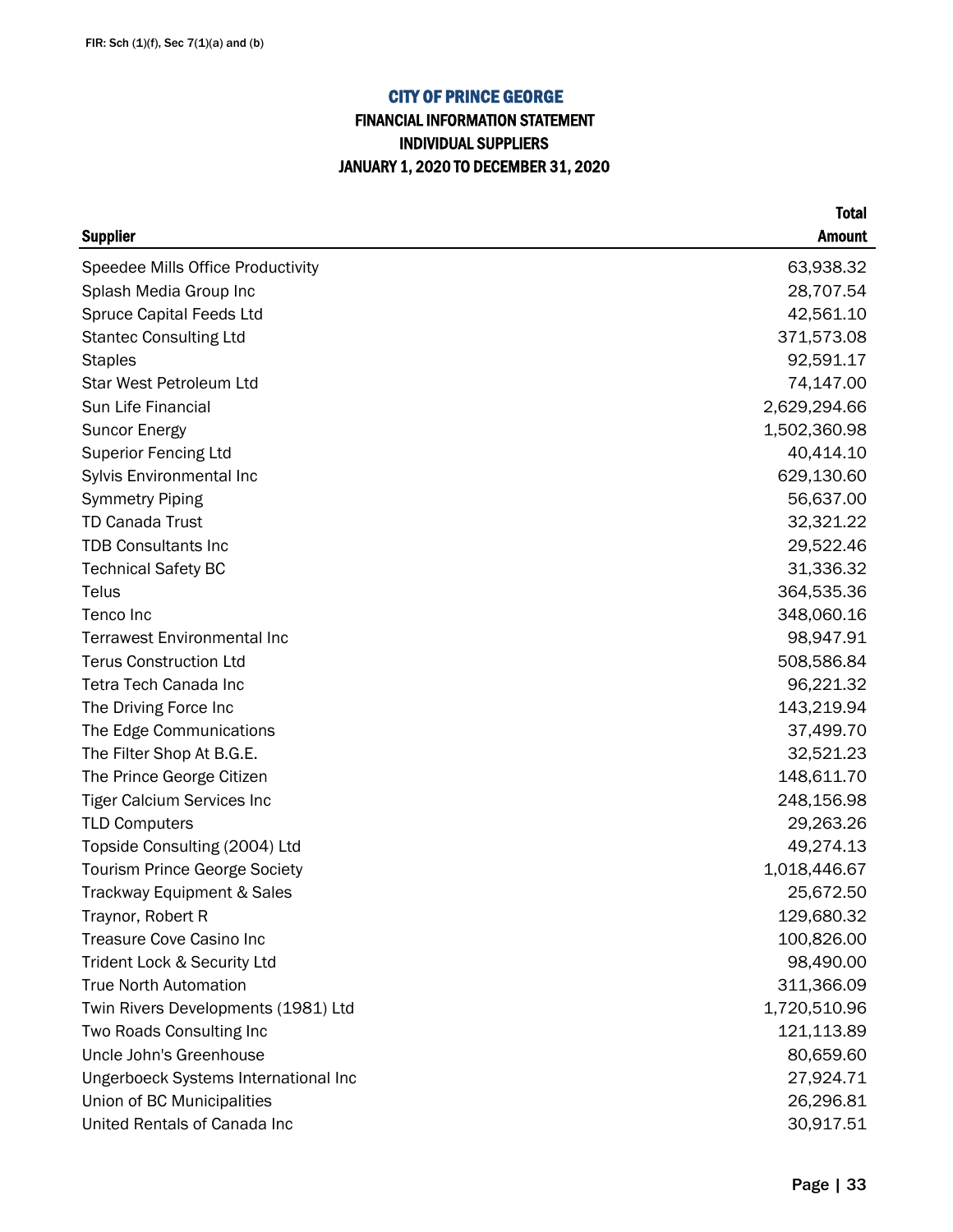## FINANCIAL INFORMATION STATEMENT INDIVIDUAL SUPPLIERS JANUARY 1, 2020 TO DECEMBER 31, 2020

| <b>Supplier</b>                      | <b>Amount</b> |
|--------------------------------------|---------------|
| Speedee Mills Office Productivity    | 63,938.32     |
| Splash Media Group Inc               | 28,707.54     |
| <b>Spruce Capital Feeds Ltd</b>      | 42,561.10     |
| <b>Stantec Consulting Ltd</b>        | 371,573.08    |
| <b>Staples</b>                       | 92,591.17     |
| <b>Star West Petroleum Ltd</b>       | 74,147.00     |
| Sun Life Financial                   | 2,629,294.66  |
| <b>Suncor Energy</b>                 | 1,502,360.98  |
| <b>Superior Fencing Ltd</b>          | 40,414.10     |
| Sylvis Environmental Inc             | 629,130.60    |
| <b>Symmetry Piping</b>               | 56,637.00     |
| <b>TD Canada Trust</b>               | 32,321.22     |
| <b>TDB Consultants Inc</b>           | 29,522.46     |
| <b>Technical Safety BC</b>           | 31,336.32     |
| Telus                                | 364,535.36    |
| Tenco Inc                            | 348,060.16    |
| <b>Terrawest Environmental Inc</b>   | 98,947.91     |
| <b>Terus Construction Ltd</b>        | 508,586.84    |
| Tetra Tech Canada Inc                | 96,221.32     |
| The Driving Force Inc                | 143,219.94    |
| The Edge Communications              | 37,499.70     |
| The Filter Shop At B.G.E.            | 32,521.23     |
| The Prince George Citizen            | 148,611.70    |
| <b>Tiger Calcium Services Inc</b>    | 248,156.98    |
| <b>TLD Computers</b>                 | 29,263.26     |
| Topside Consulting (2004) Ltd        | 49,274.13     |
| <b>Tourism Prince George Society</b> | 1,018,446.67  |
| Trackway Equipment & Sales           | 25,672.50     |
| Traynor, Robert R                    | 129,680.32    |
| Treasure Cove Casino Inc             | 100,826.00    |
| Trident Lock & Security Ltd          | 98,490.00     |
| <b>True North Automation</b>         | 311,366.09    |
| Twin Rivers Developments (1981) Ltd  | 1,720,510.96  |
| Two Roads Consulting Inc             | 121,113.89    |
| Uncle John's Greenhouse              | 80,659.60     |
| Ungerboeck Systems International Inc | 27,924.71     |
| Union of BC Municipalities           | 26,296.81     |
| United Rentals of Canada Inc         | 30,917.51     |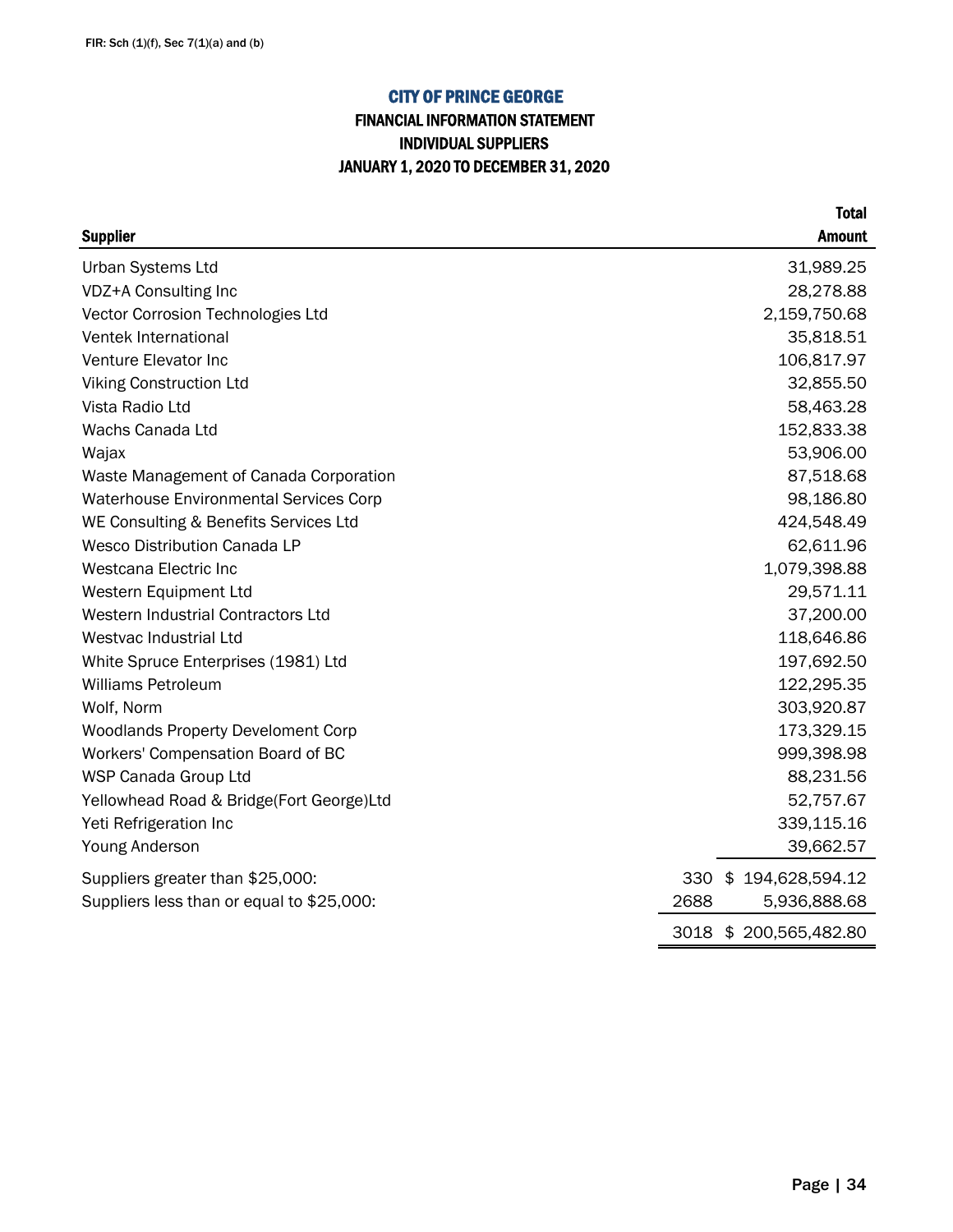## FINANCIAL INFORMATION STATEMENT INDIVIDUAL SUPPLIERS JANUARY 1, 2020 TO DECEMBER 31, 2020

| <b>Supplier</b>                               | <b>Amount</b>           |
|-----------------------------------------------|-------------------------|
| <b>Urban Systems Ltd</b>                      | 31,989.25               |
| VDZ+A Consulting Inc                          | 28,278.88               |
| Vector Corrosion Technologies Ltd             | 2,159,750.68            |
| Ventek International                          | 35,818.51               |
| Venture Elevator Inc                          | 106,817.97              |
| <b>Viking Construction Ltd</b>                | 32,855.50               |
| Vista Radio Ltd                               | 58,463.28               |
| Wachs Canada Ltd                              | 152,833.38              |
| Wajax                                         | 53,906.00               |
| Waste Management of Canada Corporation        | 87,518.68               |
| <b>Waterhouse Environmental Services Corp</b> | 98,186.80               |
| WE Consulting & Benefits Services Ltd         | 424,548.49              |
| <b>Wesco Distribution Canada LP</b>           | 62,611.96               |
| Westcana Electric Inc                         | 1,079,398.88            |
| Western Equipment Ltd                         | 29,571.11               |
| Western Industrial Contractors Ltd            | 37,200.00               |
| Westvac Industrial Ltd                        | 118,646.86              |
| White Spruce Enterprises (1981) Ltd           | 197,692.50              |
| <b>Williams Petroleum</b>                     | 122,295.35              |
| Wolf, Norm                                    | 303,920.87              |
| <b>Woodlands Property Develoment Corp</b>     | 173,329.15              |
| Workers' Compensation Board of BC             | 999,398.98              |
| WSP Canada Group Ltd                          | 88,231.56               |
| Yellowhead Road & Bridge(Fort George)Ltd      | 52,757.67               |
| Yeti Refrigeration Inc                        | 339,115.16              |
| Young Anderson                                | 39,662.57               |
| Suppliers greater than \$25,000:              | \$194,628,594.12<br>330 |
| Suppliers less than or equal to \$25,000:     | 2688<br>5,936,888.68    |
|                                               | 3018 \$200,565,482.80   |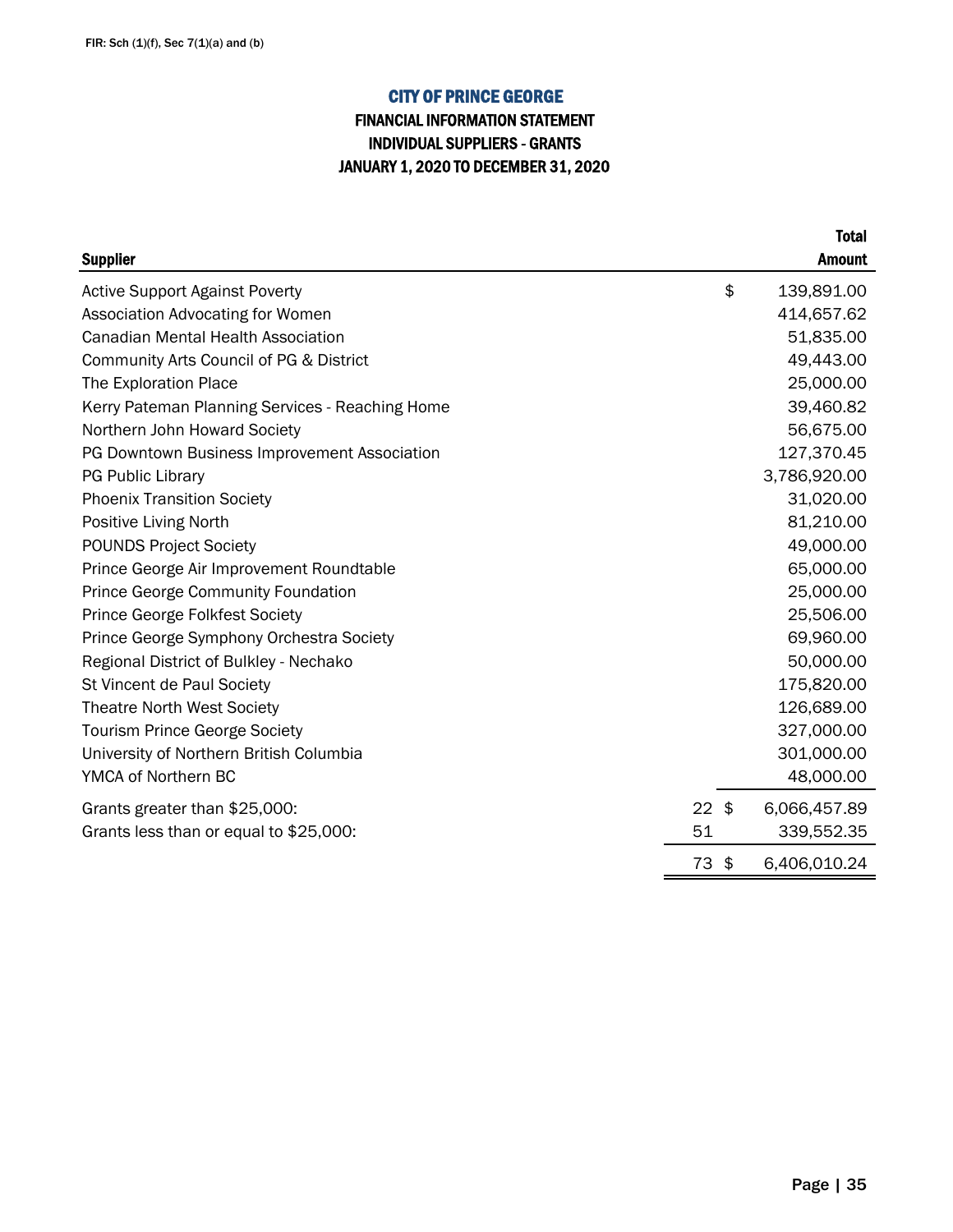## INDIVIDUAL SUPPLIERS - GRANTS JANUARY 1, 2020 TO DECEMBER 31, 2020 FINANCIAL INFORMATION STATEMENT

|                                                 |         | <b>Total</b>       |
|-------------------------------------------------|---------|--------------------|
| <b>Supplier</b>                                 |         | <b>Amount</b>      |
| <b>Active Support Against Poverty</b>           |         | \$<br>139,891.00   |
| Association Advocating for Women                |         | 414,657.62         |
| <b>Canadian Mental Health Association</b>       |         | 51,835.00          |
| Community Arts Council of PG & District         |         | 49,443.00          |
| The Exploration Place                           |         | 25,000.00          |
| Kerry Pateman Planning Services - Reaching Home |         | 39,460.82          |
| Northern John Howard Society                    |         | 56,675.00          |
| PG Downtown Business Improvement Association    |         | 127,370.45         |
| <b>PG Public Library</b>                        |         | 3,786,920.00       |
| <b>Phoenix Transition Society</b>               |         | 31,020.00          |
| Positive Living North                           |         | 81,210.00          |
| <b>POUNDS Project Society</b>                   |         | 49,000.00          |
| Prince George Air Improvement Roundtable        |         | 65,000.00          |
| <b>Prince George Community Foundation</b>       |         | 25,000.00          |
| Prince George Folkfest Society                  |         | 25,506.00          |
| Prince George Symphony Orchestra Society        |         | 69,960.00          |
| Regional District of Bulkley - Nechako          |         | 50,000.00          |
| St Vincent de Paul Society                      |         | 175,820.00         |
| <b>Theatre North West Society</b>               |         | 126,689.00         |
| <b>Tourism Prince George Society</b>            |         | 327,000.00         |
| University of Northern British Columbia         |         | 301,000.00         |
| YMCA of Northern BC                             |         | 48,000.00          |
| Grants greater than \$25,000:                   | $22$ \$ | 6,066,457.89       |
| Grants less than or equal to \$25,000:          | 51      | 339,552.35         |
|                                                 | 73      | \$<br>6,406,010.24 |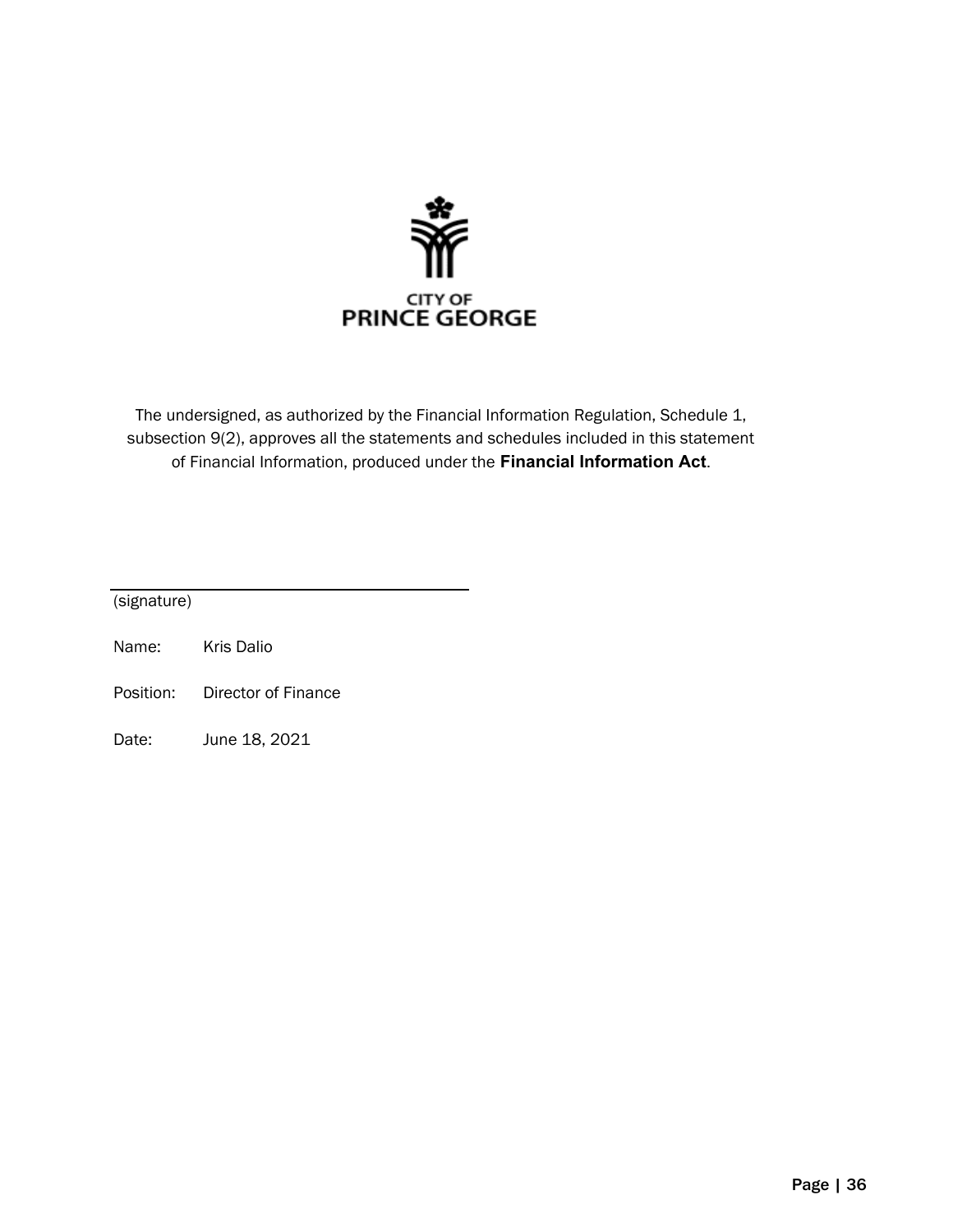

The undersigned, as authorized by the Financial Information Regulation, Schedule 1, subsection 9(2), approves all the statements and schedules included in this statement of Financial Information, produced under the **Financial Information Act**.

(signature)

- Name: Kris Dalio
- Position: Director of Finance
- Date: June 18, 2021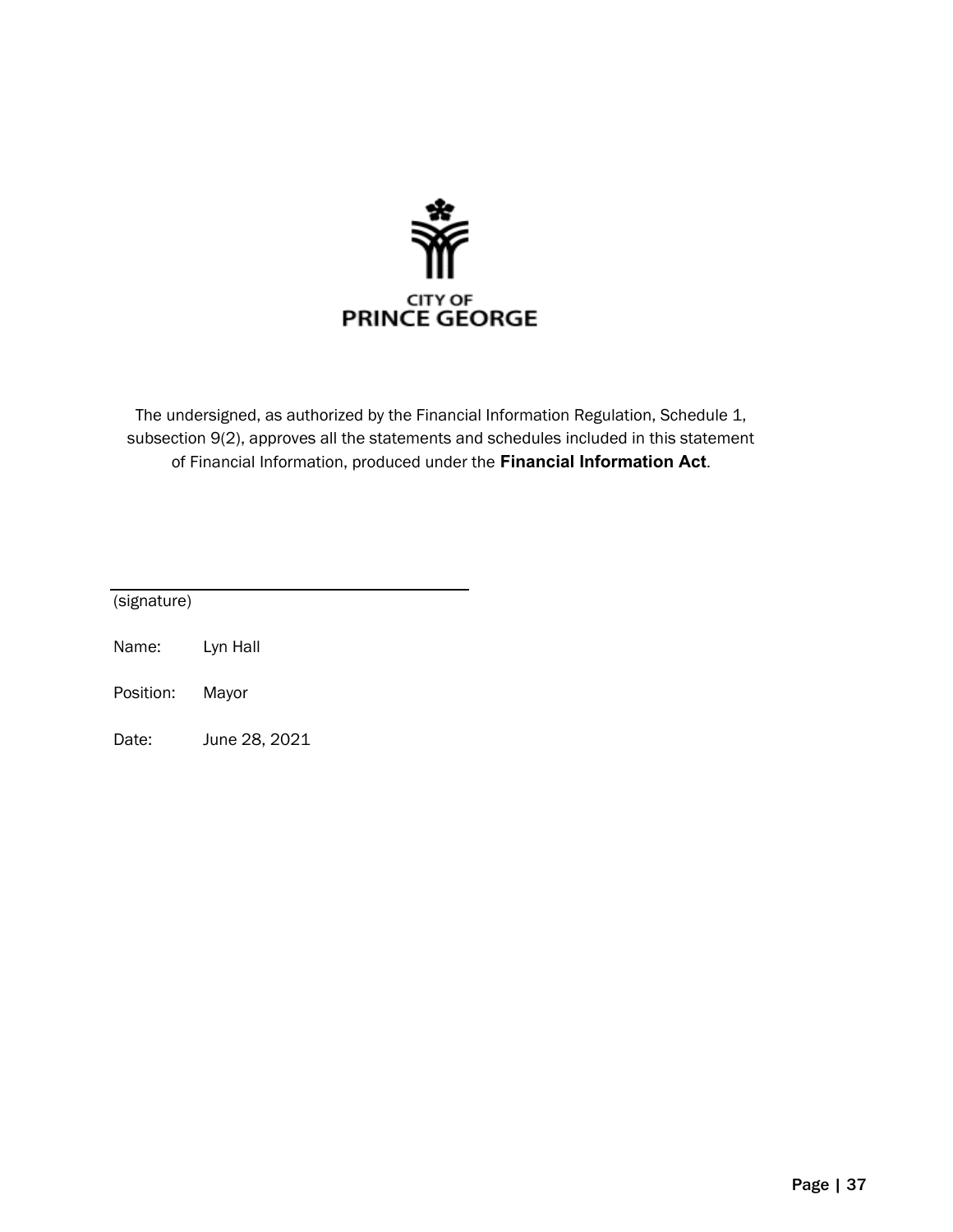

The undersigned, as authorized by the Financial Information Regulation, Schedule 1, subsection 9(2), approves all the statements and schedules included in this statement of Financial Information, produced under the **Financial Information Act**.

| (signature) |          |  |
|-------------|----------|--|
| Name:       | Lyn Hall |  |

- Position: Mayor
- Date: June 28, 2021